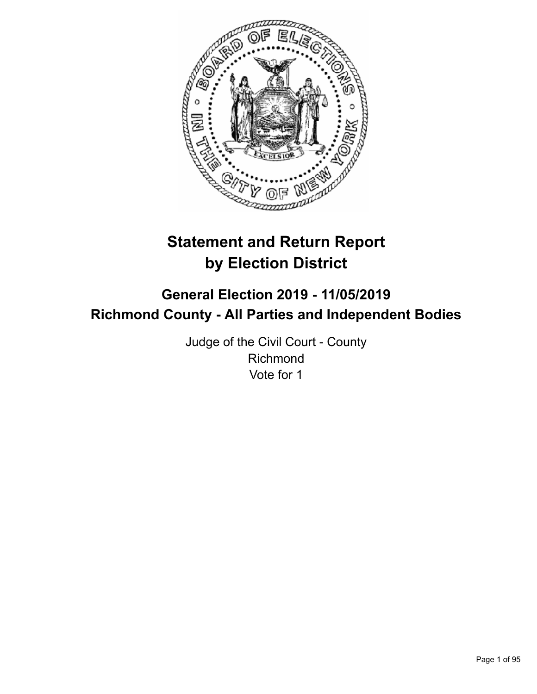

# **Statement and Return Report by Election District**

## **General Election 2019 - 11/05/2019 Richmond County - All Parties and Independent Bodies**

Judge of the Civil Court - County Richmond Vote for 1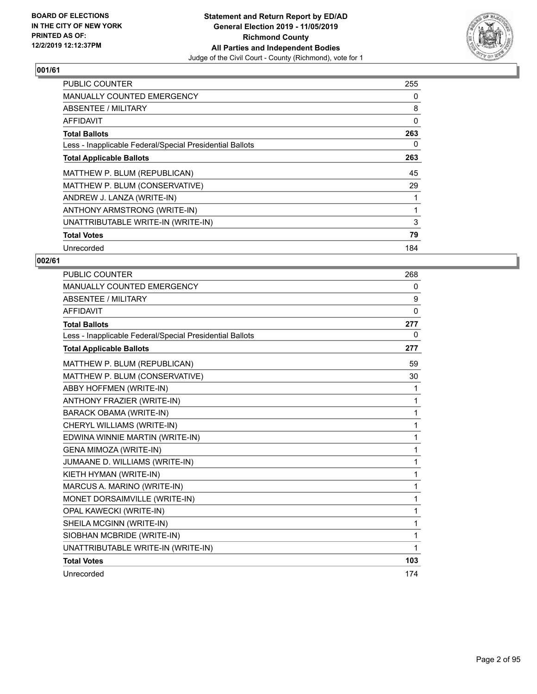

| <b>PUBLIC COUNTER</b>                                    | 255 |
|----------------------------------------------------------|-----|
| <b>MANUALLY COUNTED EMERGENCY</b>                        | 0   |
| ABSENTEE / MILITARY                                      | 8   |
| <b>AFFIDAVIT</b>                                         | 0   |
| <b>Total Ballots</b>                                     | 263 |
| Less - Inapplicable Federal/Special Presidential Ballots | 0   |
| <b>Total Applicable Ballots</b>                          | 263 |
| MATTHEW P. BLUM (REPUBLICAN)                             | 45  |
| MATTHEW P. BLUM (CONSERVATIVE)                           | 29  |
| ANDREW J. LANZA (WRITE-IN)                               |     |
| ANTHONY ARMSTRONG (WRITE-IN)                             |     |
| UNATTRIBUTABLE WRITE-IN (WRITE-IN)                       | 3   |
| <b>Total Votes</b>                                       | 79  |
| Unrecorded                                               | 184 |

| <b>PUBLIC COUNTER</b>                                    | 268          |
|----------------------------------------------------------|--------------|
| <b>MANUALLY COUNTED EMERGENCY</b>                        | $\mathbf{0}$ |
| ABSENTEE / MILITARY                                      | 9            |
| <b>AFFIDAVIT</b>                                         | $\mathbf{0}$ |
| <b>Total Ballots</b>                                     | 277          |
| Less - Inapplicable Federal/Special Presidential Ballots | 0            |
| <b>Total Applicable Ballots</b>                          | 277          |
| MATTHEW P. BLUM (REPUBLICAN)                             | 59           |
| MATTHEW P. BLUM (CONSERVATIVE)                           | 30           |
| ABBY HOFFMEN (WRITE-IN)                                  | 1            |
| ANTHONY FRAZIER (WRITE-IN)                               | 1            |
| <b>BARACK OBAMA (WRITE-IN)</b>                           | 1            |
| CHERYL WILLIAMS (WRITE-IN)                               | 1            |
| EDWINA WINNIE MARTIN (WRITE-IN)                          | 1            |
| <b>GENA MIMOZA (WRITE-IN)</b>                            | 1            |
| JUMAANE D. WILLIAMS (WRITE-IN)                           | 1            |
| KIETH HYMAN (WRITE-IN)                                   | 1            |
| MARCUS A. MARINO (WRITE-IN)                              | 1            |
| MONET DORSAIMVILLE (WRITE-IN)                            | 1            |
| OPAL KAWECKI (WRITE-IN)                                  | 1            |
| SHEILA MCGINN (WRITE-IN)                                 | 1            |
| SIOBHAN MCBRIDE (WRITE-IN)                               | 1            |
| UNATTRIBUTABLE WRITE-IN (WRITE-IN)                       | 1            |
| <b>Total Votes</b>                                       | 103          |
| Unrecorded                                               | 174          |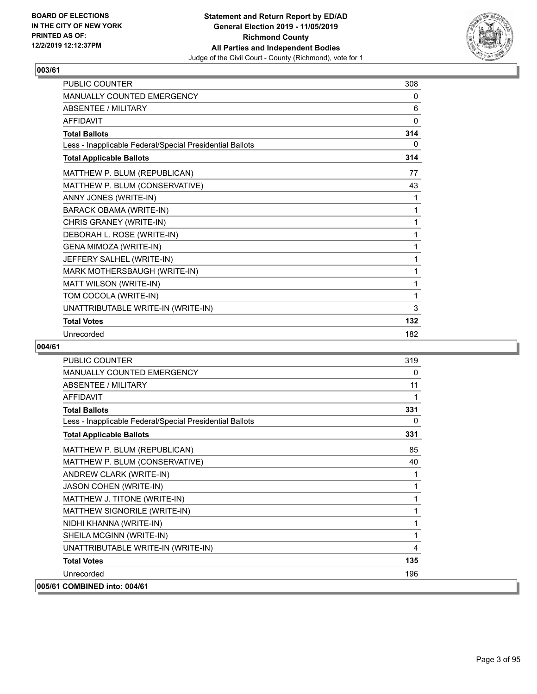

| <b>PUBLIC COUNTER</b>                                    | 308 |
|----------------------------------------------------------|-----|
| <b>MANUALLY COUNTED EMERGENCY</b>                        | 0   |
| <b>ABSENTEE / MILITARY</b>                               | 6   |
| <b>AFFIDAVIT</b>                                         | 0   |
| <b>Total Ballots</b>                                     | 314 |
| Less - Inapplicable Federal/Special Presidential Ballots | 0   |
| <b>Total Applicable Ballots</b>                          | 314 |
| MATTHEW P. BLUM (REPUBLICAN)                             | 77  |
| MATTHEW P. BLUM (CONSERVATIVE)                           | 43  |
| ANNY JONES (WRITE-IN)                                    | 1   |
| <b>BARACK OBAMA (WRITE-IN)</b>                           | 1   |
| CHRIS GRANEY (WRITE-IN)                                  | 1   |
| DEBORAH L. ROSE (WRITE-IN)                               | 1   |
| GENA MIMOZA (WRITE-IN)                                   | 1   |
| JEFFERY SALHEL (WRITE-IN)                                | 1   |
| MARK MOTHERSBAUGH (WRITE-IN)                             | 1   |
| MATT WILSON (WRITE-IN)                                   | 1   |
| TOM COCOLA (WRITE-IN)                                    | 1   |
| UNATTRIBUTABLE WRITE-IN (WRITE-IN)                       | 3   |
| <b>Total Votes</b>                                       | 132 |
| Unrecorded                                               | 182 |

| <b>PUBLIC COUNTER</b>                                    | 319          |
|----------------------------------------------------------|--------------|
| MANUALLY COUNTED EMERGENCY                               | 0            |
| ABSENTEE / MILITARY                                      | 11           |
| AFFIDAVIT                                                | 1            |
| <b>Total Ballots</b>                                     | 331          |
| Less - Inapplicable Federal/Special Presidential Ballots | $\mathbf{0}$ |
| <b>Total Applicable Ballots</b>                          | 331          |
| MATTHEW P. BLUM (REPUBLICAN)                             | 85           |
| MATTHEW P. BLUM (CONSERVATIVE)                           | 40           |
| ANDREW CLARK (WRITE-IN)                                  | 1            |
| JASON COHEN (WRITE-IN)                                   | 1            |
| MATTHEW J. TITONE (WRITE-IN)                             | 1            |
| MATTHEW SIGNORILE (WRITE-IN)                             | 1            |
| NIDHI KHANNA (WRITE-IN)                                  | 1            |
| SHEILA MCGINN (WRITE-IN)                                 | 1            |
| UNATTRIBUTABLE WRITE-IN (WRITE-IN)                       | 4            |
| <b>Total Votes</b>                                       | 135          |
| Unrecorded                                               | 196          |
| 005/61 COMBINED into: 004/61                             |              |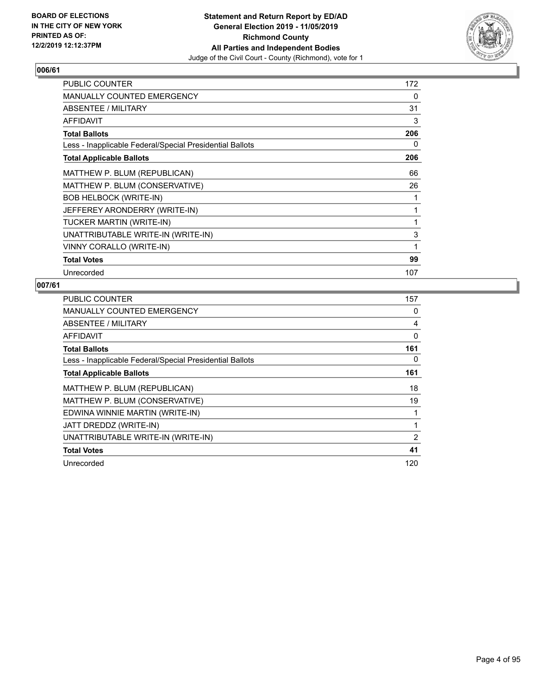

| PUBLIC COUNTER                                           | 172 |
|----------------------------------------------------------|-----|
| MANUALLY COUNTED EMERGENCY                               | 0   |
| ABSENTEE / MILITARY                                      | 31  |
| <b>AFFIDAVIT</b>                                         | 3   |
| <b>Total Ballots</b>                                     | 206 |
| Less - Inapplicable Federal/Special Presidential Ballots | 0   |
| <b>Total Applicable Ballots</b>                          | 206 |
| MATTHEW P. BLUM (REPUBLICAN)                             | 66  |
| MATTHEW P. BLUM (CONSERVATIVE)                           | 26  |
| <b>BOB HELBOCK (WRITE-IN)</b>                            | 1   |
| JEFFEREY ARONDERRY (WRITE-IN)                            | 1   |
| TUCKER MARTIN (WRITE-IN)                                 | 1   |
| UNATTRIBUTABLE WRITE-IN (WRITE-IN)                       | 3   |
| VINNY CORALLO (WRITE-IN)                                 | 1   |
| <b>Total Votes</b>                                       | 99  |
| Unrecorded                                               | 107 |

| <b>PUBLIC COUNTER</b>                                    | 157 |
|----------------------------------------------------------|-----|
| MANUALLY COUNTED EMERGENCY                               | 0   |
| ABSENTEE / MILITARY                                      | 4   |
| AFFIDAVIT                                                | 0   |
| <b>Total Ballots</b>                                     | 161 |
| Less - Inapplicable Federal/Special Presidential Ballots | 0   |
| <b>Total Applicable Ballots</b>                          | 161 |
| MATTHEW P. BLUM (REPUBLICAN)                             | 18  |
| MATTHEW P. BLUM (CONSERVATIVE)                           | 19  |
| EDWINA WINNIE MARTIN (WRITE-IN)                          |     |
| JATT DREDDZ (WRITE-IN)                                   | 1   |
| UNATTRIBUTABLE WRITE-IN (WRITE-IN)                       | 2   |
| <b>Total Votes</b>                                       | 41  |
| Unrecorded                                               | 120 |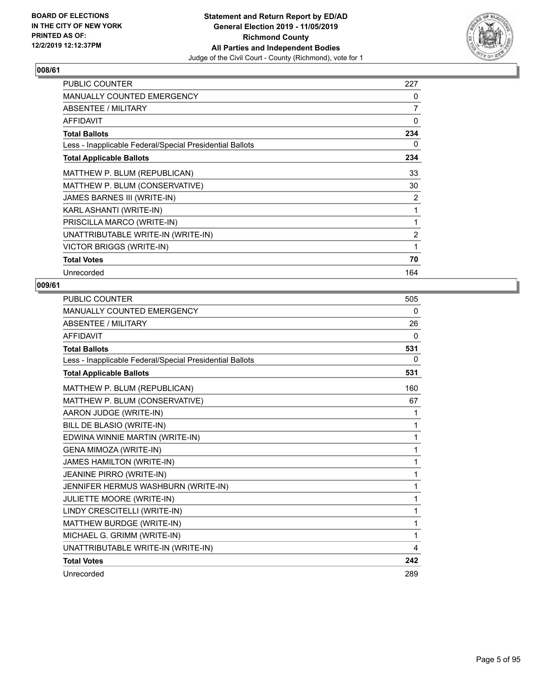

| <b>PUBLIC COUNTER</b>                                    | 227            |
|----------------------------------------------------------|----------------|
| <b>MANUALLY COUNTED EMERGENCY</b>                        | 0              |
| ABSENTEE / MILITARY                                      | 7              |
| <b>AFFIDAVIT</b>                                         | 0              |
| <b>Total Ballots</b>                                     | 234            |
| Less - Inapplicable Federal/Special Presidential Ballots | 0              |
| <b>Total Applicable Ballots</b>                          | 234            |
| MATTHEW P. BLUM (REPUBLICAN)                             | 33             |
| MATTHEW P. BLUM (CONSERVATIVE)                           | 30             |
| JAMES BARNES III (WRITE-IN)                              | 2              |
| KARL ASHANTI (WRITE-IN)                                  | 1              |
| PRISCILLA MARCO (WRITE-IN)                               | $\mathbf{1}$   |
| UNATTRIBUTABLE WRITE-IN (WRITE-IN)                       | $\overline{2}$ |
| <b>VICTOR BRIGGS (WRITE-IN)</b>                          | 1              |
| <b>Total Votes</b>                                       | 70             |
| Unrecorded                                               | 164            |

| <b>PUBLIC COUNTER</b>                                    | 505      |
|----------------------------------------------------------|----------|
| <b>MANUALLY COUNTED EMERGENCY</b>                        | 0        |
| ABSENTEE / MILITARY                                      | 26       |
| <b>AFFIDAVIT</b>                                         | $\Omega$ |
| <b>Total Ballots</b>                                     | 531      |
| Less - Inapplicable Federal/Special Presidential Ballots | 0        |
| <b>Total Applicable Ballots</b>                          | 531      |
| MATTHEW P. BLUM (REPUBLICAN)                             | 160      |
| MATTHEW P. BLUM (CONSERVATIVE)                           | 67       |
| AARON JUDGE (WRITE-IN)                                   | 1        |
| BILL DE BLASIO (WRITE-IN)                                | 1        |
| EDWINA WINNIE MARTIN (WRITE-IN)                          | 1        |
| GENA MIMOZA (WRITE-IN)                                   | 1        |
| JAMES HAMILTON (WRITE-IN)                                | 1        |
| JEANINE PIRRO (WRITE-IN)                                 | 1        |
| JENNIFER HERMUS WASHBURN (WRITE-IN)                      | 1        |
| JULIETTE MOORE (WRITE-IN)                                | 1        |
| LINDY CRESCITELLI (WRITE-IN)                             | 1        |
| MATTHEW BURDGE (WRITE-IN)                                | 1        |
| MICHAEL G. GRIMM (WRITE-IN)                              | 1        |
| UNATTRIBUTABLE WRITE-IN (WRITE-IN)                       | 4        |
| <b>Total Votes</b>                                       | 242      |
| Unrecorded                                               | 289      |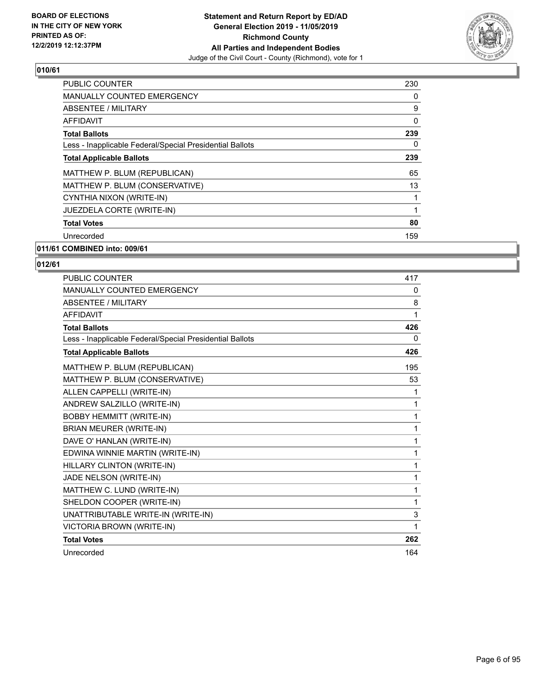

| PUBLIC COUNTER                                           | 230 |
|----------------------------------------------------------|-----|
| MANUALLY COUNTED EMERGENCY                               | 0   |
| ABSENTEE / MILITARY                                      | 9   |
| AFFIDAVIT                                                | 0   |
| <b>Total Ballots</b>                                     | 239 |
| Less - Inapplicable Federal/Special Presidential Ballots | 0   |
| <b>Total Applicable Ballots</b>                          | 239 |
| MATTHEW P. BLUM (REPUBLICAN)                             | 65  |
| MATTHEW P. BLUM (CONSERVATIVE)                           | 13  |
| CYNTHIA NIXON (WRITE-IN)                                 |     |
| JUEZDELA CORTE (WRITE-IN)                                | 1   |
| <b>Total Votes</b>                                       | 80  |
| Unrecorded                                               | 159 |
| 011/61 COMBINED into: 009/61                             |     |

| PUBLIC COUNTER                                           | 417      |
|----------------------------------------------------------|----------|
| <b>MANUALLY COUNTED EMERGENCY</b>                        | 0        |
| ABSENTEE / MILITARY                                      | 8        |
| <b>AFFIDAVIT</b>                                         | 1        |
| <b>Total Ballots</b>                                     | 426      |
| Less - Inapplicable Federal/Special Presidential Ballots | $\Omega$ |
| <b>Total Applicable Ballots</b>                          | 426      |
| MATTHEW P. BLUM (REPUBLICAN)                             | 195      |
| MATTHEW P. BLUM (CONSERVATIVE)                           | 53       |
| ALLEN CAPPELLI (WRITE-IN)                                | 1        |
| ANDREW SALZILLO (WRITE-IN)                               | 1        |
| <b>BOBBY HEMMITT (WRITE-IN)</b>                          | 1        |
| BRIAN MEURER (WRITE-IN)                                  | 1        |
| DAVE O' HANLAN (WRITE-IN)                                | 1        |
| EDWINA WINNIE MARTIN (WRITE-IN)                          | 1        |
| HILLARY CLINTON (WRITE-IN)                               | 1        |
| JADE NELSON (WRITE-IN)                                   | 1        |
| MATTHEW C. LUND (WRITE-IN)                               | 1        |
| SHELDON COOPER (WRITE-IN)                                | 1        |
| UNATTRIBUTABLE WRITE-IN (WRITE-IN)                       | 3        |
| VICTORIA BROWN (WRITE-IN)                                | 1        |
| <b>Total Votes</b>                                       | 262      |
| Unrecorded                                               | 164      |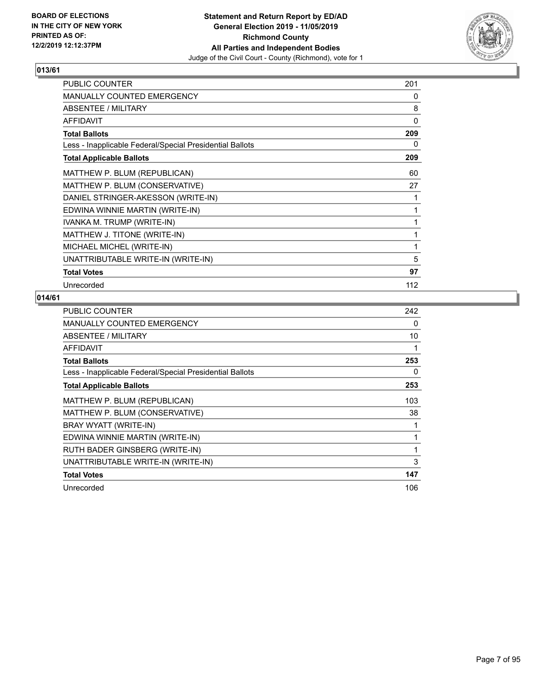

| PUBLIC COUNTER                                           | 201 |
|----------------------------------------------------------|-----|
| <b>MANUALLY COUNTED EMERGENCY</b>                        | 0   |
| <b>ABSENTEE / MILITARY</b>                               | 8   |
| <b>AFFIDAVIT</b>                                         | 0   |
| <b>Total Ballots</b>                                     | 209 |
| Less - Inapplicable Federal/Special Presidential Ballots | 0   |
| <b>Total Applicable Ballots</b>                          | 209 |
| MATTHEW P. BLUM (REPUBLICAN)                             | 60  |
| MATTHEW P. BLUM (CONSERVATIVE)                           | 27  |
| DANIEL STRINGER-AKESSON (WRITE-IN)                       | 1   |
| EDWINA WINNIE MARTIN (WRITE-IN)                          | 1   |
| IVANKA M. TRUMP (WRITE-IN)                               | 1   |
| MATTHEW J. TITONE (WRITE-IN)                             | 1   |
| MICHAEL MICHEL (WRITE-IN)                                | 1   |
| UNATTRIBUTABLE WRITE-IN (WRITE-IN)                       | 5   |
| <b>Total Votes</b>                                       | 97  |
| Unrecorded                                               | 112 |

| <b>PUBLIC COUNTER</b>                                    | 242 |
|----------------------------------------------------------|-----|
| <b>MANUALLY COUNTED EMERGENCY</b>                        | 0   |
| ABSENTEE / MILITARY                                      | 10  |
| AFFIDAVIT                                                | 1   |
| <b>Total Ballots</b>                                     | 253 |
| Less - Inapplicable Federal/Special Presidential Ballots | 0   |
| <b>Total Applicable Ballots</b>                          | 253 |
| MATTHEW P. BLUM (REPUBLICAN)                             | 103 |
| MATTHEW P. BLUM (CONSERVATIVE)                           | 38  |
| BRAY WYATT (WRITE-IN)                                    | 1   |
| EDWINA WINNIE MARTIN (WRITE-IN)                          | 1   |
| RUTH BADER GINSBERG (WRITE-IN)                           | 1   |
| UNATTRIBUTABLE WRITE-IN (WRITE-IN)                       | 3   |
| <b>Total Votes</b>                                       | 147 |
| Unrecorded                                               | 106 |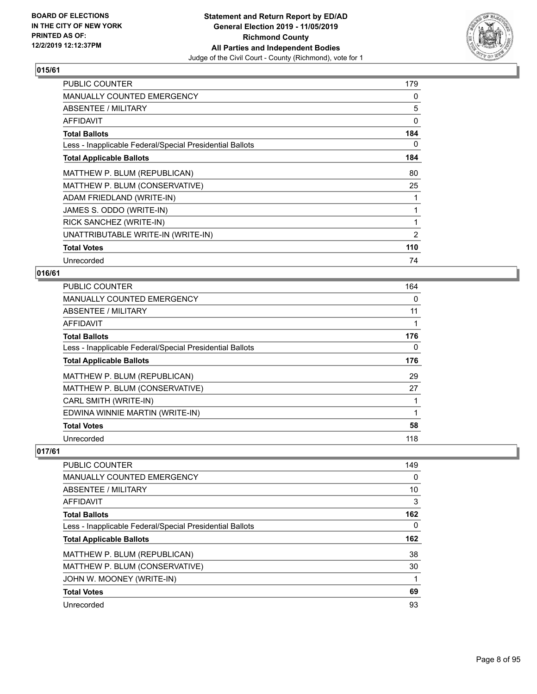

| <b>PUBLIC COUNTER</b>                                    | 179            |
|----------------------------------------------------------|----------------|
| <b>MANUALLY COUNTED EMERGENCY</b>                        | 0              |
| ABSENTEE / MILITARY                                      | 5              |
| AFFIDAVIT                                                | 0              |
| <b>Total Ballots</b>                                     | 184            |
| Less - Inapplicable Federal/Special Presidential Ballots | 0              |
| <b>Total Applicable Ballots</b>                          | 184            |
| MATTHEW P. BLUM (REPUBLICAN)                             | 80             |
| MATTHEW P. BLUM (CONSERVATIVE)                           | 25             |
| ADAM FRIEDLAND (WRITE-IN)                                |                |
| JAMES S. ODDO (WRITE-IN)                                 |                |
| RICK SANCHEZ (WRITE-IN)                                  | 1              |
| UNATTRIBUTABLE WRITE-IN (WRITE-IN)                       | $\overline{2}$ |
| <b>Total Votes</b>                                       | 110            |
| Unrecorded                                               | 74             |

## **016/61**

| <b>PUBLIC COUNTER</b>                                    | 164 |
|----------------------------------------------------------|-----|
| <b>MANUALLY COUNTED EMERGENCY</b>                        | 0   |
| ABSENTEE / MILITARY                                      | 11  |
| <b>AFFIDAVIT</b>                                         | 1   |
| <b>Total Ballots</b>                                     | 176 |
| Less - Inapplicable Federal/Special Presidential Ballots | 0   |
| <b>Total Applicable Ballots</b>                          | 176 |
| MATTHEW P. BLUM (REPUBLICAN)                             | 29  |
| MATTHEW P. BLUM (CONSERVATIVE)                           | 27  |
| CARL SMITH (WRITE-IN)                                    | 1   |
| EDWINA WINNIE MARTIN (WRITE-IN)                          | 1   |
| <b>Total Votes</b>                                       | 58  |
| Unrecorded                                               | 118 |

| PUBLIC COUNTER                                           | 149 |
|----------------------------------------------------------|-----|
| <b>MANUALLY COUNTED EMERGENCY</b>                        | 0   |
| ABSENTEE / MILITARY                                      | 10  |
| AFFIDAVIT                                                | 3   |
| <b>Total Ballots</b>                                     | 162 |
| Less - Inapplicable Federal/Special Presidential Ballots | 0   |
| <b>Total Applicable Ballots</b>                          | 162 |
|                                                          |     |
| MATTHEW P. BLUM (REPUBLICAN)                             | 38  |
| MATTHEW P. BLUM (CONSERVATIVE)                           | 30  |
| JOHN W. MOONEY (WRITE-IN)                                |     |
| <b>Total Votes</b>                                       | 69  |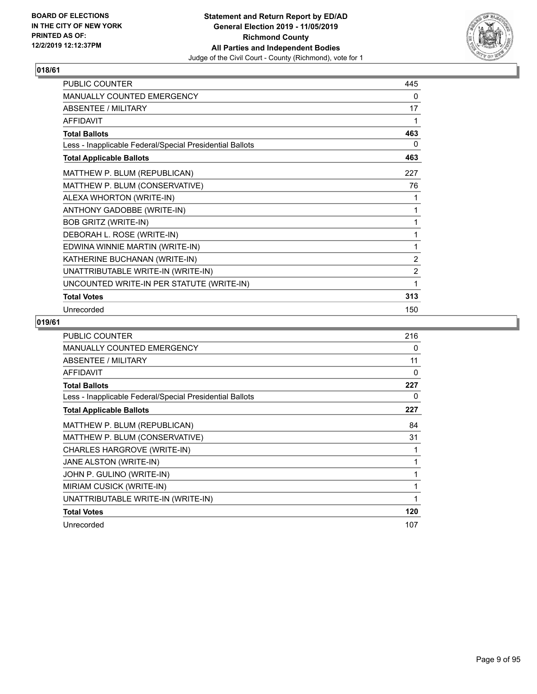

| PUBLIC COUNTER                                           | 445            |
|----------------------------------------------------------|----------------|
| MANUALLY COUNTED EMERGENCY                               | 0              |
| ABSENTEE / MILITARY                                      | 17             |
| <b>AFFIDAVIT</b>                                         | 1              |
| <b>Total Ballots</b>                                     | 463            |
| Less - Inapplicable Federal/Special Presidential Ballots | 0              |
| <b>Total Applicable Ballots</b>                          | 463            |
| MATTHEW P. BLUM (REPUBLICAN)                             | 227            |
| MATTHEW P. BLUM (CONSERVATIVE)                           | 76             |
| ALEXA WHORTON (WRITE-IN)                                 | 1              |
| ANTHONY GADOBBE (WRITE-IN)                               | 1              |
| <b>BOB GRITZ (WRITE-IN)</b>                              | 1              |
| DEBORAH L. ROSE (WRITE-IN)                               | 1              |
| EDWINA WINNIE MARTIN (WRITE-IN)                          | 1              |
| KATHERINE BUCHANAN (WRITE-IN)                            | $\overline{2}$ |
| UNATTRIBUTABLE WRITE-IN (WRITE-IN)                       | $\overline{c}$ |
| UNCOUNTED WRITE-IN PER STATUTE (WRITE-IN)                | 1              |
| <b>Total Votes</b>                                       | 313            |
| Unrecorded                                               | 150            |

| <b>PUBLIC COUNTER</b>                                    | 216      |
|----------------------------------------------------------|----------|
| <b>MANUALLY COUNTED EMERGENCY</b>                        | 0        |
| ABSENTEE / MILITARY                                      | 11       |
| <b>AFFIDAVIT</b>                                         | $\Omega$ |
| <b>Total Ballots</b>                                     | 227      |
| Less - Inapplicable Federal/Special Presidential Ballots | 0        |
| <b>Total Applicable Ballots</b>                          | 227      |
| MATTHEW P. BLUM (REPUBLICAN)                             | 84       |
| MATTHEW P. BLUM (CONSERVATIVE)                           | 31       |
| CHARLES HARGROVE (WRITE-IN)                              |          |
| JANE ALSTON (WRITE-IN)                                   | 1        |
| JOHN P. GULINO (WRITE-IN)                                |          |
| MIRIAM CUSICK (WRITE-IN)                                 | 1        |
| UNATTRIBUTABLE WRITE-IN (WRITE-IN)                       | 1        |
| <b>Total Votes</b>                                       | 120      |
| Unrecorded                                               | 107      |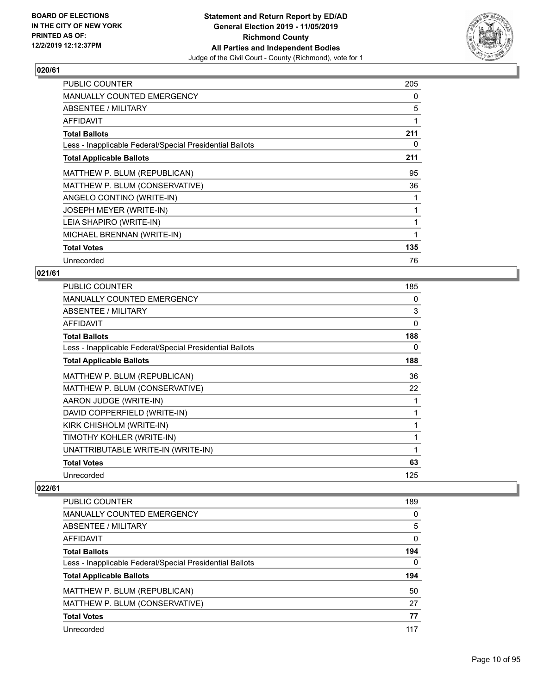

| <b>PUBLIC COUNTER</b>                                    | 205 |
|----------------------------------------------------------|-----|
| <b>MANUALLY COUNTED EMERGENCY</b>                        | 0   |
| ABSENTEE / MILITARY                                      | 5   |
| AFFIDAVIT                                                | 1   |
| <b>Total Ballots</b>                                     | 211 |
| Less - Inapplicable Federal/Special Presidential Ballots | 0   |
| <b>Total Applicable Ballots</b>                          | 211 |
| MATTHEW P. BLUM (REPUBLICAN)                             | 95  |
| MATTHEW P. BLUM (CONSERVATIVE)                           | 36  |
| ANGELO CONTINO (WRITE-IN)                                |     |
| JOSEPH MEYER (WRITE-IN)                                  |     |
| LEIA SHAPIRO (WRITE-IN)                                  |     |
| MICHAEL BRENNAN (WRITE-IN)                               | 1   |
| <b>Total Votes</b>                                       | 135 |
| Unrecorded                                               | 76  |

## **021/61**

| PUBLIC COUNTER                                           | 185 |
|----------------------------------------------------------|-----|
| <b>MANUALLY COUNTED EMERGENCY</b>                        | 0   |
| ABSENTEE / MILITARY                                      | 3   |
| AFFIDAVIT                                                | 0   |
| <b>Total Ballots</b>                                     | 188 |
| Less - Inapplicable Federal/Special Presidential Ballots | 0   |
| <b>Total Applicable Ballots</b>                          | 188 |
| MATTHEW P. BLUM (REPUBLICAN)                             | 36  |
| MATTHEW P. BLUM (CONSERVATIVE)                           | 22  |
| AARON JUDGE (WRITE-IN)                                   | 1   |
| DAVID COPPERFIELD (WRITE-IN)                             | 1   |
| KIRK CHISHOLM (WRITE-IN)                                 | 1   |
| TIMOTHY KOHLER (WRITE-IN)                                | 1   |
| UNATTRIBUTABLE WRITE-IN (WRITE-IN)                       | 1   |
| <b>Total Votes</b>                                       | 63  |
| Unrecorded                                               | 125 |
|                                                          |     |

| <b>PUBLIC COUNTER</b>                                    | 189 |
|----------------------------------------------------------|-----|
| <b>MANUALLY COUNTED EMERGENCY</b>                        | 0   |
| ABSENTEE / MILITARY                                      | 5   |
| <b>AFFIDAVIT</b>                                         | 0   |
| <b>Total Ballots</b>                                     | 194 |
| Less - Inapplicable Federal/Special Presidential Ballots | 0   |
| <b>Total Applicable Ballots</b>                          | 194 |
| MATTHEW P. BLUM (REPUBLICAN)                             | 50  |
| MATTHEW P. BLUM (CONSERVATIVE)                           | 27  |
| <b>Total Votes</b>                                       | 77  |
| Unrecorded                                               | 117 |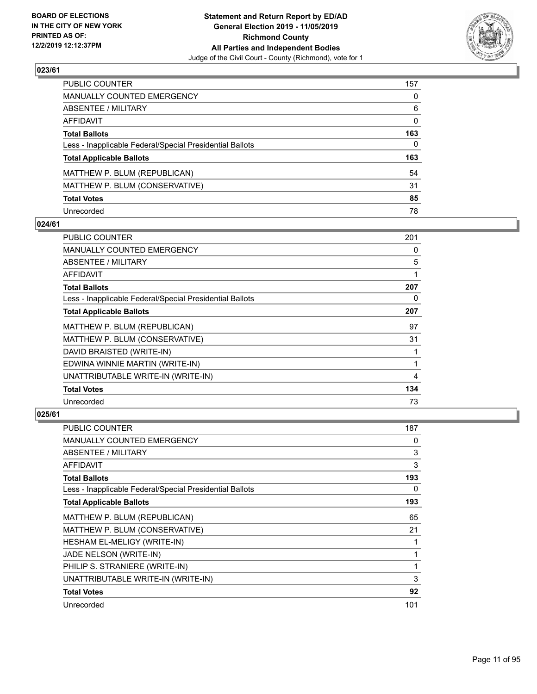

| PUBLIC COUNTER                                           | 157          |
|----------------------------------------------------------|--------------|
| MANUALLY COUNTED EMERGENCY                               | $\mathbf{0}$ |
| ABSENTEE / MILITARY                                      | 6            |
| AFFIDAVIT                                                | 0            |
| Total Ballots                                            | 163          |
| Less - Inapplicable Federal/Special Presidential Ballots | $\Omega$     |
| <b>Total Applicable Ballots</b>                          | 163          |
| MATTHEW P. BLUM (REPUBLICAN)                             | 54           |
| MATTHEW P. BLUM (CONSERVATIVE)                           | 31           |
| <b>Total Votes</b>                                       | 85           |
| Unrecorded                                               | 78           |

#### **024/61**

| <b>PUBLIC COUNTER</b>                                    | 201 |
|----------------------------------------------------------|-----|
| <b>MANUALLY COUNTED EMERGENCY</b>                        | 0   |
| ABSENTEE / MILITARY                                      | 5   |
| AFFIDAVIT                                                | 1   |
| <b>Total Ballots</b>                                     | 207 |
| Less - Inapplicable Federal/Special Presidential Ballots | 0   |
| <b>Total Applicable Ballots</b>                          | 207 |
| MATTHEW P. BLUM (REPUBLICAN)                             | 97  |
| MATTHEW P. BLUM (CONSERVATIVE)                           | 31  |
| DAVID BRAISTED (WRITE-IN)                                |     |
| EDWINA WINNIE MARTIN (WRITE-IN)                          |     |
| UNATTRIBUTABLE WRITE-IN (WRITE-IN)                       | 4   |
| <b>Total Votes</b>                                       | 134 |
| Unrecorded                                               | 73  |

| PUBLIC COUNTER                                           | 187 |
|----------------------------------------------------------|-----|
| <b>MANUALLY COUNTED EMERGENCY</b>                        | 0   |
| ABSENTEE / MILITARY                                      | 3   |
| AFFIDAVIT                                                | 3   |
| <b>Total Ballots</b>                                     | 193 |
| Less - Inapplicable Federal/Special Presidential Ballots | 0   |
| <b>Total Applicable Ballots</b>                          | 193 |
| MATTHEW P. BLUM (REPUBLICAN)                             | 65  |
| MATTHEW P. BLUM (CONSERVATIVE)                           | 21  |
| HESHAM EL-MELIGY (WRITE-IN)                              | 1   |
| JADE NELSON (WRITE-IN)                                   | 1   |
| PHILIP S. STRANIERE (WRITE-IN)                           | 1   |
| UNATTRIBUTABLE WRITE-IN (WRITE-IN)                       | 3   |
| <b>Total Votes</b>                                       | 92  |
| Unrecorded                                               | 101 |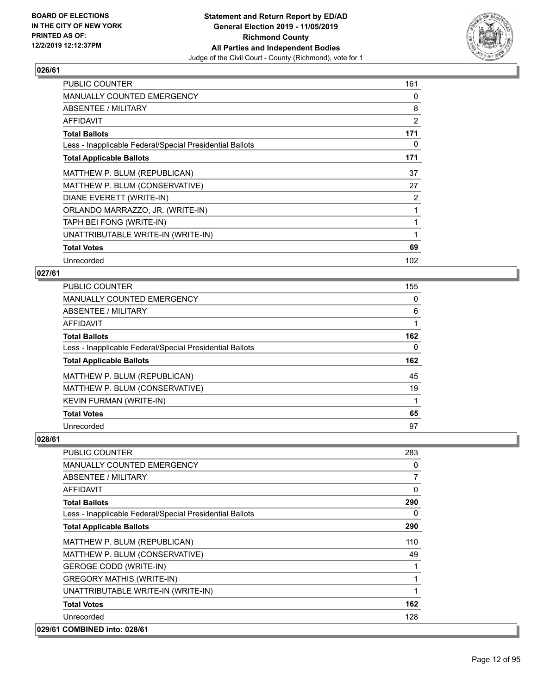

| <b>PUBLIC COUNTER</b>                                    | 161 |
|----------------------------------------------------------|-----|
| <b>MANUALLY COUNTED EMERGENCY</b>                        | 0   |
| ABSENTEE / MILITARY                                      | 8   |
| AFFIDAVIT                                                | 2   |
| <b>Total Ballots</b>                                     | 171 |
| Less - Inapplicable Federal/Special Presidential Ballots | 0   |
| <b>Total Applicable Ballots</b>                          | 171 |
| MATTHEW P. BLUM (REPUBLICAN)                             | 37  |
| MATTHEW P. BLUM (CONSERVATIVE)                           | 27  |
| DIANE EVERETT (WRITE-IN)                                 | 2   |
| ORLANDO MARRAZZO, JR. (WRITE-IN)                         |     |
| TAPH BEI FONG (WRITE-IN)                                 |     |
| UNATTRIBUTABLE WRITE-IN (WRITE-IN)                       | 1   |
| <b>Total Votes</b>                                       | 69  |
| Unrecorded                                               | 102 |

#### **027/61**

| PUBLIC COUNTER                                           | 155 |
|----------------------------------------------------------|-----|
| <b>MANUALLY COUNTED EMERGENCY</b>                        | 0   |
| <b>ABSENTEE / MILITARY</b>                               | 6   |
| <b>AFFIDAVIT</b>                                         |     |
| <b>Total Ballots</b>                                     | 162 |
| Less - Inapplicable Federal/Special Presidential Ballots | 0   |
| <b>Total Applicable Ballots</b>                          | 162 |
| MATTHEW P. BLUM (REPUBLICAN)                             | 45  |
| MATTHEW P. BLUM (CONSERVATIVE)                           | 19  |
| <b>KEVIN FURMAN (WRITE-IN)</b>                           |     |
| <b>Total Votes</b>                                       | 65  |
| Unrecorded                                               | 97  |

| PUBLIC COUNTER                                           | 283            |
|----------------------------------------------------------|----------------|
| <b>MANUALLY COUNTED EMERGENCY</b>                        | 0              |
| <b>ABSENTEE / MILITARY</b>                               | $\overline{7}$ |
| AFFIDAVIT                                                | 0              |
| <b>Total Ballots</b>                                     | 290            |
| Less - Inapplicable Federal/Special Presidential Ballots | $\Omega$       |
| <b>Total Applicable Ballots</b>                          | 290            |
| MATTHEW P. BLUM (REPUBLICAN)                             | 110            |
| MATTHEW P. BLUM (CONSERVATIVE)                           | 49             |
| <b>GEROGE CODD (WRITE-IN)</b>                            |                |
| <b>GREGORY MATHIS (WRITE-IN)</b>                         |                |
| UNATTRIBUTABLE WRITE-IN (WRITE-IN)                       | $\mathbf{1}$   |
| <b>Total Votes</b>                                       | 162            |
| Unrecorded                                               | 128            |
| 029/61 COMBINED into: 028/61                             |                |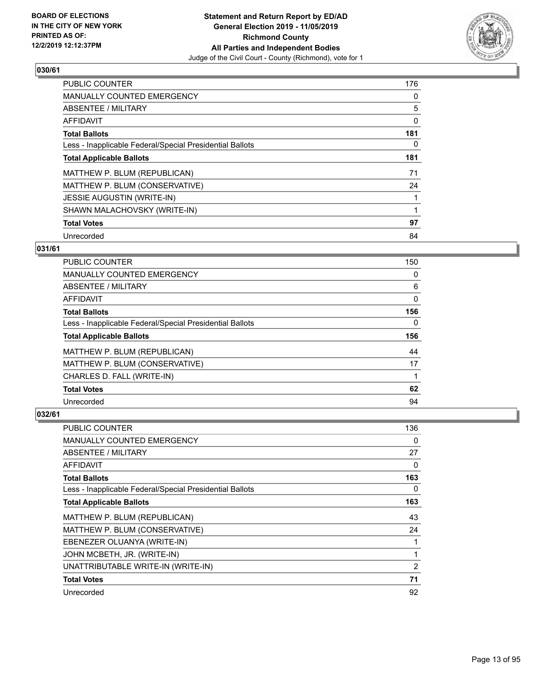

| <b>PUBLIC COUNTER</b>                                    | 176 |
|----------------------------------------------------------|-----|
| <b>MANUALLY COUNTED EMERGENCY</b>                        | 0   |
| ABSENTEE / MILITARY                                      | 5   |
| <b>AFFIDAVIT</b>                                         | 0   |
| <b>Total Ballots</b>                                     | 181 |
| Less - Inapplicable Federal/Special Presidential Ballots | 0   |
| <b>Total Applicable Ballots</b>                          | 181 |
| MATTHEW P. BLUM (REPUBLICAN)                             | 71  |
| MATTHEW P. BLUM (CONSERVATIVE)                           | 24  |
| <b>JESSIE AUGUSTIN (WRITE-IN)</b>                        |     |
| SHAWN MALACHOVSKY (WRITE-IN)                             |     |
| <b>Total Votes</b>                                       | 97  |
| Unrecorded                                               | 84  |

#### **031/61**

| <b>PUBLIC COUNTER</b>                                    | 150 |
|----------------------------------------------------------|-----|
| <b>MANUALLY COUNTED EMERGENCY</b>                        | 0   |
| ABSENTEE / MILITARY                                      | 6   |
| AFFIDAVIT                                                | 0   |
| <b>Total Ballots</b>                                     | 156 |
| Less - Inapplicable Federal/Special Presidential Ballots | 0   |
| <b>Total Applicable Ballots</b>                          | 156 |
| MATTHEW P. BLUM (REPUBLICAN)                             | 44  |
| MATTHEW P. BLUM (CONSERVATIVE)                           | 17  |
| CHARLES D. FALL (WRITE-IN)                               |     |
| <b>Total Votes</b>                                       | 62  |
| Unrecorded                                               | 94  |

| PUBLIC COUNTER                                           | 136 |
|----------------------------------------------------------|-----|
| MANUALLY COUNTED EMERGENCY                               | 0   |
| ABSENTEE / MILITARY                                      | 27  |
| AFFIDAVIT                                                | 0   |
| <b>Total Ballots</b>                                     | 163 |
| Less - Inapplicable Federal/Special Presidential Ballots | 0   |
| <b>Total Applicable Ballots</b>                          | 163 |
| MATTHEW P. BLUM (REPUBLICAN)                             | 43  |
| MATTHEW P. BLUM (CONSERVATIVE)                           | 24  |
| EBENEZER OLUANYA (WRITE-IN)                              |     |
| JOHN MCBETH, JR. (WRITE-IN)                              | 1   |
| UNATTRIBUTABLE WRITE-IN (WRITE-IN)                       | 2   |
| <b>Total Votes</b>                                       | 71  |
| Unrecorded                                               | 92  |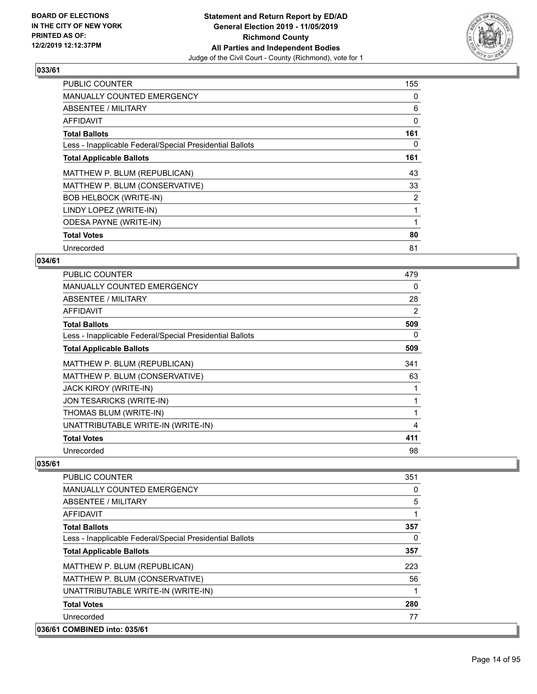

| PUBLIC COUNTER                                           | 155            |
|----------------------------------------------------------|----------------|
| <b>MANUALLY COUNTED EMERGENCY</b>                        | 0              |
| ABSENTEE / MILITARY                                      | 6              |
| <b>AFFIDAVIT</b>                                         | 0              |
| <b>Total Ballots</b>                                     | 161            |
| Less - Inapplicable Federal/Special Presidential Ballots | 0              |
| <b>Total Applicable Ballots</b>                          | 161            |
| MATTHEW P. BLUM (REPUBLICAN)                             | 43             |
| MATTHEW P. BLUM (CONSERVATIVE)                           | 33             |
| <b>BOB HELBOCK (WRITE-IN)</b>                            | $\overline{2}$ |
| LINDY LOPEZ (WRITE-IN)                                   | 1              |
| <b>ODESA PAYNE (WRITE-IN)</b>                            |                |
| <b>Total Votes</b>                                       | 80             |
| Unrecorded                                               | 81             |

#### **034/61**

| <b>PUBLIC COUNTER</b>                                    | 479 |
|----------------------------------------------------------|-----|
| <b>MANUALLY COUNTED EMERGENCY</b>                        | 0   |
| ABSENTEE / MILITARY                                      | 28  |
| <b>AFFIDAVIT</b>                                         | 2   |
| <b>Total Ballots</b>                                     | 509 |
| Less - Inapplicable Federal/Special Presidential Ballots | 0   |
| <b>Total Applicable Ballots</b>                          | 509 |
| MATTHEW P. BLUM (REPUBLICAN)                             | 341 |
| MATTHEW P. BLUM (CONSERVATIVE)                           | 63  |
| JACK KIROY (WRITE-IN)                                    |     |
| JON TESARICKS (WRITE-IN)                                 |     |
| THOMAS BLUM (WRITE-IN)                                   |     |
| UNATTRIBUTABLE WRITE-IN (WRITE-IN)                       | 4   |
| <b>Total Votes</b>                                       | 411 |
| Unrecorded                                               | 98  |

| <b>PUBLIC COUNTER</b>                                    | 351      |
|----------------------------------------------------------|----------|
| <b>MANUALLY COUNTED EMERGENCY</b>                        | 0        |
| ABSENTEE / MILITARY                                      | 5        |
| <b>AFFIDAVIT</b>                                         | 1        |
| <b>Total Ballots</b>                                     | 357      |
| Less - Inapplicable Federal/Special Presidential Ballots | $\Omega$ |
| <b>Total Applicable Ballots</b>                          | 357      |
| MATTHEW P. BLUM (REPUBLICAN)                             | 223      |
| MATTHEW P. BLUM (CONSERVATIVE)                           | 56       |
| UNATTRIBUTABLE WRITE-IN (WRITE-IN)                       | 1        |
| <b>Total Votes</b>                                       | 280      |
| Unrecorded                                               | 77       |
| 036/61 COMBINED into: 035/61                             |          |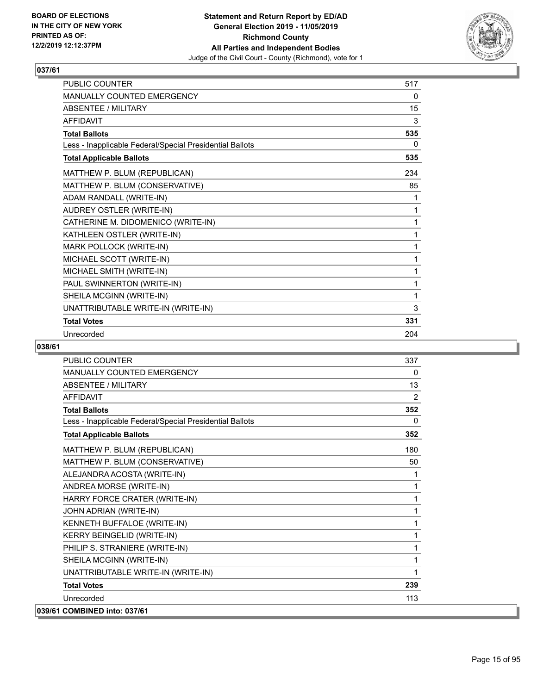

| PUBLIC COUNTER                                           | 517      |
|----------------------------------------------------------|----------|
| <b>MANUALLY COUNTED EMERGENCY</b>                        | 0        |
| <b>ABSENTEE / MILITARY</b>                               | 15       |
| <b>AFFIDAVIT</b>                                         | 3        |
| <b>Total Ballots</b>                                     | 535      |
| Less - Inapplicable Federal/Special Presidential Ballots | $\Omega$ |
| <b>Total Applicable Ballots</b>                          | 535      |
| MATTHEW P. BLUM (REPUBLICAN)                             | 234      |
| MATTHEW P. BLUM (CONSERVATIVE)                           | 85       |
| ADAM RANDALL (WRITE-IN)                                  | 1        |
| AUDREY OSTLER (WRITE-IN)                                 | 1        |
| CATHERINE M. DIDOMENICO (WRITE-IN)                       | 1        |
| KATHLEEN OSTLER (WRITE-IN)                               | 1        |
| MARK POLLOCK (WRITE-IN)                                  | 1        |
| MICHAEL SCOTT (WRITE-IN)                                 | 1        |
| MICHAEL SMITH (WRITE-IN)                                 | 1        |
| PAUL SWINNERTON (WRITE-IN)                               | 1        |
| SHEILA MCGINN (WRITE-IN)                                 | 1        |
| UNATTRIBUTABLE WRITE-IN (WRITE-IN)                       | 3        |
| <b>Total Votes</b>                                       | 331      |
| Unrecorded                                               | 204      |

| PUBLIC COUNTER                                           | 337          |
|----------------------------------------------------------|--------------|
| MANUALLY COUNTED EMERGENCY                               | 0            |
| <b>ABSENTEE / MILITARY</b>                               | 13           |
| <b>AFFIDAVIT</b>                                         | 2            |
| <b>Total Ballots</b>                                     | 352          |
| Less - Inapplicable Federal/Special Presidential Ballots | $\mathbf{0}$ |
| <b>Total Applicable Ballots</b>                          | 352          |
| MATTHEW P. BLUM (REPUBLICAN)                             | 180          |
| MATTHEW P. BLUM (CONSERVATIVE)                           | 50           |
| ALEJANDRA ACOSTA (WRITE-IN)                              | 1            |
| ANDREA MORSE (WRITE-IN)                                  | 1            |
| HARRY FORCE CRATER (WRITE-IN)                            | 1            |
| JOHN ADRIAN (WRITE-IN)                                   | 1            |
| KENNETH BUFFALOE (WRITE-IN)                              | 1            |
| KERRY BEINGELID (WRITE-IN)                               | 1            |
| PHILIP S. STRANIERE (WRITE-IN)                           | 1            |
| SHEILA MCGINN (WRITE-IN)                                 | 1            |
| UNATTRIBUTABLE WRITE-IN (WRITE-IN)                       | 1            |
| <b>Total Votes</b>                                       | 239          |
| Unrecorded                                               | 113          |
| 039/61 COMBINED into: 037/61                             |              |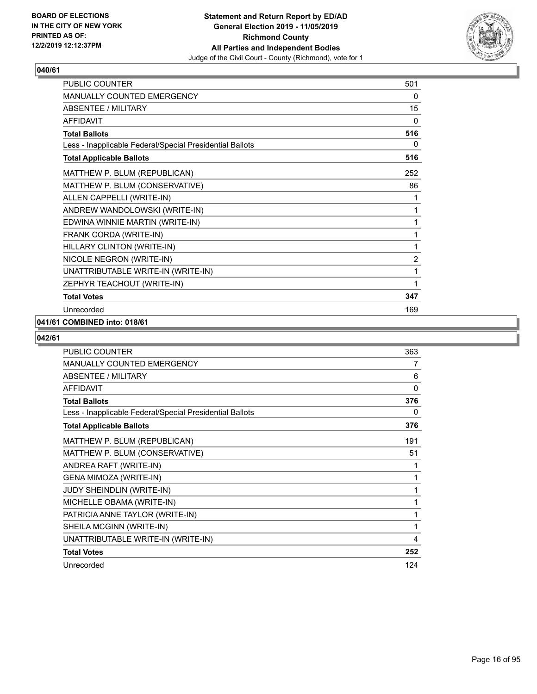

| PUBLIC COUNTER                                           | 501            |
|----------------------------------------------------------|----------------|
| MANUALLY COUNTED EMERGENCY                               | 0              |
| <b>ABSENTEE / MILITARY</b>                               | 15             |
| <b>AFFIDAVIT</b>                                         | $\Omega$       |
| <b>Total Ballots</b>                                     | 516            |
| Less - Inapplicable Federal/Special Presidential Ballots | 0              |
| <b>Total Applicable Ballots</b>                          | 516            |
| MATTHEW P. BLUM (REPUBLICAN)                             | 252            |
| MATTHEW P. BLUM (CONSERVATIVE)                           | 86             |
| ALLEN CAPPELLI (WRITE-IN)                                | 1              |
| ANDREW WANDOLOWSKI (WRITE-IN)                            | 1              |
| EDWINA WINNIE MARTIN (WRITE-IN)                          | 1              |
| FRANK CORDA (WRITE-IN)                                   | 1              |
| HILLARY CLINTON (WRITE-IN)                               | 1              |
| NICOLE NEGRON (WRITE-IN)                                 | $\overline{2}$ |
| UNATTRIBUTABLE WRITE-IN (WRITE-IN)                       | 1              |
| ZEPHYR TEACHOUT (WRITE-IN)                               | 1              |
| <b>Total Votes</b>                                       | 347            |
| Unrecorded                                               | 169            |

#### **041/61 COMBINED into: 018/61**

| <b>PUBLIC COUNTER</b>                                    | 363 |
|----------------------------------------------------------|-----|
| MANUALLY COUNTED EMERGENCY                               | 7   |
| <b>ABSENTEE / MILITARY</b>                               | 6   |
| <b>AFFIDAVIT</b>                                         | 0   |
| <b>Total Ballots</b>                                     | 376 |
| Less - Inapplicable Federal/Special Presidential Ballots | 0   |
| <b>Total Applicable Ballots</b>                          | 376 |
| MATTHEW P. BLUM (REPUBLICAN)                             | 191 |
| MATTHEW P. BLUM (CONSERVATIVE)                           | 51  |
| ANDREA RAFT (WRITE-IN)                                   | 1   |
| GENA MIMOZA (WRITE-IN)                                   | 1   |
| <b>JUDY SHEINDLIN (WRITE-IN)</b>                         | 1   |
| MICHELLE OBAMA (WRITE-IN)                                | 1   |
| PATRICIA ANNE TAYLOR (WRITE-IN)                          | 1   |
| SHEILA MCGINN (WRITE-IN)                                 | 1   |
| UNATTRIBUTABLE WRITE-IN (WRITE-IN)                       | 4   |
| <b>Total Votes</b>                                       | 252 |
| Unrecorded                                               | 124 |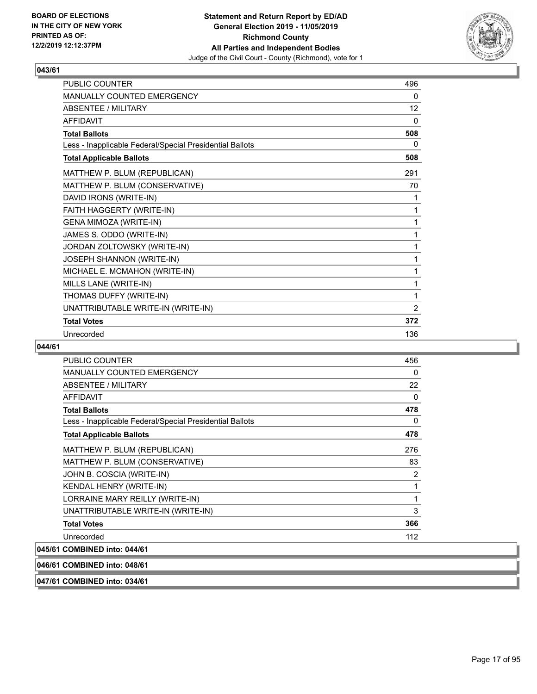

| <b>PUBLIC COUNTER</b>                                    | 496          |
|----------------------------------------------------------|--------------|
| <b>MANUALLY COUNTED EMERGENCY</b>                        | 0            |
| <b>ABSENTEE / MILITARY</b>                               | 12           |
| <b>AFFIDAVIT</b>                                         | $\mathbf{0}$ |
| <b>Total Ballots</b>                                     | 508          |
| Less - Inapplicable Federal/Special Presidential Ballots | 0            |
| <b>Total Applicable Ballots</b>                          | 508          |
| MATTHEW P. BLUM (REPUBLICAN)                             | 291          |
| MATTHEW P. BLUM (CONSERVATIVE)                           | 70           |
| DAVID IRONS (WRITE-IN)                                   | 1            |
| FAITH HAGGERTY (WRITE-IN)                                | 1            |
| <b>GENA MIMOZA (WRITE-IN)</b>                            | 1            |
| JAMES S. ODDO (WRITE-IN)                                 | 1            |
| JORDAN ZOLTOWSKY (WRITE-IN)                              | 1            |
| JOSEPH SHANNON (WRITE-IN)                                | 1            |
| MICHAEL E. MCMAHON (WRITE-IN)                            | 1            |
| MILLS LANE (WRITE-IN)                                    | 1            |
| THOMAS DUFFY (WRITE-IN)                                  | 1            |
| UNATTRIBUTABLE WRITE-IN (WRITE-IN)                       | 2            |
| <b>Total Votes</b>                                       | 372          |
| Unrecorded                                               | 136          |

#### **044/61**

| <b>PUBLIC COUNTER</b>                                    | 456 |
|----------------------------------------------------------|-----|
| <b>MANUALLY COUNTED EMERGENCY</b>                        | 0   |
| ABSENTEE / MILITARY                                      | 22  |
| <b>AFFIDAVIT</b>                                         | 0   |
| <b>Total Ballots</b>                                     | 478 |
| Less - Inapplicable Federal/Special Presidential Ballots | 0   |
| <b>Total Applicable Ballots</b>                          | 478 |
| MATTHEW P. BLUM (REPUBLICAN)                             | 276 |
| MATTHEW P. BLUM (CONSERVATIVE)                           | 83  |
| JOHN B. COSCIA (WRITE-IN)                                | 2   |
| <b>KENDAL HENRY (WRITE-IN)</b>                           |     |
| LORRAINE MARY REILLY (WRITE-IN)                          | 1   |
| UNATTRIBUTABLE WRITE-IN (WRITE-IN)                       | 3   |
| <b>Total Votes</b>                                       | 366 |
| Unrecorded                                               | 112 |
| 045/61 COMBINED into: 044/61                             |     |

## **046/61 COMBINED into: 048/61**

**047/61 COMBINED into: 034/61**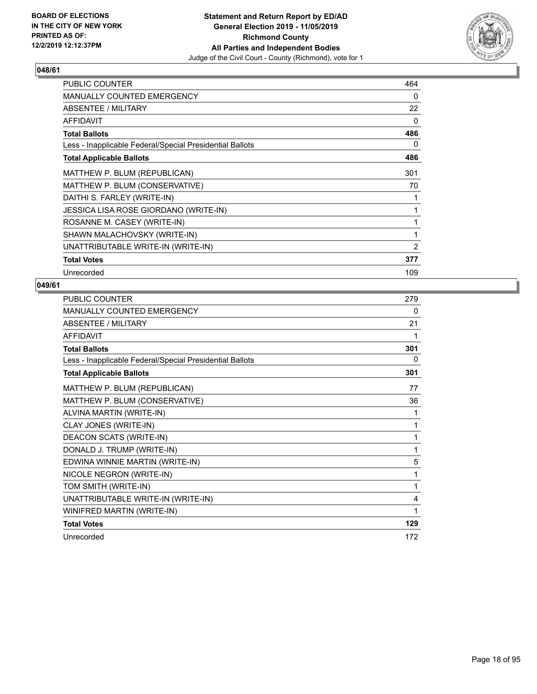

| <b>PUBLIC COUNTER</b>                                    | 464          |
|----------------------------------------------------------|--------------|
| <b>MANUALLY COUNTED EMERGENCY</b>                        | 0            |
| ABSENTEE / MILITARY                                      | 22           |
| <b>AFFIDAVIT</b>                                         | 0            |
| <b>Total Ballots</b>                                     | 486          |
| Less - Inapplicable Federal/Special Presidential Ballots | 0            |
| <b>Total Applicable Ballots</b>                          | 486          |
| MATTHEW P. BLUM (REPUBLICAN)                             | 301          |
| MATTHEW P. BLUM (CONSERVATIVE)                           | 70           |
| DAITHI S. FARLEY (WRITE-IN)                              | 1            |
| JESSICA LISA ROSE GIORDANO (WRITE-IN)                    | $\mathbf{1}$ |
| ROSANNE M. CASEY (WRITE-IN)                              | 1            |
| SHAWN MALACHOVSKY (WRITE-IN)                             | 1            |
| UNATTRIBUTABLE WRITE-IN (WRITE-IN)                       | 2            |
| <b>Total Votes</b>                                       | 377          |
| Unrecorded                                               | 109          |

| PUBLIC COUNTER                                           | 279 |
|----------------------------------------------------------|-----|
| <b>MANUALLY COUNTED EMERGENCY</b>                        | 0   |
| <b>ABSENTEE / MILITARY</b>                               | 21  |
| <b>AFFIDAVIT</b>                                         | 1   |
| <b>Total Ballots</b>                                     | 301 |
| Less - Inapplicable Federal/Special Presidential Ballots | 0   |
| <b>Total Applicable Ballots</b>                          | 301 |
| MATTHEW P. BLUM (REPUBLICAN)                             | 77  |
| MATTHEW P. BLUM (CONSERVATIVE)                           | 36  |
| ALVINA MARTIN (WRITE-IN)                                 | 1   |
| CLAY JONES (WRITE-IN)                                    | 1   |
| DEACON SCATS (WRITE-IN)                                  | 1   |
| DONALD J. TRUMP (WRITE-IN)                               | 1   |
| EDWINA WINNIE MARTIN (WRITE-IN)                          | 5   |
| NICOLE NEGRON (WRITE-IN)                                 | 1   |
| TOM SMITH (WRITE-IN)                                     | 1   |
| UNATTRIBUTABLE WRITE-IN (WRITE-IN)                       | 4   |
| WINIFRED MARTIN (WRITE-IN)                               | 1   |
| <b>Total Votes</b>                                       | 129 |
| Unrecorded                                               | 172 |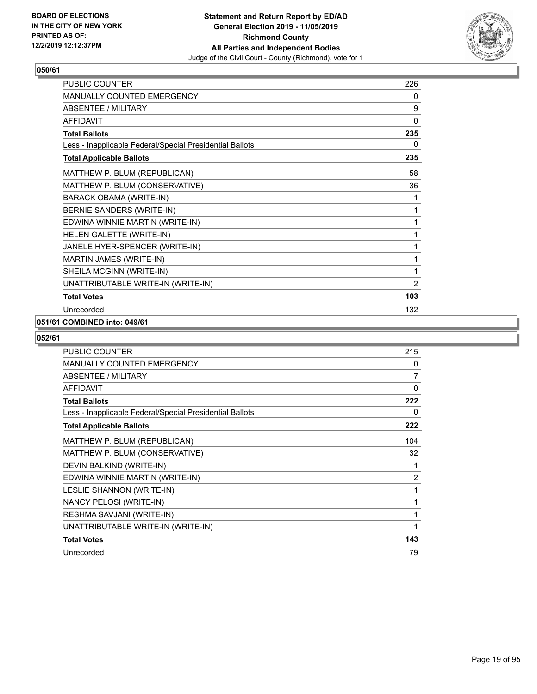

| PUBLIC COUNTER                                           | 226          |
|----------------------------------------------------------|--------------|
| MANUALLY COUNTED EMERGENCY                               | 0            |
| <b>ABSENTEE / MILITARY</b>                               | 9            |
| <b>AFFIDAVIT</b>                                         | $\mathbf{0}$ |
| <b>Total Ballots</b>                                     | 235          |
| Less - Inapplicable Federal/Special Presidential Ballots | 0            |
| <b>Total Applicable Ballots</b>                          | 235          |
| MATTHEW P. BLUM (REPUBLICAN)                             | 58           |
| MATTHEW P. BLUM (CONSERVATIVE)                           | 36           |
| <b>BARACK OBAMA (WRITE-IN)</b>                           | 1            |
| BERNIE SANDERS (WRITE-IN)                                | 1            |
| EDWINA WINNIE MARTIN (WRITE-IN)                          | 1            |
| HELEN GALETTE (WRITE-IN)                                 | 1            |
| JANELE HYER-SPENCER (WRITE-IN)                           | 1            |
| MARTIN JAMES (WRITE-IN)                                  | 1            |
| SHEILA MCGINN (WRITE-IN)                                 | 1            |
| UNATTRIBUTABLE WRITE-IN (WRITE-IN)                       | 2            |
| <b>Total Votes</b>                                       | 103          |
| Unrecorded                                               | 132          |

## **051/61 COMBINED into: 049/61**

| PUBLIC COUNTER                                           | 215 |
|----------------------------------------------------------|-----|
| <b>MANUALLY COUNTED EMERGENCY</b>                        | 0   |
| <b>ABSENTEE / MILITARY</b>                               | 7   |
| <b>AFFIDAVIT</b>                                         | 0   |
| <b>Total Ballots</b>                                     | 222 |
| Less - Inapplicable Federal/Special Presidential Ballots | 0   |
| <b>Total Applicable Ballots</b>                          | 222 |
| MATTHEW P. BLUM (REPUBLICAN)                             | 104 |
| MATTHEW P. BLUM (CONSERVATIVE)                           | 32  |
| DEVIN BALKIND (WRITE-IN)                                 | 1   |
| EDWINA WINNIE MARTIN (WRITE-IN)                          | 2   |
| LESLIE SHANNON (WRITE-IN)                                | 1   |
| NANCY PELOSI (WRITE-IN)                                  | 1   |
| RESHMA SAVJANI (WRITE-IN)                                | 1   |
| UNATTRIBUTABLE WRITE-IN (WRITE-IN)                       | 1   |
| <b>Total Votes</b>                                       | 143 |
| Unrecorded                                               | 79  |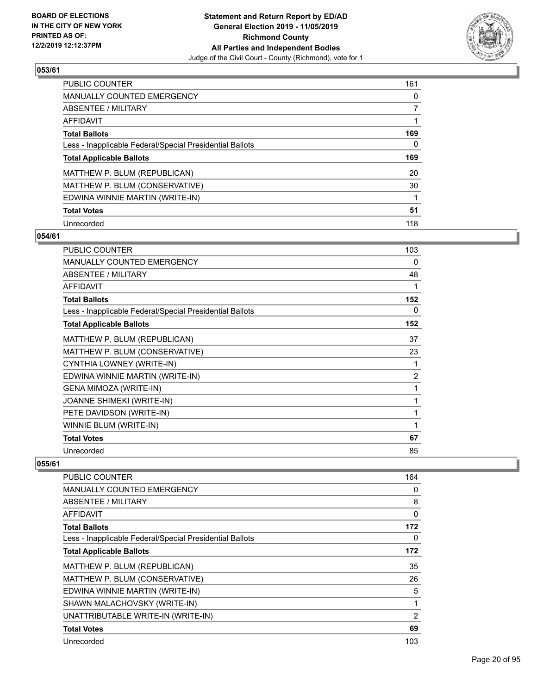

| PUBLIC COUNTER                                           | 161 |
|----------------------------------------------------------|-----|
| MANUALLY COUNTED EMERGENCY                               | 0   |
| ABSENTEE / MILITARY                                      | 7   |
| AFFIDAVIT                                                |     |
| <b>Total Ballots</b>                                     | 169 |
| Less - Inapplicable Federal/Special Presidential Ballots | 0   |
| <b>Total Applicable Ballots</b>                          | 169 |
| MATTHEW P. BLUM (REPUBLICAN)                             | 20  |
| MATTHEW P. BLUM (CONSERVATIVE)                           | 30  |
| EDWINA WINNIE MARTIN (WRITE-IN)                          |     |
| <b>Total Votes</b>                                       | 51  |
| Unrecorded                                               | 118 |

#### **054/61**

| <b>PUBLIC COUNTER</b>                                    | 103 |
|----------------------------------------------------------|-----|
| <b>MANUALLY COUNTED EMERGENCY</b>                        | 0   |
| ABSENTEE / MILITARY                                      | 48  |
| <b>AFFIDAVIT</b>                                         | 1   |
| <b>Total Ballots</b>                                     | 152 |
| Less - Inapplicable Federal/Special Presidential Ballots | 0   |
| <b>Total Applicable Ballots</b>                          | 152 |
| MATTHEW P. BLUM (REPUBLICAN)                             | 37  |
| MATTHEW P. BLUM (CONSERVATIVE)                           | 23  |
| CYNTHIA LOWNEY (WRITE-IN)                                | 1   |
| EDWINA WINNIE MARTIN (WRITE-IN)                          | 2   |
| GENA MIMOZA (WRITE-IN)                                   | 1   |
| <b>JOANNE SHIMEKI (WRITE-IN)</b>                         | 1   |
| PETE DAVIDSON (WRITE-IN)                                 | 1   |
| WINNIE BLUM (WRITE-IN)                                   | 1   |
| <b>Total Votes</b>                                       | 67  |
| Unrecorded                                               | 85  |

| PUBLIC COUNTER                                           | 164      |
|----------------------------------------------------------|----------|
| <b>MANUALLY COUNTED EMERGENCY</b>                        | 0        |
| ABSENTEE / MILITARY                                      | 8        |
| AFFIDAVIT                                                | $\Omega$ |
| <b>Total Ballots</b>                                     | 172      |
| Less - Inapplicable Federal/Special Presidential Ballots | 0        |
| <b>Total Applicable Ballots</b>                          | 172      |
| MATTHEW P. BLUM (REPUBLICAN)                             | 35       |
| MATTHEW P. BLUM (CONSERVATIVE)                           | 26       |
| EDWINA WINNIE MARTIN (WRITE-IN)                          | 5        |
| SHAWN MALACHOVSKY (WRITE-IN)                             | 1        |
| UNATTRIBUTABLE WRITE-IN (WRITE-IN)                       | 2        |
| <b>Total Votes</b>                                       | 69       |
| Unrecorded                                               | 103      |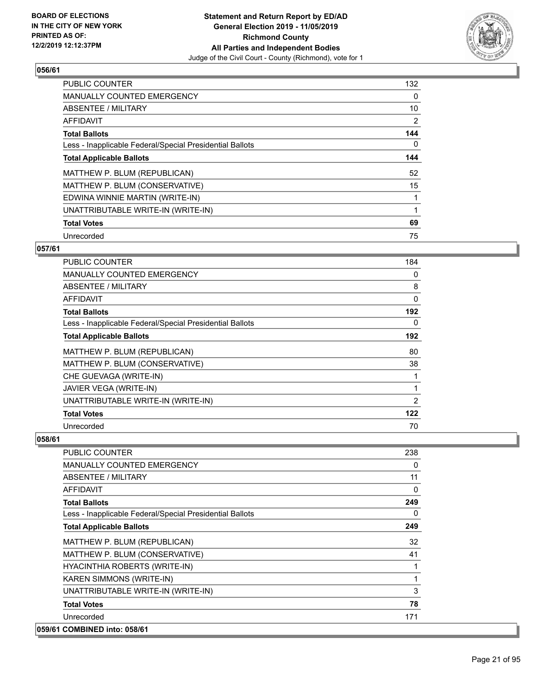

| <b>PUBLIC COUNTER</b>                                    | 132 |
|----------------------------------------------------------|-----|
| MANUALLY COUNTED EMERGENCY                               | 0   |
| ABSENTEE / MILITARY                                      | 10  |
| <b>AFFIDAVIT</b>                                         | 2   |
| <b>Total Ballots</b>                                     | 144 |
| Less - Inapplicable Federal/Special Presidential Ballots | 0   |
| <b>Total Applicable Ballots</b>                          | 144 |
| MATTHEW P. BLUM (REPUBLICAN)                             | 52  |
| MATTHEW P. BLUM (CONSERVATIVE)                           | 15  |
| EDWINA WINNIE MARTIN (WRITE-IN)                          |     |
| UNATTRIBUTABLE WRITE-IN (WRITE-IN)                       |     |
| <b>Total Votes</b>                                       | 69  |
| Unrecorded                                               | 75  |

#### **057/61**

| PUBLIC COUNTER                                           | 184            |
|----------------------------------------------------------|----------------|
| MANUALLY COUNTED EMERGENCY                               | 0              |
| ABSENTEE / MILITARY                                      | 8              |
| AFFIDAVIT                                                | $\mathbf{0}$   |
| <b>Total Ballots</b>                                     | 192            |
| Less - Inapplicable Federal/Special Presidential Ballots | 0              |
| <b>Total Applicable Ballots</b>                          | 192            |
| MATTHEW P. BLUM (REPUBLICAN)                             | 80             |
| MATTHEW P. BLUM (CONSERVATIVE)                           | 38             |
| CHE GUEVAGA (WRITE-IN)                                   | 1              |
| JAVIER VEGA (WRITE-IN)                                   | 1              |
| UNATTRIBUTABLE WRITE-IN (WRITE-IN)                       | $\overline{2}$ |
| <b>Total Votes</b>                                       | 122            |
| Unrecorded                                               | 70             |

| <b>PUBLIC COUNTER</b>                                    | 238 |
|----------------------------------------------------------|-----|
| <b>MANUALLY COUNTED EMERGENCY</b>                        | 0   |
| ABSENTEE / MILITARY                                      | 11  |
| <b>AFFIDAVIT</b>                                         | 0   |
| <b>Total Ballots</b>                                     | 249 |
| Less - Inapplicable Federal/Special Presidential Ballots | 0   |
| <b>Total Applicable Ballots</b>                          | 249 |
| MATTHEW P. BLUM (REPUBLICAN)                             | 32  |
| MATTHEW P. BLUM (CONSERVATIVE)                           | 41  |
| HYACINTHIA ROBERTS (WRITE-IN)                            |     |
| KAREN SIMMONS (WRITE-IN)                                 | 1   |
| UNATTRIBUTABLE WRITE-IN (WRITE-IN)                       | 3   |
| <b>Total Votes</b>                                       | 78  |
| Unrecorded                                               | 171 |
| 059/61 COMBINED into: 058/61                             |     |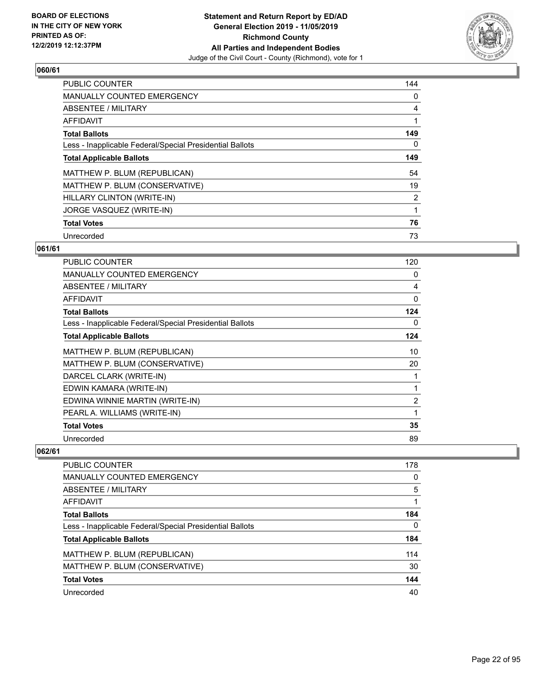

| PUBLIC COUNTER                                           | 144            |
|----------------------------------------------------------|----------------|
| <b>MANUALLY COUNTED EMERGENCY</b>                        | 0              |
| ABSENTEE / MILITARY                                      | 4              |
| <b>AFFIDAVIT</b>                                         |                |
| <b>Total Ballots</b>                                     | 149            |
| Less - Inapplicable Federal/Special Presidential Ballots | 0              |
| <b>Total Applicable Ballots</b>                          | 149            |
| MATTHEW P. BLUM (REPUBLICAN)                             | 54             |
| MATTHEW P. BLUM (CONSERVATIVE)                           | 19             |
| HILLARY CLINTON (WRITE-IN)                               | $\overline{2}$ |
| JORGE VASQUEZ (WRITE-IN)                                 | 1              |
| <b>Total Votes</b>                                       | 76             |
| Unrecorded                                               | 73             |

#### **061/61**

| PUBLIC COUNTER                                           | 120 |
|----------------------------------------------------------|-----|
| <b>MANUALLY COUNTED EMERGENCY</b>                        | 0   |
| <b>ABSENTEE / MILITARY</b>                               | 4   |
| <b>AFFIDAVIT</b>                                         | 0   |
| <b>Total Ballots</b>                                     | 124 |
| Less - Inapplicable Federal/Special Presidential Ballots | 0   |
| <b>Total Applicable Ballots</b>                          | 124 |
| MATTHEW P. BLUM (REPUBLICAN)                             | 10  |
| MATTHEW P. BLUM (CONSERVATIVE)                           | 20  |
| DARCEL CLARK (WRITE-IN)                                  | 1   |
| EDWIN KAMARA (WRITE-IN)                                  | 1   |
| EDWINA WINNIE MARTIN (WRITE-IN)                          | 2   |
| PEARL A. WILLIAMS (WRITE-IN)                             | 1   |
| <b>Total Votes</b>                                       | 35  |
| Unrecorded                                               | 89  |

| <b>PUBLIC COUNTER</b>                                    | 178          |
|----------------------------------------------------------|--------------|
| MANUALLY COUNTED EMERGENCY                               | 0            |
| ABSENTEE / MILITARY                                      | 5            |
| AFFIDAVIT                                                |              |
| <b>Total Ballots</b>                                     | 184          |
| Less - Inapplicable Federal/Special Presidential Ballots | $\mathbf{0}$ |
| <b>Total Applicable Ballots</b>                          | 184          |
| MATTHEW P. BLUM (REPUBLICAN)                             | 114          |
| MATTHEW P. BLUM (CONSERVATIVE)                           | 30           |
| <b>Total Votes</b>                                       | 144          |
| Unrecorded                                               | 40           |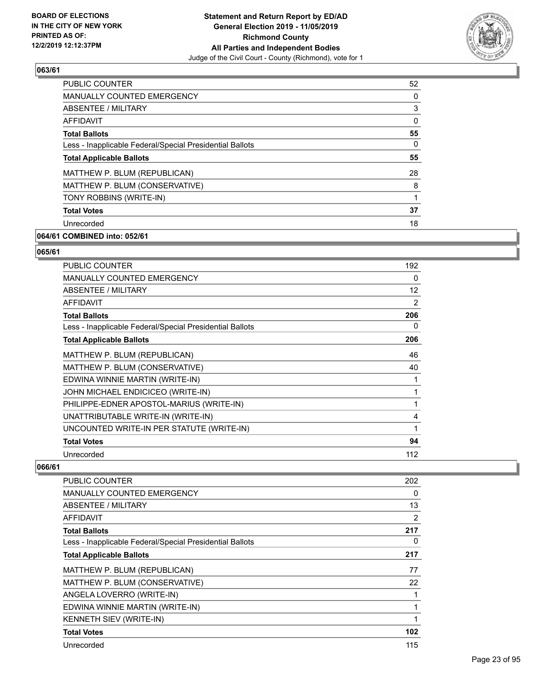

| <b>PUBLIC COUNTER</b>                                    | 52       |
|----------------------------------------------------------|----------|
| <b>MANUALLY COUNTED EMERGENCY</b>                        | 0        |
| ABSENTEE / MILITARY                                      | 3        |
| <b>AFFIDAVIT</b>                                         | $\Omega$ |
| <b>Total Ballots</b>                                     | 55       |
| Less - Inapplicable Federal/Special Presidential Ballots | 0        |
| <b>Total Applicable Ballots</b>                          | 55       |
| MATTHEW P. BLUM (REPUBLICAN)                             | 28       |
| MATTHEW P. BLUM (CONSERVATIVE)                           | 8        |
| TONY ROBBINS (WRITE-IN)                                  | 1        |
| <b>Total Votes</b>                                       | 37       |
| Unrecorded                                               | 18       |
|                                                          |          |

## **064/61 COMBINED into: 052/61**

#### **065/61**

| <b>PUBLIC COUNTER</b>                                    | 192               |
|----------------------------------------------------------|-------------------|
| <b>MANUALLY COUNTED EMERGENCY</b>                        | 0                 |
| <b>ABSENTEE / MILITARY</b>                               | $12 \overline{ }$ |
| <b>AFFIDAVIT</b>                                         | 2                 |
| <b>Total Ballots</b>                                     | 206               |
| Less - Inapplicable Federal/Special Presidential Ballots | 0                 |
| <b>Total Applicable Ballots</b>                          | 206               |
| MATTHEW P. BLUM (REPUBLICAN)                             | 46                |
| MATTHEW P. BLUM (CONSERVATIVE)                           | 40                |
| EDWINA WINNIE MARTIN (WRITE-IN)                          | 1                 |
| JOHN MICHAEL ENDICICEO (WRITE-IN)                        | 1                 |
| PHILIPPE-EDNER APOSTOL-MARIUS (WRITE-IN)                 | 1                 |
| UNATTRIBUTABLE WRITE-IN (WRITE-IN)                       | 4                 |
| UNCOUNTED WRITE-IN PER STATUTE (WRITE-IN)                | 1                 |
| <b>Total Votes</b>                                       | 94                |
| Unrecorded                                               | 112               |

| PUBLIC COUNTER                                           | 202            |
|----------------------------------------------------------|----------------|
| MANUALLY COUNTED EMERGENCY                               | 0              |
| ABSENTEE / MILITARY                                      | 13             |
| AFFIDAVIT                                                | $\overline{2}$ |
| <b>Total Ballots</b>                                     | 217            |
| Less - Inapplicable Federal/Special Presidential Ballots | 0              |
| <b>Total Applicable Ballots</b>                          | 217            |
| MATTHEW P. BLUM (REPUBLICAN)                             | 77             |
| MATTHEW P. BLUM (CONSERVATIVE)                           | 22             |
| ANGELA LOVERRO (WRITE-IN)                                | 1              |
| EDWINA WINNIE MARTIN (WRITE-IN)                          | 1              |
| KENNETH SIEV (WRITE-IN)                                  | 1              |
| <b>Total Votes</b>                                       | 102            |
| Unrecorded                                               | 115            |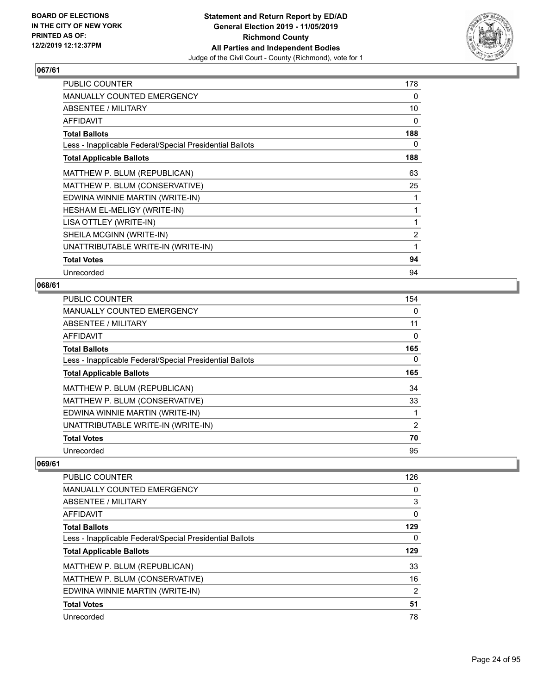

| PUBLIC COUNTER                                           | 178            |
|----------------------------------------------------------|----------------|
| <b>MANUALLY COUNTED EMERGENCY</b>                        | 0              |
| ABSENTEE / MILITARY                                      | 10             |
| AFFIDAVIT                                                | 0              |
| <b>Total Ballots</b>                                     | 188            |
| Less - Inapplicable Federal/Special Presidential Ballots | 0              |
| <b>Total Applicable Ballots</b>                          | 188            |
| MATTHEW P. BLUM (REPUBLICAN)                             | 63             |
| MATTHEW P. BLUM (CONSERVATIVE)                           | 25             |
| EDWINA WINNIE MARTIN (WRITE-IN)                          | 1              |
| HESHAM EL-MELIGY (WRITE-IN)                              | 1              |
| LISA OTTLEY (WRITE-IN)                                   | 1              |
| SHEILA MCGINN (WRITE-IN)                                 | $\overline{2}$ |
| UNATTRIBUTABLE WRITE-IN (WRITE-IN)                       | 1              |
| <b>Total Votes</b>                                       | 94             |
| Unrecorded                                               | 94             |

#### **068/61**

| PUBLIC COUNTER                                           | 154 |
|----------------------------------------------------------|-----|
| <b>MANUALLY COUNTED EMERGENCY</b>                        | 0   |
| ABSENTEE / MILITARY                                      | 11  |
| AFFIDAVIT                                                | 0   |
| <b>Total Ballots</b>                                     | 165 |
| Less - Inapplicable Federal/Special Presidential Ballots | 0   |
| <b>Total Applicable Ballots</b>                          | 165 |
| MATTHEW P. BLUM (REPUBLICAN)                             | 34  |
| MATTHEW P. BLUM (CONSERVATIVE)                           | 33  |
| EDWINA WINNIE MARTIN (WRITE-IN)                          | 1   |
| UNATTRIBUTABLE WRITE-IN (WRITE-IN)                       | 2   |
| <b>Total Votes</b>                                       | 70  |
| Unrecorded                                               | 95  |

| <b>PUBLIC COUNTER</b>                                    | 126            |
|----------------------------------------------------------|----------------|
| MANUALLY COUNTED EMERGENCY                               | 0              |
| ABSENTEE / MILITARY                                      | 3              |
| AFFIDAVIT                                                | 0              |
| <b>Total Ballots</b>                                     | 129            |
| Less - Inapplicable Federal/Special Presidential Ballots | 0              |
| <b>Total Applicable Ballots</b>                          | 129            |
| MATTHEW P. BLUM (REPUBLICAN)                             | 33             |
| MATTHEW P. BLUM (CONSERVATIVE)                           | 16             |
| EDWINA WINNIE MARTIN (WRITE-IN)                          | $\overline{2}$ |
|                                                          |                |
| <b>Total Votes</b>                                       | 51             |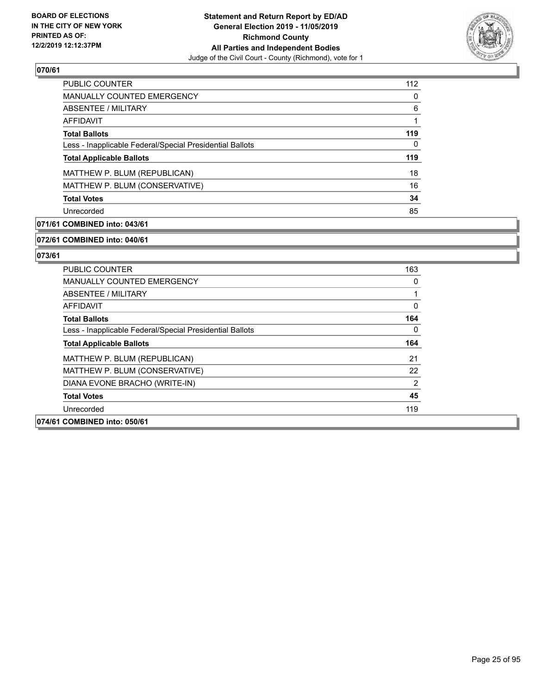

| PUBLIC COUNTER                                           | 112 |
|----------------------------------------------------------|-----|
| <b>MANUALLY COUNTED EMERGENCY</b>                        | 0   |
| ABSENTEE / MILITARY                                      | 6   |
| AFFIDAVIT                                                |     |
| <b>Total Ballots</b>                                     | 119 |
| Less - Inapplicable Federal/Special Presidential Ballots | 0   |
| <b>Total Applicable Ballots</b>                          | 119 |
| MATTHEW P. BLUM (REPUBLICAN)                             | 18  |
| MATTHEW P. BLUM (CONSERVATIVE)                           | 16  |
| <b>Total Votes</b>                                       | 34  |
| Unrecorded                                               | 85  |

## **071/61 COMBINED into: 043/61**

#### **072/61 COMBINED into: 040/61**

| <b>PUBLIC COUNTER</b>                                    | 163 |
|----------------------------------------------------------|-----|
| <b>MANUALLY COUNTED EMERGENCY</b>                        | 0   |
| ABSENTEE / MILITARY                                      |     |
| <b>AFFIDAVIT</b>                                         | 0   |
| <b>Total Ballots</b>                                     | 164 |
| Less - Inapplicable Federal/Special Presidential Ballots | 0   |
| <b>Total Applicable Ballots</b>                          | 164 |
| MATTHEW P. BLUM (REPUBLICAN)                             | 21  |
| MATTHEW P. BLUM (CONSERVATIVE)                           | 22  |
| DIANA EVONE BRACHO (WRITE-IN)                            | 2   |
| <b>Total Votes</b>                                       | 45  |
| Unrecorded                                               | 119 |
| 074/61 COMBINED into: 050/61                             |     |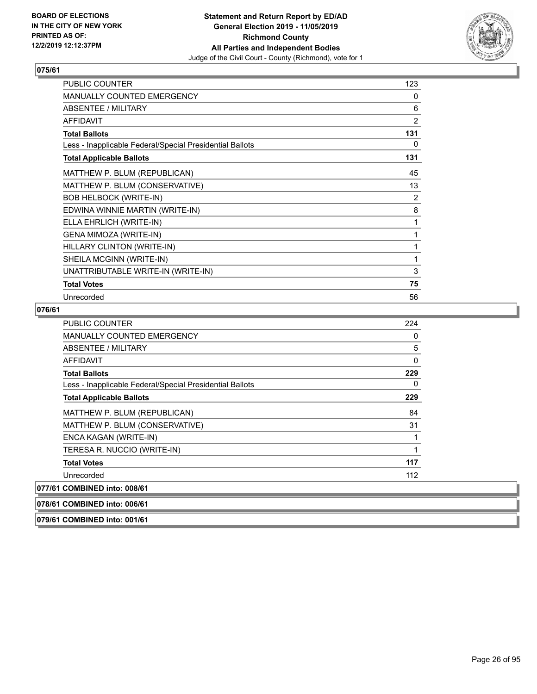

| PUBLIC COUNTER                                           | 123            |
|----------------------------------------------------------|----------------|
| <b>MANUALLY COUNTED EMERGENCY</b>                        | 0              |
| ABSENTEE / MILITARY                                      | 6              |
| <b>AFFIDAVIT</b>                                         | $\overline{2}$ |
| <b>Total Ballots</b>                                     | 131            |
| Less - Inapplicable Federal/Special Presidential Ballots | 0              |
| <b>Total Applicable Ballots</b>                          | 131            |
| MATTHEW P. BLUM (REPUBLICAN)                             | 45             |
| MATTHEW P. BLUM (CONSERVATIVE)                           | 13             |
| <b>BOB HELBOCK (WRITE-IN)</b>                            | 2              |
| EDWINA WINNIE MARTIN (WRITE-IN)                          | 8              |
| ELLA EHRLICH (WRITE-IN)                                  | 1              |
| GENA MIMOZA (WRITE-IN)                                   | 1              |
| HILLARY CLINTON (WRITE-IN)                               | 1              |
| SHEILA MCGINN (WRITE-IN)                                 | 1              |
| UNATTRIBUTABLE WRITE-IN (WRITE-IN)                       | 3              |
| <b>Total Votes</b>                                       | 75             |
| Unrecorded                                               | 56             |

## **076/61**

| <b>PUBLIC COUNTER</b>                                    | 224 |
|----------------------------------------------------------|-----|
| <b>MANUALLY COUNTED EMERGENCY</b>                        | 0   |
| ABSENTEE / MILITARY                                      | 5   |
| AFFIDAVIT                                                | 0   |
| <b>Total Ballots</b>                                     | 229 |
| Less - Inapplicable Federal/Special Presidential Ballots | 0   |
| <b>Total Applicable Ballots</b>                          | 229 |
| MATTHEW P. BLUM (REPUBLICAN)                             | 84  |
| MATTHEW P. BLUM (CONSERVATIVE)                           | 31  |
| ENCA KAGAN (WRITE-IN)                                    | 1   |
| TERESA R. NUCCIO (WRITE-IN)                              | 1   |
| <b>Total Votes</b>                                       | 117 |
| Unrecorded                                               | 112 |
| 077/61 COMBINED into: 008/61                             |     |
| 078/61 COMBINED into: 006/61                             |     |

**079/61 COMBINED into: 001/61**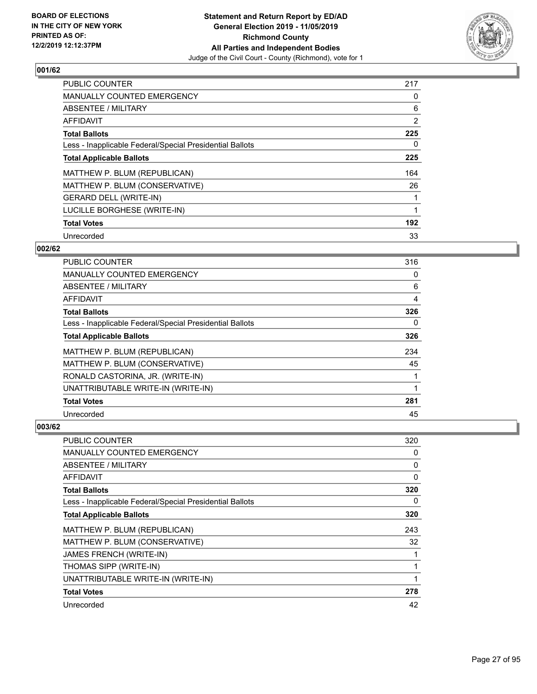

| <b>PUBLIC COUNTER</b>                                    | 217            |
|----------------------------------------------------------|----------------|
| <b>MANUALLY COUNTED EMERGENCY</b>                        | 0              |
| ABSENTEE / MILITARY                                      | 6              |
| <b>AFFIDAVIT</b>                                         | $\overline{2}$ |
| <b>Total Ballots</b>                                     | 225            |
| Less - Inapplicable Federal/Special Presidential Ballots | 0              |
| <b>Total Applicable Ballots</b>                          | 225            |
| MATTHEW P. BLUM (REPUBLICAN)                             | 164            |
| MATTHEW P. BLUM (CONSERVATIVE)                           | 26             |
| <b>GERARD DELL (WRITE-IN)</b>                            |                |
| LUCILLE BORGHESE (WRITE-IN)                              | 1              |
| <b>Total Votes</b>                                       | 192            |
| Unrecorded                                               | 33             |

#### **002/62**

| <b>PUBLIC COUNTER</b>                                    | 316 |
|----------------------------------------------------------|-----|
| MANUALLY COUNTED EMERGENCY                               | 0   |
| ABSENTEE / MILITARY                                      | 6   |
| <b>AFFIDAVIT</b>                                         | 4   |
| <b>Total Ballots</b>                                     | 326 |
| Less - Inapplicable Federal/Special Presidential Ballots | 0   |
| <b>Total Applicable Ballots</b>                          | 326 |
| MATTHEW P. BLUM (REPUBLICAN)                             | 234 |
| MATTHEW P. BLUM (CONSERVATIVE)                           | 45  |
| RONALD CASTORINA, JR. (WRITE-IN)                         |     |
| UNATTRIBUTABLE WRITE-IN (WRITE-IN)                       |     |
| <b>Total Votes</b>                                       | 281 |
| Unrecorded                                               | 45  |

| PUBLIC COUNTER                                           | 320          |
|----------------------------------------------------------|--------------|
| MANUALLY COUNTED EMERGENCY                               | 0            |
| ABSENTEE / MILITARY                                      | 0            |
| AFFIDAVIT                                                | $\mathbf{0}$ |
| <b>Total Ballots</b>                                     | 320          |
| Less - Inapplicable Federal/Special Presidential Ballots | 0            |
| <b>Total Applicable Ballots</b>                          | 320          |
| MATTHEW P. BLUM (REPUBLICAN)                             | 243          |
| MATTHEW P. BLUM (CONSERVATIVE)                           | 32           |
| <b>JAMES FRENCH (WRITE-IN)</b>                           | 1            |
| THOMAS SIPP (WRITE-IN)                                   | 1            |
| UNATTRIBUTABLE WRITE-IN (WRITE-IN)                       | 1            |
| <b>Total Votes</b>                                       | 278          |
| Unrecorded                                               | 42           |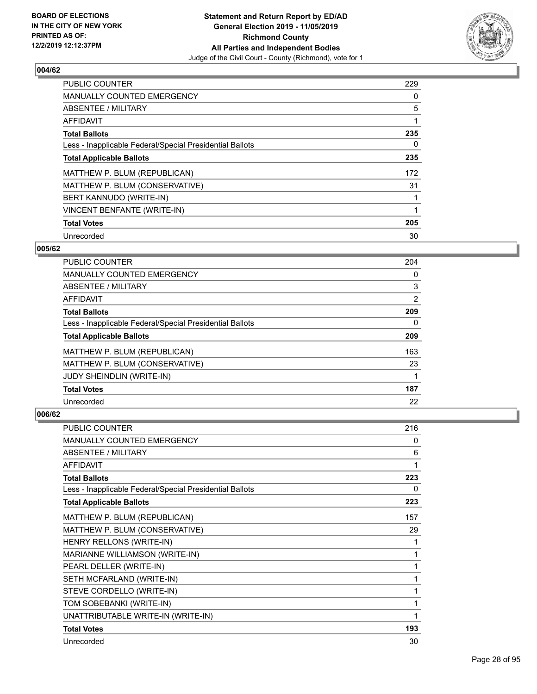

| <b>PUBLIC COUNTER</b>                                    | 229 |
|----------------------------------------------------------|-----|
| <b>MANUALLY COUNTED EMERGENCY</b>                        | 0   |
| ABSENTEE / MILITARY                                      | 5   |
| <b>AFFIDAVIT</b>                                         |     |
| <b>Total Ballots</b>                                     | 235 |
| Less - Inapplicable Federal/Special Presidential Ballots | 0   |
| <b>Total Applicable Ballots</b>                          | 235 |
| MATTHEW P. BLUM (REPUBLICAN)                             | 172 |
| MATTHEW P. BLUM (CONSERVATIVE)                           | 31  |
| BERT KANNUDO (WRITE-IN)                                  |     |
| VINCENT BENFANTE (WRITE-IN)                              |     |
| <b>Total Votes</b>                                       | 205 |
| Unrecorded                                               | 30  |

#### **005/62**

| <b>PUBLIC COUNTER</b>                                    | 204 |
|----------------------------------------------------------|-----|
| <b>MANUALLY COUNTED EMERGENCY</b>                        | 0   |
| ABSENTEE / MILITARY                                      | 3   |
| <b>AFFIDAVIT</b>                                         | 2   |
| <b>Total Ballots</b>                                     | 209 |
| Less - Inapplicable Federal/Special Presidential Ballots | 0   |
| <b>Total Applicable Ballots</b>                          | 209 |
| MATTHEW P. BLUM (REPUBLICAN)                             | 163 |
| MATTHEW P. BLUM (CONSERVATIVE)                           | 23  |
| <b>JUDY SHEINDLIN (WRITE-IN)</b>                         |     |
| <b>Total Votes</b>                                       | 187 |
| Unrecorded                                               | 22  |

| <b>PUBLIC COUNTER</b>                                    | 216 |
|----------------------------------------------------------|-----|
| MANUALLY COUNTED EMERGENCY                               | 0   |
| ABSENTEE / MILITARY                                      | 6   |
| <b>AFFIDAVIT</b>                                         | 1   |
| <b>Total Ballots</b>                                     | 223 |
| Less - Inapplicable Federal/Special Presidential Ballots | 0   |
| <b>Total Applicable Ballots</b>                          | 223 |
| MATTHEW P. BLUM (REPUBLICAN)                             | 157 |
| MATTHEW P. BLUM (CONSERVATIVE)                           | 29  |
| HENRY RELLONS (WRITE-IN)                                 | 1   |
| MARIANNE WILLIAMSON (WRITE-IN)                           | 1   |
| PEARL DELLER (WRITE-IN)                                  | 1   |
| SETH MCFARLAND (WRITE-IN)                                | 1   |
| STEVE CORDELLO (WRITE-IN)                                | 1   |
| TOM SOBEBANKI (WRITE-IN)                                 | 1   |
| UNATTRIBUTABLE WRITE-IN (WRITE-IN)                       | 1   |
| <b>Total Votes</b>                                       | 193 |
| Unrecorded                                               | 30  |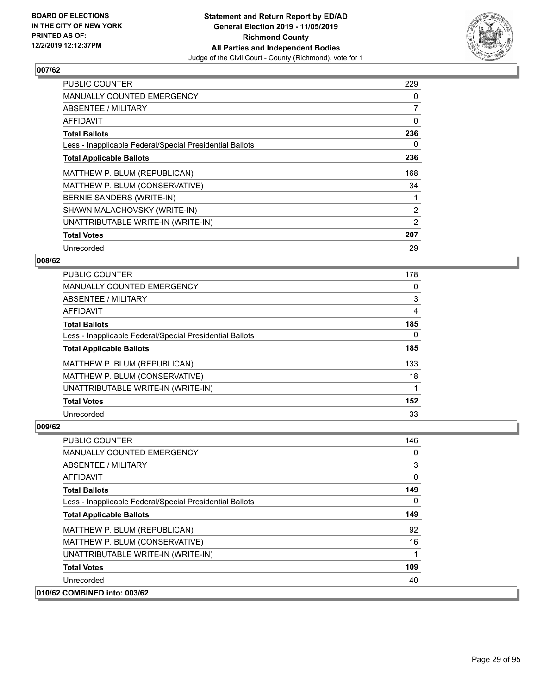

| <b>PUBLIC COUNTER</b>                                    | 229            |
|----------------------------------------------------------|----------------|
| <b>MANUALLY COUNTED EMERGENCY</b>                        | 0              |
| ABSENTEE / MILITARY                                      | 7              |
| <b>AFFIDAVIT</b>                                         | 0              |
| <b>Total Ballots</b>                                     | 236            |
| Less - Inapplicable Federal/Special Presidential Ballots | 0              |
| <b>Total Applicable Ballots</b>                          | 236            |
| MATTHEW P. BLUM (REPUBLICAN)                             | 168            |
| MATTHEW P. BLUM (CONSERVATIVE)                           | 34             |
| BERNIE SANDERS (WRITE-IN)                                |                |
| SHAWN MALACHOVSKY (WRITE-IN)                             | $\overline{2}$ |
| UNATTRIBUTABLE WRITE-IN (WRITE-IN)                       | 2              |
| <b>Total Votes</b>                                       | 207            |
| Unrecorded                                               | 29             |

#### **008/62**

| <b>PUBLIC COUNTER</b>                                    | 178      |
|----------------------------------------------------------|----------|
| <b>MANUALLY COUNTED EMERGENCY</b>                        | 0        |
| ABSENTEE / MILITARY                                      | 3        |
| <b>AFFIDAVIT</b>                                         | 4        |
| <b>Total Ballots</b>                                     | 185      |
| Less - Inapplicable Federal/Special Presidential Ballots | $\Omega$ |
| <b>Total Applicable Ballots</b>                          | 185      |
| MATTHEW P. BLUM (REPUBLICAN)                             | 133      |
| MATTHEW P. BLUM (CONSERVATIVE)                           | 18       |
| UNATTRIBUTABLE WRITE-IN (WRITE-IN)                       |          |
| <b>Total Votes</b>                                       | 152      |
| Unrecorded                                               | 33       |

| PUBLIC COUNTER                                           | 146 |
|----------------------------------------------------------|-----|
| <b>MANUALLY COUNTED EMERGENCY</b>                        | 0   |
| ABSENTEE / MILITARY                                      | 3   |
| AFFIDAVIT                                                | 0   |
| <b>Total Ballots</b>                                     | 149 |
| Less - Inapplicable Federal/Special Presidential Ballots | 0   |
| <b>Total Applicable Ballots</b>                          | 149 |
| MATTHEW P. BLUM (REPUBLICAN)                             | 92  |
| MATTHEW P. BLUM (CONSERVATIVE)                           | 16  |
| UNATTRIBUTABLE WRITE-IN (WRITE-IN)                       | 1   |
| <b>Total Votes</b>                                       | 109 |
| Unrecorded                                               | 40  |
| 010/62 COMBINED into: 003/62                             |     |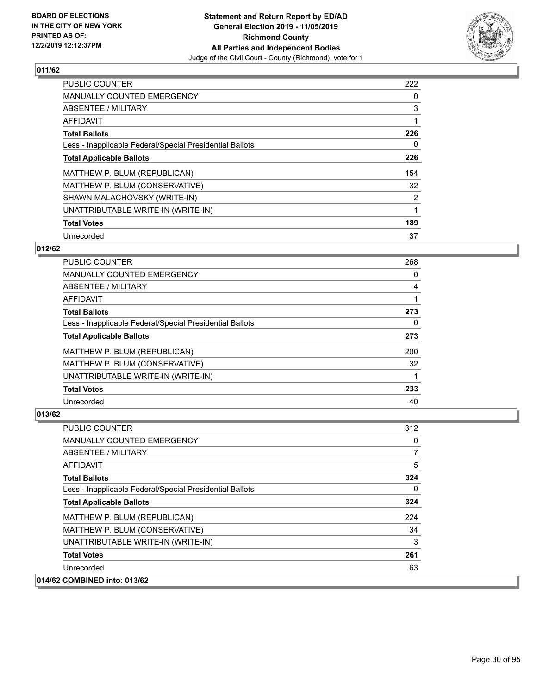

| <b>PUBLIC COUNTER</b>                                    | 222 |
|----------------------------------------------------------|-----|
| <b>MANUALLY COUNTED EMERGENCY</b>                        | 0   |
| ABSENTEE / MILITARY                                      | 3   |
| AFFIDAVIT                                                |     |
| <b>Total Ballots</b>                                     | 226 |
| Less - Inapplicable Federal/Special Presidential Ballots | 0   |
| <b>Total Applicable Ballots</b>                          | 226 |
| MATTHEW P. BLUM (REPUBLICAN)                             | 154 |
| MATTHEW P. BLUM (CONSERVATIVE)                           | 32  |
| SHAWN MALACHOVSKY (WRITE-IN)                             | 2   |
| UNATTRIBUTABLE WRITE-IN (WRITE-IN)                       | 1   |
| <b>Total Votes</b>                                       | 189 |
| Unrecorded                                               | 37  |

#### **012/62**

| <b>PUBLIC COUNTER</b>                                    | 268 |
|----------------------------------------------------------|-----|
| <b>MANUALLY COUNTED EMERGENCY</b>                        | 0   |
| ABSENTEE / MILITARY                                      | 4   |
| AFFIDAVIT                                                |     |
| <b>Total Ballots</b>                                     | 273 |
| Less - Inapplicable Federal/Special Presidential Ballots | 0   |
| <b>Total Applicable Ballots</b>                          | 273 |
| MATTHEW P. BLUM (REPUBLICAN)                             | 200 |
| MATTHEW P. BLUM (CONSERVATIVE)                           | 32  |
| UNATTRIBUTABLE WRITE-IN (WRITE-IN)                       |     |
| <b>Total Votes</b>                                       | 233 |
| Unrecorded                                               | 40  |

| <b>PUBLIC COUNTER</b>                                    | 312          |
|----------------------------------------------------------|--------------|
| MANUALLY COUNTED EMERGENCY                               | 0            |
| ABSENTEE / MILITARY                                      | 7            |
| AFFIDAVIT                                                | 5            |
| <b>Total Ballots</b>                                     | 324          |
| Less - Inapplicable Federal/Special Presidential Ballots | $\mathbf{0}$ |
| <b>Total Applicable Ballots</b>                          | 324          |
| MATTHEW P. BLUM (REPUBLICAN)                             | 224          |
| MATTHEW P. BLUM (CONSERVATIVE)                           | 34           |
| UNATTRIBUTABLE WRITE-IN (WRITE-IN)                       | 3            |
| <b>Total Votes</b>                                       | 261          |
| Unrecorded                                               | 63           |
| 014/62 COMBINED into: 013/62                             |              |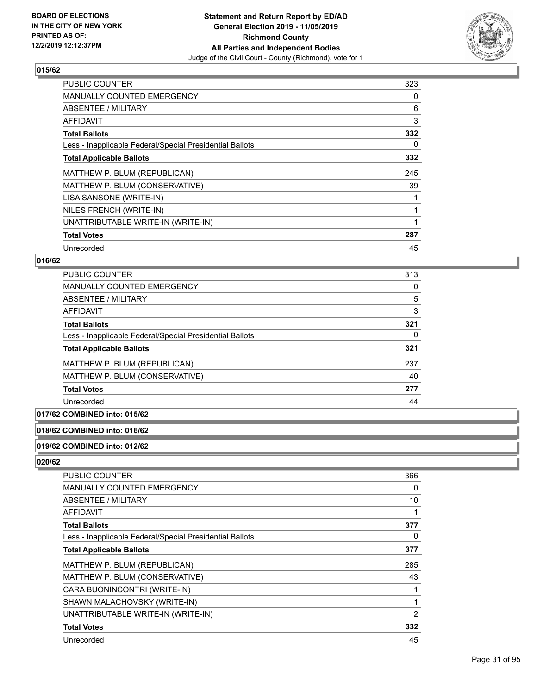

| <b>PUBLIC COUNTER</b>                                    | 323 |
|----------------------------------------------------------|-----|
| MANUALLY COUNTED EMERGENCY                               | 0   |
| ABSENTEE / MILITARY                                      | 6   |
| AFFIDAVIT                                                | 3   |
| <b>Total Ballots</b>                                     | 332 |
| Less - Inapplicable Federal/Special Presidential Ballots | 0   |
| <b>Total Applicable Ballots</b>                          | 332 |
| MATTHEW P. BLUM (REPUBLICAN)                             | 245 |
| MATTHEW P. BLUM (CONSERVATIVE)                           | 39  |
| LISA SANSONE (WRITE-IN)                                  |     |
| NILES FRENCH (WRITE-IN)                                  |     |
| UNATTRIBUTABLE WRITE-IN (WRITE-IN)                       |     |
| <b>Total Votes</b>                                       | 287 |
| Unrecorded                                               | 45  |

#### **016/62**

| PUBLIC COUNTER                                           | 313 |
|----------------------------------------------------------|-----|
| <b>MANUALLY COUNTED EMERGENCY</b>                        | 0   |
| ABSENTEE / MILITARY                                      | 5   |
| AFFIDAVIT                                                | 3   |
| <b>Total Ballots</b>                                     | 321 |
| Less - Inapplicable Federal/Special Presidential Ballots | 0   |
| <b>Total Applicable Ballots</b>                          | 321 |
| MATTHEW P. BLUM (REPUBLICAN)                             | 237 |
| MATTHEW P. BLUM (CONSERVATIVE)                           | 40  |
| <b>Total Votes</b>                                       | 277 |
| Unrecorded                                               | 44  |

## **017/62 COMBINED into: 015/62**

## **018/62 COMBINED into: 016/62**

#### **019/62 COMBINED into: 012/62**

| PUBLIC COUNTER                                           | 366      |
|----------------------------------------------------------|----------|
| MANUALLY COUNTED EMERGENCY                               | $\Omega$ |
| ABSENTEE / MILITARY                                      | 10       |
| AFFIDAVIT                                                | 1        |
| <b>Total Ballots</b>                                     | 377      |
| Less - Inapplicable Federal/Special Presidential Ballots | 0        |
| <b>Total Applicable Ballots</b>                          | 377      |
| MATTHEW P. BLUM (REPUBLICAN)                             | 285      |
| MATTHEW P. BLUM (CONSERVATIVE)                           | 43       |
| CARA BUONINCONTRI (WRITE-IN)                             |          |
| SHAWN MALACHOVSKY (WRITE-IN)                             | 1        |
| UNATTRIBUTABLE WRITE-IN (WRITE-IN)                       | 2        |
| <b>Total Votes</b>                                       | 332      |
| Unrecorded                                               | 45       |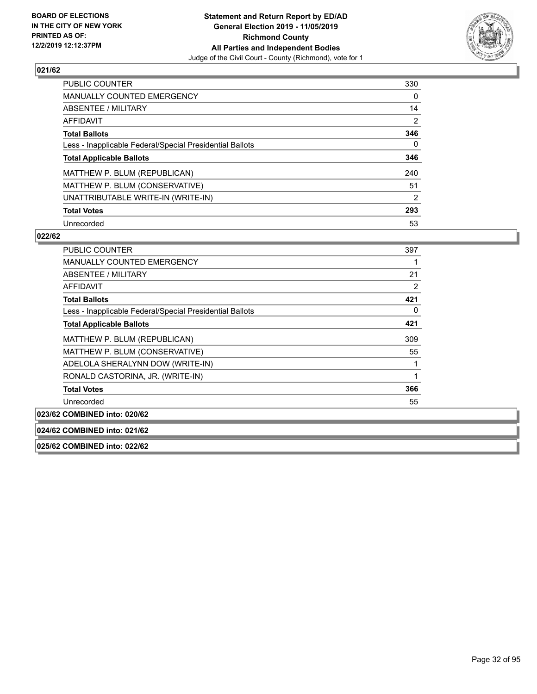

| <b>PUBLIC COUNTER</b>                                    | 330            |
|----------------------------------------------------------|----------------|
| MANUALLY COUNTED EMERGENCY                               | $\Omega$       |
| ABSENTEE / MILITARY                                      | 14             |
| AFFIDAVIT                                                | $\overline{2}$ |
| <b>Total Ballots</b>                                     | 346            |
| Less - Inapplicable Federal/Special Presidential Ballots | 0              |
| <b>Total Applicable Ballots</b>                          | 346            |
| MATTHEW P. BLUM (REPUBLICAN)                             | 240            |
| MATTHEW P. BLUM (CONSERVATIVE)                           | 51             |
| UNATTRIBUTABLE WRITE-IN (WRITE-IN)                       | 2              |
| <b>Total Votes</b>                                       | 293            |
| Unrecorded                                               | 53             |

#### **022/62**

| PUBLIC COUNTER                                           | 397 |
|----------------------------------------------------------|-----|
| <b>MANUALLY COUNTED EMERGENCY</b>                        |     |
| ABSENTEE / MILITARY                                      | 21  |
| AFFIDAVIT                                                | 2   |
| <b>Total Ballots</b>                                     | 421 |
| Less - Inapplicable Federal/Special Presidential Ballots | 0   |
| <b>Total Applicable Ballots</b>                          | 421 |
| MATTHEW P. BLUM (REPUBLICAN)                             | 309 |
| MATTHEW P. BLUM (CONSERVATIVE)                           | 55  |
| ADELOLA SHERALYNN DOW (WRITE-IN)                         |     |
| RONALD CASTORINA, JR. (WRITE-IN)                         |     |
| <b>Total Votes</b>                                       | 366 |
| Unrecorded                                               | 55  |

**023/62 COMBINED into: 020/62**

#### **024/62 COMBINED into: 021/62**

**025/62 COMBINED into: 022/62**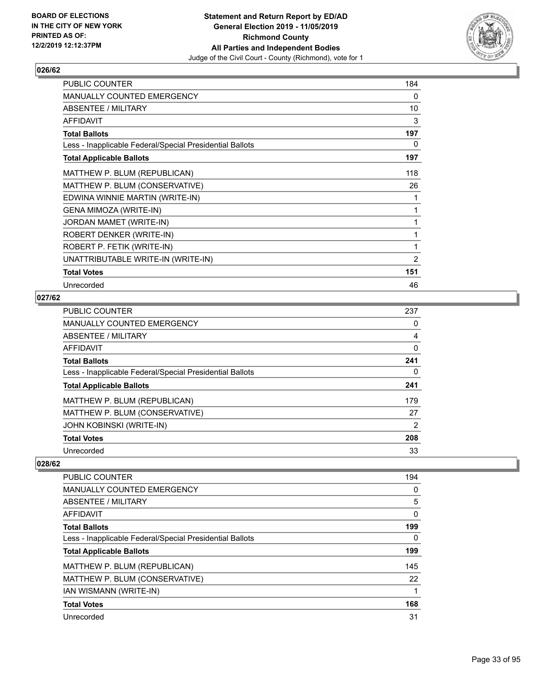

| <b>PUBLIC COUNTER</b>                                    | 184            |
|----------------------------------------------------------|----------------|
| <b>MANUALLY COUNTED EMERGENCY</b>                        | $\Omega$       |
| ABSENTEE / MILITARY                                      | 10             |
| <b>AFFIDAVIT</b>                                         | 3              |
| <b>Total Ballots</b>                                     | 197            |
| Less - Inapplicable Federal/Special Presidential Ballots | 0              |
| <b>Total Applicable Ballots</b>                          | 197            |
| MATTHEW P. BLUM (REPUBLICAN)                             | 118            |
| MATTHEW P. BLUM (CONSERVATIVE)                           | 26             |
| EDWINA WINNIE MARTIN (WRITE-IN)                          | 1              |
| GENA MIMOZA (WRITE-IN)                                   | 1              |
| JORDAN MAMET (WRITE-IN)                                  | 1              |
| ROBERT DENKER (WRITE-IN)                                 | 1              |
| ROBERT P. FETIK (WRITE-IN)                               | 1              |
| UNATTRIBUTABLE WRITE-IN (WRITE-IN)                       | $\overline{2}$ |
| <b>Total Votes</b>                                       | 151            |
| Unrecorded                                               | 46             |

#### **027/62**

| <b>PUBLIC COUNTER</b>                                    | 237 |
|----------------------------------------------------------|-----|
| <b>MANUALLY COUNTED EMERGENCY</b>                        | 0   |
| <b>ABSENTEE / MILITARY</b>                               | 4   |
| <b>AFFIDAVIT</b>                                         | 0   |
| <b>Total Ballots</b>                                     | 241 |
| Less - Inapplicable Federal/Special Presidential Ballots | 0   |
| <b>Total Applicable Ballots</b>                          | 241 |
| MATTHEW P. BLUM (REPUBLICAN)                             | 179 |
| MATTHEW P. BLUM (CONSERVATIVE)                           | 27  |
| JOHN KOBINSKI (WRITE-IN)                                 | 2   |
| <b>Total Votes</b>                                       | 208 |
| Unrecorded                                               | 33  |

| <b>PUBLIC COUNTER</b>                                    | 194 |
|----------------------------------------------------------|-----|
| <b>MANUALLY COUNTED EMERGENCY</b>                        | 0   |
| ABSENTEE / MILITARY                                      | 5   |
| AFFIDAVIT                                                | 0   |
| <b>Total Ballots</b>                                     | 199 |
| Less - Inapplicable Federal/Special Presidential Ballots | 0   |
| <b>Total Applicable Ballots</b>                          | 199 |
| MATTHEW P. BLUM (REPUBLICAN)                             | 145 |
| MATTHEW P. BLUM (CONSERVATIVE)                           | 22  |
| <b>IAN WISMANN (WRITE-IN)</b>                            |     |
| <b>Total Votes</b>                                       | 168 |
| Unrecorded                                               | 31  |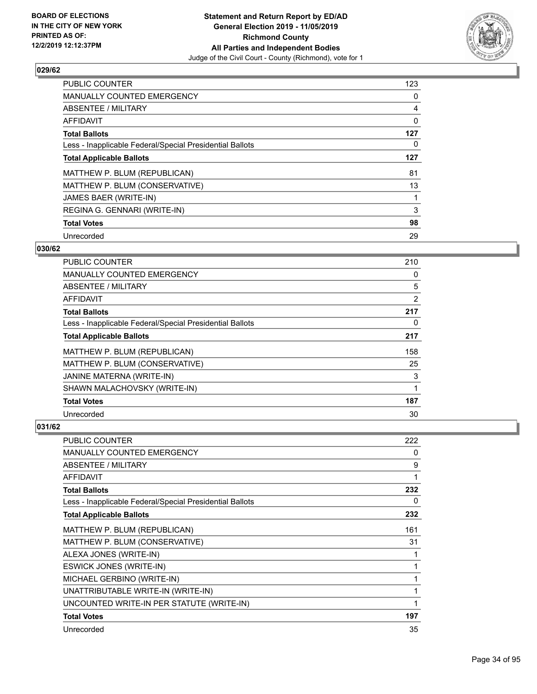

| <b>PUBLIC COUNTER</b>                                    | 123 |
|----------------------------------------------------------|-----|
| MANUALLY COUNTED EMERGENCY                               | 0   |
| ABSENTEE / MILITARY                                      | 4   |
| <b>AFFIDAVIT</b>                                         | 0   |
| <b>Total Ballots</b>                                     | 127 |
| Less - Inapplicable Federal/Special Presidential Ballots | 0   |
| <b>Total Applicable Ballots</b>                          | 127 |
| MATTHEW P. BLUM (REPUBLICAN)                             | 81  |
| MATTHEW P. BLUM (CONSERVATIVE)                           | 13  |
| JAMES BAER (WRITE-IN)                                    |     |
| REGINA G. GENNARI (WRITE-IN)                             | 3   |
| <b>Total Votes</b>                                       | 98  |
| Unrecorded                                               | 29  |

#### **030/62**

| PUBLIC COUNTER                                           | 210 |
|----------------------------------------------------------|-----|
| MANUALLY COUNTED EMERGENCY                               | 0   |
| <b>ABSENTEE / MILITARY</b>                               | 5   |
| AFFIDAVIT                                                | 2   |
| <b>Total Ballots</b>                                     | 217 |
| Less - Inapplicable Federal/Special Presidential Ballots | 0   |
| <b>Total Applicable Ballots</b>                          | 217 |
| MATTHEW P. BLUM (REPUBLICAN)                             | 158 |
| MATTHEW P. BLUM (CONSERVATIVE)                           | 25  |
| JANINE MATERNA (WRITE-IN)                                | 3   |
| SHAWN MALACHOVSKY (WRITE-IN)                             | 1   |
| <b>Total Votes</b>                                       | 187 |
| Unrecorded                                               | 30  |

| <b>PUBLIC COUNTER</b>                                    | 222 |
|----------------------------------------------------------|-----|
| <b>MANUALLY COUNTED EMERGENCY</b>                        | 0   |
| <b>ABSENTEE / MILITARY</b>                               | 9   |
| <b>AFFIDAVIT</b>                                         | 1   |
| <b>Total Ballots</b>                                     | 232 |
| Less - Inapplicable Federal/Special Presidential Ballots | 0   |
| <b>Total Applicable Ballots</b>                          | 232 |
| MATTHEW P. BLUM (REPUBLICAN)                             | 161 |
| MATTHEW P. BLUM (CONSERVATIVE)                           | 31  |
| ALEXA JONES (WRITE-IN)                                   |     |
| ESWICK JONES (WRITE-IN)                                  | 1   |
| MICHAEL GERBINO (WRITE-IN)                               |     |
| UNATTRIBUTABLE WRITE-IN (WRITE-IN)                       |     |
| UNCOUNTED WRITE-IN PER STATUTE (WRITE-IN)                |     |
| <b>Total Votes</b>                                       | 197 |
| Unrecorded                                               | 35  |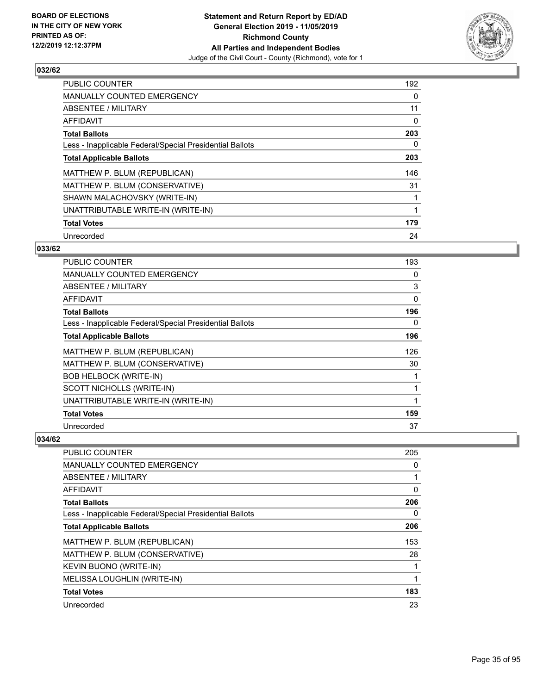

| <b>PUBLIC COUNTER</b>                                    | 192 |
|----------------------------------------------------------|-----|
| MANUALLY COUNTED EMERGENCY                               | 0   |
| ABSENTEE / MILITARY                                      | 11  |
| AFFIDAVIT                                                | 0   |
| <b>Total Ballots</b>                                     | 203 |
| Less - Inapplicable Federal/Special Presidential Ballots | 0   |
| <b>Total Applicable Ballots</b>                          | 203 |
| MATTHEW P. BLUM (REPUBLICAN)                             | 146 |
| MATTHEW P. BLUM (CONSERVATIVE)                           | 31  |
| SHAWN MALACHOVSKY (WRITE-IN)                             |     |
| UNATTRIBUTABLE WRITE-IN (WRITE-IN)                       |     |
| <b>Total Votes</b>                                       | 179 |
| Unrecorded                                               | 24  |

#### **033/62**

| PUBLIC COUNTER                                           | 193 |
|----------------------------------------------------------|-----|
| MANUALLY COUNTED EMERGENCY                               | 0   |
| ABSENTEE / MILITARY                                      | 3   |
| AFFIDAVIT                                                | 0   |
| <b>Total Ballots</b>                                     | 196 |
| Less - Inapplicable Federal/Special Presidential Ballots | 0   |
| <b>Total Applicable Ballots</b>                          | 196 |
| MATTHEW P. BLUM (REPUBLICAN)                             | 126 |
| MATTHEW P. BLUM (CONSERVATIVE)                           | 30  |
| <b>BOB HELBOCK (WRITE-IN)</b>                            | 1   |
| SCOTT NICHOLLS (WRITE-IN)                                | 1   |
| UNATTRIBUTABLE WRITE-IN (WRITE-IN)                       | 1   |
| <b>Total Votes</b>                                       | 159 |
| Unrecorded                                               | 37  |

| PUBLIC COUNTER                                           | 205 |
|----------------------------------------------------------|-----|
| <b>MANUALLY COUNTED EMERGENCY</b>                        | 0   |
| ABSENTEE / MILITARY                                      |     |
| AFFIDAVIT                                                | 0   |
| <b>Total Ballots</b>                                     | 206 |
| Less - Inapplicable Federal/Special Presidential Ballots | 0   |
| <b>Total Applicable Ballots</b>                          | 206 |
| MATTHEW P. BLUM (REPUBLICAN)                             | 153 |
| MATTHEW P. BLUM (CONSERVATIVE)                           | 28  |
| KEVIN BUONO (WRITE-IN)                                   |     |
| MELISSA LOUGHLIN (WRITE-IN)                              |     |
| <b>Total Votes</b>                                       | 183 |
| Unrecorded                                               | 23  |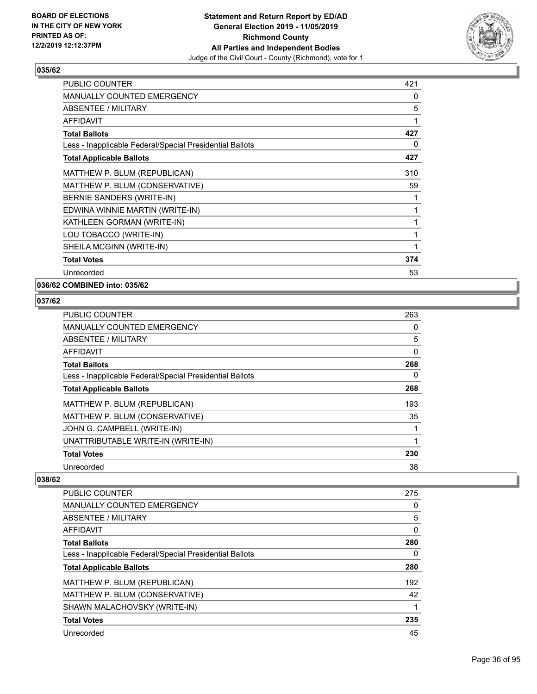

| <b>PUBLIC COUNTER</b>                                    | 421 |
|----------------------------------------------------------|-----|
| MANUALLY COUNTED EMERGENCY                               | 0   |
| <b>ABSENTEE / MILITARY</b>                               | 5   |
| <b>AFFIDAVIT</b>                                         | 1   |
| <b>Total Ballots</b>                                     | 427 |
| Less - Inapplicable Federal/Special Presidential Ballots | 0   |
| <b>Total Applicable Ballots</b>                          | 427 |
| MATTHEW P. BLUM (REPUBLICAN)                             | 310 |
| MATTHEW P. BLUM (CONSERVATIVE)                           | 59  |
| BERNIE SANDERS (WRITE-IN)                                | 1   |
| EDWINA WINNIE MARTIN (WRITE-IN)                          | 1   |
| KATHLEEN GORMAN (WRITE-IN)                               | 1   |
| LOU TOBACCO (WRITE-IN)                                   | 1   |
| SHEILA MCGINN (WRITE-IN)                                 | 1   |
| <b>Total Votes</b>                                       | 374 |
| Unrecorded                                               | 53  |

#### **036/62 COMBINED into: 035/62**

#### **037/62**

| <b>PUBLIC COUNTER</b>                                    | 263      |
|----------------------------------------------------------|----------|
| MANUALLY COUNTED EMERGENCY                               | 0        |
| ABSENTEE / MILITARY                                      | 5        |
| AFFIDAVIT                                                | 0        |
| <b>Total Ballots</b>                                     | 268      |
| Less - Inapplicable Federal/Special Presidential Ballots | $\Omega$ |
| <b>Total Applicable Ballots</b>                          | 268      |
| MATTHEW P. BLUM (REPUBLICAN)                             | 193      |
| MATTHEW P. BLUM (CONSERVATIVE)                           | 35       |
| JOHN G. CAMPBELL (WRITE-IN)                              |          |
| UNATTRIBUTABLE WRITE-IN (WRITE-IN)                       | 1        |
| <b>Total Votes</b>                                       | 230      |
| Unrecorded                                               | 38       |

| PUBLIC COUNTER                                           | 275 |
|----------------------------------------------------------|-----|
| <b>MANUALLY COUNTED EMERGENCY</b>                        | 0   |
| ABSENTEE / MILITARY                                      | 5   |
| <b>AFFIDAVIT</b>                                         | 0   |
| <b>Total Ballots</b>                                     | 280 |
| Less - Inapplicable Federal/Special Presidential Ballots | 0   |
| <b>Total Applicable Ballots</b>                          | 280 |
| MATTHEW P. BLUM (REPUBLICAN)                             | 192 |
| MATTHEW P. BLUM (CONSERVATIVE)                           | 42  |
| SHAWN MALACHOVSKY (WRITE-IN)                             |     |
| <b>Total Votes</b>                                       | 235 |
| Unrecorded                                               | 45  |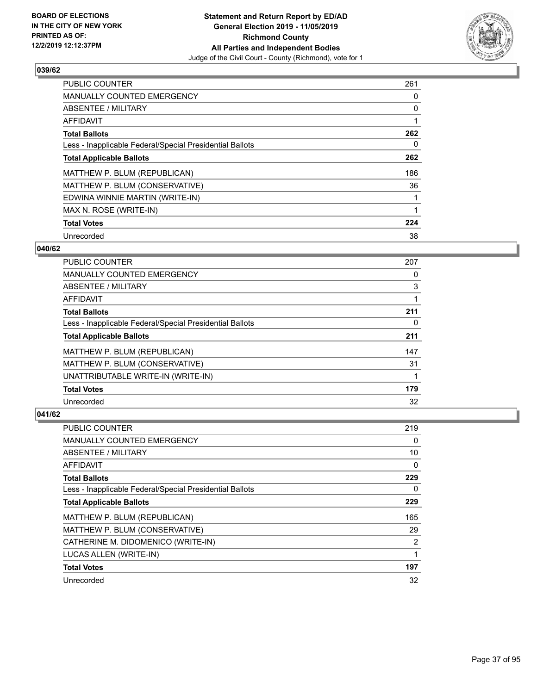

| <b>PUBLIC COUNTER</b>                                    | 261 |
|----------------------------------------------------------|-----|
| <b>MANUALLY COUNTED EMERGENCY</b>                        | 0   |
| ABSENTEE / MILITARY                                      | 0   |
| <b>AFFIDAVIT</b>                                         |     |
| <b>Total Ballots</b>                                     | 262 |
| Less - Inapplicable Federal/Special Presidential Ballots | 0   |
| <b>Total Applicable Ballots</b>                          | 262 |
| MATTHEW P. BLUM (REPUBLICAN)                             | 186 |
| MATTHEW P. BLUM (CONSERVATIVE)                           | 36  |
| EDWINA WINNIE MARTIN (WRITE-IN)                          |     |
| MAX N. ROSE (WRITE-IN)                                   |     |
| <b>Total Votes</b>                                       | 224 |
| Unrecorded                                               | 38  |

### **040/62**

| <b>PUBLIC COUNTER</b>                                    | 207 |
|----------------------------------------------------------|-----|
| <b>MANUALLY COUNTED EMERGENCY</b>                        | 0   |
| ABSENTEE / MILITARY                                      | 3   |
| <b>AFFIDAVIT</b>                                         |     |
| <b>Total Ballots</b>                                     | 211 |
| Less - Inapplicable Federal/Special Presidential Ballots | 0   |
| <b>Total Applicable Ballots</b>                          | 211 |
| MATTHEW P. BLUM (REPUBLICAN)                             | 147 |
| MATTHEW P. BLUM (CONSERVATIVE)                           | 31  |
| UNATTRIBUTABLE WRITE-IN (WRITE-IN)                       |     |
| <b>Total Votes</b>                                       | 179 |
| Unrecorded                                               | 32  |

| PUBLIC COUNTER                                           | 219 |
|----------------------------------------------------------|-----|
| MANUALLY COUNTED EMERGENCY                               | 0   |
| ABSENTEE / MILITARY                                      | 10  |
| AFFIDAVIT                                                | 0   |
| <b>Total Ballots</b>                                     | 229 |
| Less - Inapplicable Federal/Special Presidential Ballots | 0   |
| <b>Total Applicable Ballots</b>                          | 229 |
| MATTHEW P. BLUM (REPUBLICAN)                             | 165 |
| MATTHEW P. BLUM (CONSERVATIVE)                           | 29  |
| CATHERINE M. DIDOMENICO (WRITE-IN)                       | 2   |
| LUCAS ALLEN (WRITE-IN)                                   | 1   |
| <b>Total Votes</b>                                       | 197 |
| Unrecorded                                               | 32  |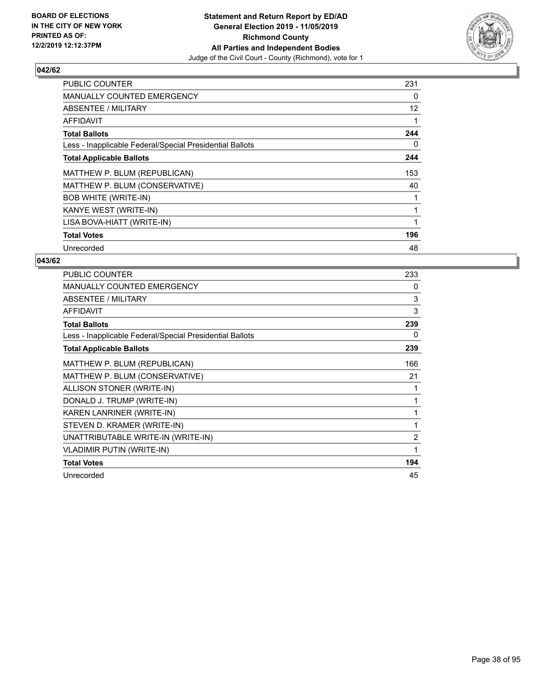

| <b>PUBLIC COUNTER</b>                                    | 231 |
|----------------------------------------------------------|-----|
| <b>MANUALLY COUNTED EMERGENCY</b>                        | 0   |
| ABSENTEE / MILITARY                                      | 12  |
| <b>AFFIDAVIT</b>                                         |     |
| <b>Total Ballots</b>                                     | 244 |
| Less - Inapplicable Federal/Special Presidential Ballots | 0   |
| <b>Total Applicable Ballots</b>                          | 244 |
| MATTHEW P. BLUM (REPUBLICAN)                             | 153 |
| MATTHEW P. BLUM (CONSERVATIVE)                           | 40  |
| <b>BOB WHITE (WRITE-IN)</b>                              |     |
| KANYE WEST (WRITE-IN)                                    |     |
| LISA BOVA-HIATT (WRITE-IN)                               |     |
| <b>Total Votes</b>                                       | 196 |
| Unrecorded                                               | 48  |

| PUBLIC COUNTER                                           | 233            |
|----------------------------------------------------------|----------------|
| MANUALLY COUNTED EMERGENCY                               | 0              |
| ABSENTEE / MILITARY                                      | 3              |
| <b>AFFIDAVIT</b>                                         | 3              |
| <b>Total Ballots</b>                                     | 239            |
| Less - Inapplicable Federal/Special Presidential Ballots | 0              |
| <b>Total Applicable Ballots</b>                          | 239            |
| MATTHEW P. BLUM (REPUBLICAN)                             | 166            |
| MATTHEW P. BLUM (CONSERVATIVE)                           | 21             |
| ALLISON STONER (WRITE-IN)                                | 1              |
| DONALD J. TRUMP (WRITE-IN)                               | 1              |
| KAREN LANRINER (WRITE-IN)                                | 1              |
| STEVEN D. KRAMER (WRITE-IN)                              | 1              |
| UNATTRIBUTABLE WRITE-IN (WRITE-IN)                       | $\overline{2}$ |
| <b>VLADIMIR PUTIN (WRITE-IN)</b>                         | 1              |
| <b>Total Votes</b>                                       | 194            |
| Unrecorded                                               | 45             |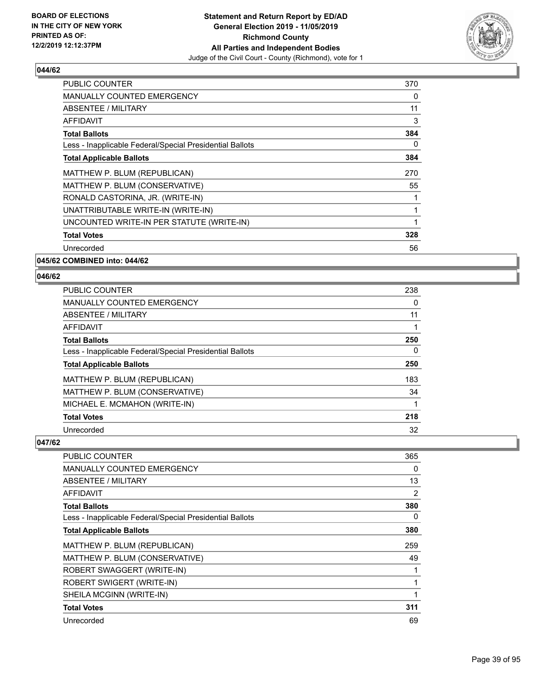

| <b>PUBLIC COUNTER</b>                                    | 370 |
|----------------------------------------------------------|-----|
| <b>MANUALLY COUNTED EMERGENCY</b>                        | 0   |
| <b>ABSENTEE / MILITARY</b>                               | 11  |
| <b>AFFIDAVIT</b>                                         | 3   |
| <b>Total Ballots</b>                                     | 384 |
| Less - Inapplicable Federal/Special Presidential Ballots | 0   |
| <b>Total Applicable Ballots</b>                          | 384 |
| MATTHEW P. BLUM (REPUBLICAN)                             | 270 |
| MATTHEW P. BLUM (CONSERVATIVE)                           | 55  |
| RONALD CASTORINA, JR. (WRITE-IN)                         |     |
| UNATTRIBUTABLE WRITE-IN (WRITE-IN)                       |     |
| UNCOUNTED WRITE-IN PER STATUTE (WRITE-IN)                | 1   |
| <b>Total Votes</b>                                       | 328 |
| Unrecorded                                               | 56  |
|                                                          |     |

**045/62 COMBINED into: 044/62**

### **046/62**

| <b>PUBLIC COUNTER</b>                                    | 238 |
|----------------------------------------------------------|-----|
| MANUALLY COUNTED EMERGENCY                               | 0   |
| ABSENTEE / MILITARY                                      | 11  |
| AFFIDAVIT                                                |     |
| <b>Total Ballots</b>                                     | 250 |
| Less - Inapplicable Federal/Special Presidential Ballots | 0   |
| <b>Total Applicable Ballots</b>                          | 250 |
| MATTHEW P. BLUM (REPUBLICAN)                             | 183 |
| MATTHEW P. BLUM (CONSERVATIVE)                           | 34  |
| MICHAEL E. MCMAHON (WRITE-IN)                            |     |
| <b>Total Votes</b>                                       | 218 |
| Unrecorded                                               | 32  |

| PUBLIC COUNTER                                           | 365 |
|----------------------------------------------------------|-----|
| MANUALLY COUNTED EMERGENCY                               | 0   |
| ABSENTEE / MILITARY                                      | 13  |
| AFFIDAVIT                                                | 2   |
| <b>Total Ballots</b>                                     | 380 |
| Less - Inapplicable Federal/Special Presidential Ballots | 0   |
| <b>Total Applicable Ballots</b>                          | 380 |
| MATTHEW P. BLUM (REPUBLICAN)                             | 259 |
| MATTHEW P. BLUM (CONSERVATIVE)                           | 49  |
| ROBERT SWAGGERT (WRITE-IN)                               |     |
| ROBERT SWIGERT (WRITE-IN)                                |     |
| SHEILA MCGINN (WRITE-IN)                                 |     |
| <b>Total Votes</b>                                       | 311 |
| Unrecorded                                               | 69  |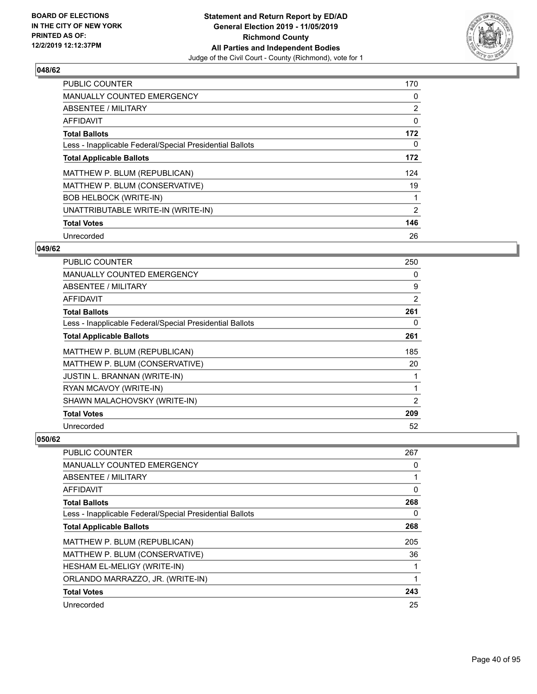

| PUBLIC COUNTER                                           | 170 |
|----------------------------------------------------------|-----|
| <b>MANUALLY COUNTED EMERGENCY</b>                        | 0   |
| ABSENTEE / MILITARY                                      | 2   |
| <b>AFFIDAVIT</b>                                         | 0   |
| <b>Total Ballots</b>                                     | 172 |
| Less - Inapplicable Federal/Special Presidential Ballots | 0   |
| <b>Total Applicable Ballots</b>                          | 172 |
| MATTHEW P. BLUM (REPUBLICAN)                             | 124 |
| MATTHEW P. BLUM (CONSERVATIVE)                           | 19  |
| <b>BOB HELBOCK (WRITE-IN)</b>                            |     |
| UNATTRIBUTABLE WRITE-IN (WRITE-IN)                       | 2   |
| <b>Total Votes</b>                                       | 146 |
| Unrecorded                                               | 26  |

### **049/62**

| PUBLIC COUNTER                                           | 250 |
|----------------------------------------------------------|-----|
| <b>MANUALLY COUNTED EMERGENCY</b>                        | 0   |
| ABSENTEE / MILITARY                                      | 9   |
| AFFIDAVIT                                                | 2   |
| <b>Total Ballots</b>                                     | 261 |
| Less - Inapplicable Federal/Special Presidential Ballots | 0   |
| <b>Total Applicable Ballots</b>                          | 261 |
| MATTHEW P. BLUM (REPUBLICAN)                             | 185 |
| MATTHEW P. BLUM (CONSERVATIVE)                           | 20  |
| <b>JUSTIN L. BRANNAN (WRITE-IN)</b>                      |     |
| RYAN MCAVOY (WRITE-IN)                                   | 1   |
| SHAWN MALACHOVSKY (WRITE-IN)                             | 2   |
| <b>Total Votes</b>                                       | 209 |
| Unrecorded                                               | 52  |

| <b>PUBLIC COUNTER</b>                                    | 267      |
|----------------------------------------------------------|----------|
| <b>MANUALLY COUNTED EMERGENCY</b>                        | 0        |
| ABSENTEE / MILITARY                                      |          |
| AFFIDAVIT                                                | $\Omega$ |
| <b>Total Ballots</b>                                     | 268      |
| Less - Inapplicable Federal/Special Presidential Ballots | 0        |
| <b>Total Applicable Ballots</b>                          | 268      |
| MATTHEW P. BLUM (REPUBLICAN)                             | 205      |
| MATTHEW P. BLUM (CONSERVATIVE)                           | 36       |
| HESHAM EL-MELIGY (WRITE-IN)                              |          |
| ORLANDO MARRAZZO, JR. (WRITE-IN)                         |          |
| <b>Total Votes</b>                                       | 243      |
| Unrecorded                                               | 25       |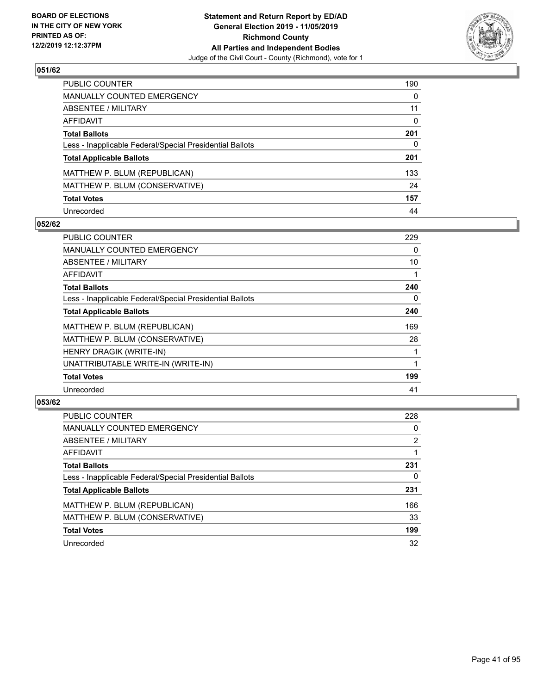

| PUBLIC COUNTER                                           | 190          |
|----------------------------------------------------------|--------------|
| <b>MANUALLY COUNTED EMERGENCY</b>                        | $\Omega$     |
| ABSENTEE / MILITARY                                      | 11           |
| <b>AFFIDAVIT</b>                                         | $\mathbf{0}$ |
| <b>Total Ballots</b>                                     | 201          |
| Less - Inapplicable Federal/Special Presidential Ballots | 0            |
| <b>Total Applicable Ballots</b>                          | 201          |
| MATTHEW P. BLUM (REPUBLICAN)                             | 133          |
| MATTHEW P. BLUM (CONSERVATIVE)                           | 24           |
| <b>Total Votes</b>                                       | 157          |
| Unrecorded                                               | 44           |

### **052/62**

| PUBLIC COUNTER                                           | 229 |
|----------------------------------------------------------|-----|
| <b>MANUALLY COUNTED EMERGENCY</b>                        | 0   |
| ABSENTEE / MILITARY                                      | 10  |
| AFFIDAVIT                                                |     |
| <b>Total Ballots</b>                                     | 240 |
| Less - Inapplicable Federal/Special Presidential Ballots | 0   |
| <b>Total Applicable Ballots</b>                          | 240 |
| MATTHEW P. BLUM (REPUBLICAN)                             | 169 |
| MATTHEW P. BLUM (CONSERVATIVE)                           | 28  |
| HENRY DRAGIK (WRITE-IN)                                  |     |
| UNATTRIBUTABLE WRITE-IN (WRITE-IN)                       |     |
| <b>Total Votes</b>                                       | 199 |
| Unrecorded                                               | 41  |

| <b>PUBLIC COUNTER</b>                                    | 228 |
|----------------------------------------------------------|-----|
| <b>MANUALLY COUNTED EMERGENCY</b>                        | 0   |
| ABSENTEE / MILITARY                                      | 2   |
| AFFIDAVIT                                                |     |
| <b>Total Ballots</b>                                     | 231 |
| Less - Inapplicable Federal/Special Presidential Ballots | 0   |
| <b>Total Applicable Ballots</b>                          | 231 |
| MATTHEW P. BLUM (REPUBLICAN)                             | 166 |
| MATTHEW P. BLUM (CONSERVATIVE)                           | 33  |
| <b>Total Votes</b>                                       | 199 |
| Unrecorded                                               | 32  |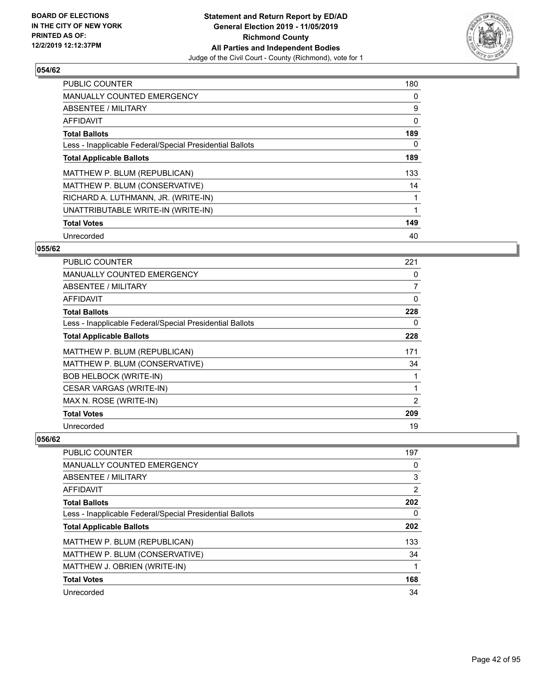

| PUBLIC COUNTER                                           | 180 |
|----------------------------------------------------------|-----|
| <b>MANUALLY COUNTED EMERGENCY</b>                        | 0   |
| ABSENTEE / MILITARY                                      | 9   |
| <b>AFFIDAVIT</b>                                         | 0   |
| <b>Total Ballots</b>                                     | 189 |
| Less - Inapplicable Federal/Special Presidential Ballots | 0   |
| <b>Total Applicable Ballots</b>                          | 189 |
| MATTHEW P. BLUM (REPUBLICAN)                             | 133 |
| MATTHEW P. BLUM (CONSERVATIVE)                           | 14  |
| RICHARD A. LUTHMANN, JR. (WRITE-IN)                      |     |
| UNATTRIBUTABLE WRITE-IN (WRITE-IN)                       | 1   |
| <b>Total Votes</b>                                       | 149 |
| Unrecorded                                               | 40  |

### **055/62**

| <b>PUBLIC COUNTER</b>                                    | 221            |
|----------------------------------------------------------|----------------|
| <b>MANUALLY COUNTED EMERGENCY</b>                        | 0              |
| ABSENTEE / MILITARY                                      | 7              |
| <b>AFFIDAVIT</b>                                         | 0              |
| <b>Total Ballots</b>                                     | 228            |
| Less - Inapplicable Federal/Special Presidential Ballots | 0              |
| <b>Total Applicable Ballots</b>                          | 228            |
| MATTHEW P. BLUM (REPUBLICAN)                             | 171            |
| MATTHEW P. BLUM (CONSERVATIVE)                           | 34             |
| <b>BOB HELBOCK (WRITE-IN)</b>                            | 1              |
| <b>CESAR VARGAS (WRITE-IN)</b>                           | 1              |
| MAX N. ROSE (WRITE-IN)                                   | $\overline{2}$ |
| <b>Total Votes</b>                                       | 209            |
| Unrecorded                                               | 19             |

| <b>PUBLIC COUNTER</b>                                    | 197      |
|----------------------------------------------------------|----------|
| <b>MANUALLY COUNTED EMERGENCY</b>                        | 0        |
| <b>ABSENTEE / MILITARY</b>                               | 3        |
| AFFIDAVIT                                                | 2        |
| <b>Total Ballots</b>                                     | 202      |
| Less - Inapplicable Federal/Special Presidential Ballots | $\Omega$ |
| <b>Total Applicable Ballots</b>                          | 202      |
| MATTHEW P. BLUM (REPUBLICAN)                             | 133      |
| MATTHEW P. BLUM (CONSERVATIVE)                           | 34       |
| MATTHEW J. OBRIEN (WRITE-IN)                             |          |
| <b>Total Votes</b>                                       | 168      |
| Unrecorded                                               | 34       |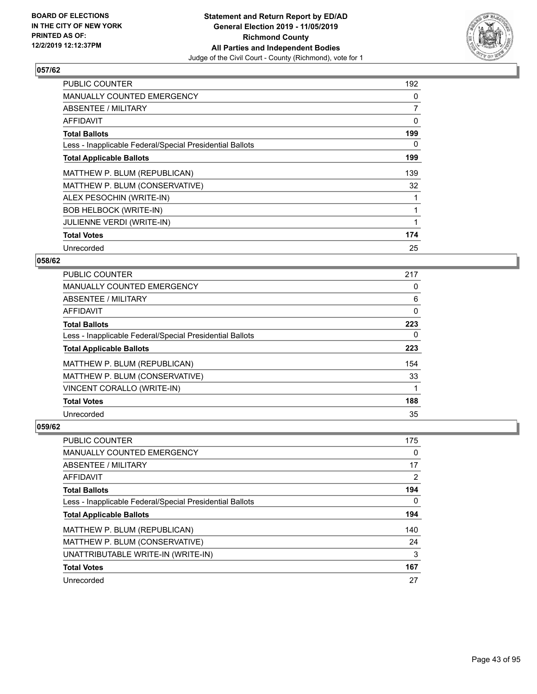

| <b>PUBLIC COUNTER</b>                                    | 192            |
|----------------------------------------------------------|----------------|
| <b>MANUALLY COUNTED EMERGENCY</b>                        | 0              |
| ABSENTEE / MILITARY                                      | $\overline{7}$ |
| <b>AFFIDAVIT</b>                                         | 0              |
| <b>Total Ballots</b>                                     | 199            |
| Less - Inapplicable Federal/Special Presidential Ballots | 0              |
| <b>Total Applicable Ballots</b>                          | 199            |
| MATTHEW P. BLUM (REPUBLICAN)                             | 139            |
| MATTHEW P. BLUM (CONSERVATIVE)                           | 32             |
| ALEX PESOCHIN (WRITE-IN)                                 |                |
| <b>BOB HELBOCK (WRITE-IN)</b>                            |                |
| <b>JULIENNE VERDI (WRITE-IN)</b>                         |                |
| <b>Total Votes</b>                                       | 174            |
| Unrecorded                                               | 25             |

## **058/62**

| <b>PUBLIC COUNTER</b>                                    | 217      |
|----------------------------------------------------------|----------|
| MANUALLY COUNTED EMERGENCY                               | 0        |
| ABSENTEE / MILITARY                                      | 6        |
| AFFIDAVIT                                                | 0        |
| <b>Total Ballots</b>                                     | 223      |
| Less - Inapplicable Federal/Special Presidential Ballots | $\Omega$ |
| <b>Total Applicable Ballots</b>                          | 223      |
| MATTHEW P. BLUM (REPUBLICAN)                             | 154      |
| MATTHEW P. BLUM (CONSERVATIVE)                           | 33       |
| VINCENT CORALLO (WRITE-IN)                               |          |
| <b>Total Votes</b>                                       | 188      |
| Unrecorded                                               | 35       |

| <b>PUBLIC COUNTER</b>                                    | 175 |
|----------------------------------------------------------|-----|
| <b>MANUALLY COUNTED EMERGENCY</b>                        | 0   |
| ABSENTEE / MILITARY                                      | 17  |
| AFFIDAVIT                                                | 2   |
| <b>Total Ballots</b>                                     | 194 |
| Less - Inapplicable Federal/Special Presidential Ballots | 0   |
| <b>Total Applicable Ballots</b>                          | 194 |
| MATTHEW P. BLUM (REPUBLICAN)                             | 140 |
| MATTHEW P. BLUM (CONSERVATIVE)                           | 24  |
| UNATTRIBUTABLE WRITE-IN (WRITE-IN)                       | 3   |
| <b>Total Votes</b>                                       | 167 |
| Unrecorded                                               | 27  |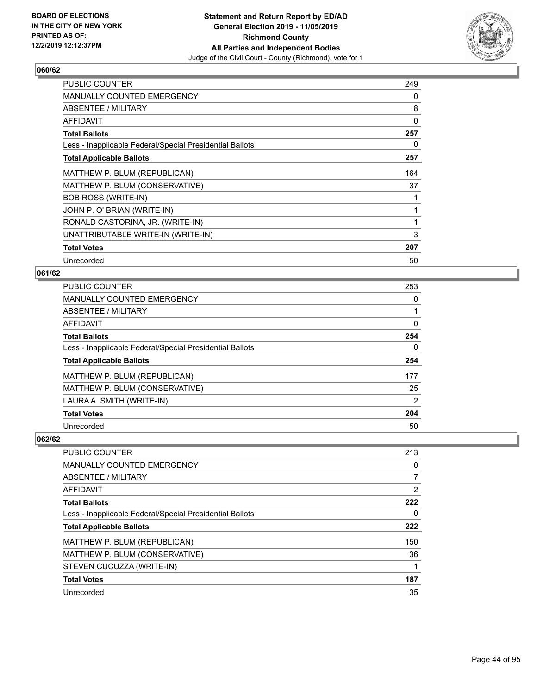

| <b>PUBLIC COUNTER</b>                                    | 249 |
|----------------------------------------------------------|-----|
| MANUALLY COUNTED EMERGENCY                               | 0   |
| ABSENTEE / MILITARY                                      | 8   |
| <b>AFFIDAVIT</b>                                         | 0   |
| <b>Total Ballots</b>                                     | 257 |
| Less - Inapplicable Federal/Special Presidential Ballots | 0   |
| <b>Total Applicable Ballots</b>                          | 257 |
| MATTHEW P. BLUM (REPUBLICAN)                             | 164 |
| MATTHEW P. BLUM (CONSERVATIVE)                           | 37  |
| <b>BOB ROSS (WRITE-IN)</b>                               |     |
| JOHN P. O' BRIAN (WRITE-IN)                              |     |
| RONALD CASTORINA, JR. (WRITE-IN)                         | 1   |
| UNATTRIBUTABLE WRITE-IN (WRITE-IN)                       | 3   |
| <b>Total Votes</b>                                       | 207 |
| Unrecorded                                               | 50  |

# **061/62**

| <b>PUBLIC COUNTER</b>                                    | 253            |
|----------------------------------------------------------|----------------|
| <b>MANUALLY COUNTED EMERGENCY</b>                        | 0              |
| <b>ABSENTEE / MILITARY</b>                               |                |
| <b>AFFIDAVIT</b>                                         | 0              |
| <b>Total Ballots</b>                                     | 254            |
| Less - Inapplicable Federal/Special Presidential Ballots | 0              |
| <b>Total Applicable Ballots</b>                          | 254            |
| MATTHEW P. BLUM (REPUBLICAN)                             | 177            |
| MATTHEW P. BLUM (CONSERVATIVE)                           | 25             |
| LAURA A. SMITH (WRITE-IN)                                | $\overline{2}$ |
| <b>Total Votes</b>                                       | 204            |
| Unrecorded                                               | 50             |

| <b>PUBLIC COUNTER</b>                                    | 213      |
|----------------------------------------------------------|----------|
| <b>MANUALLY COUNTED EMERGENCY</b>                        | 0        |
| <b>ABSENTEE / MILITARY</b>                               | 7        |
| AFFIDAVIT                                                | 2        |
| <b>Total Ballots</b>                                     | 222      |
| Less - Inapplicable Federal/Special Presidential Ballots | $\Omega$ |
| <b>Total Applicable Ballots</b>                          | 222      |
| MATTHEW P. BLUM (REPUBLICAN)                             | 150      |
| MATTHEW P. BLUM (CONSERVATIVE)                           | 36       |
| STEVEN CUCUZZA (WRITE-IN)                                |          |
| <b>Total Votes</b>                                       | 187      |
| Unrecorded                                               | 35       |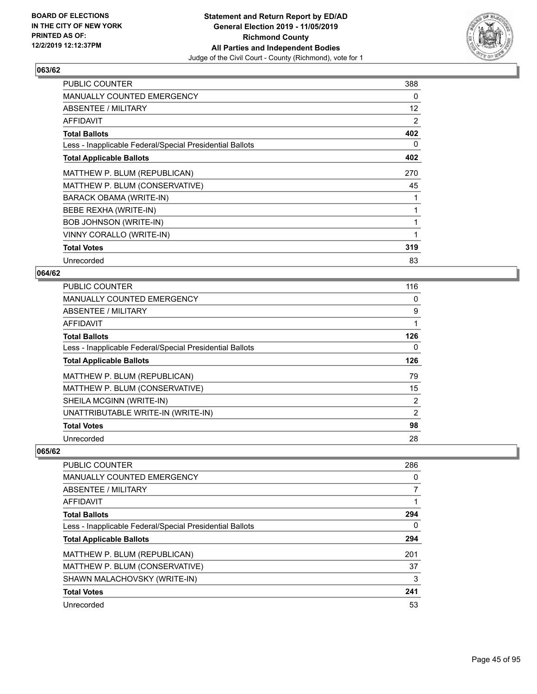

| <b>PUBLIC COUNTER</b>                                    | 388 |
|----------------------------------------------------------|-----|
| <b>MANUALLY COUNTED EMERGENCY</b>                        | 0   |
| ABSENTEE / MILITARY                                      | 12  |
| <b>AFFIDAVIT</b>                                         | 2   |
| <b>Total Ballots</b>                                     | 402 |
| Less - Inapplicable Federal/Special Presidential Ballots | 0   |
| <b>Total Applicable Ballots</b>                          | 402 |
| MATTHEW P. BLUM (REPUBLICAN)                             | 270 |
| MATTHEW P. BLUM (CONSERVATIVE)                           | 45  |
| <b>BARACK OBAMA (WRITE-IN)</b>                           |     |
| BEBE REXHA (WRITE-IN)                                    |     |
| <b>BOB JOHNSON (WRITE-IN)</b>                            | 1   |
| VINNY CORALLO (WRITE-IN)                                 | 1   |
| <b>Total Votes</b>                                       | 319 |
| Unrecorded                                               | 83  |

### **064/62**

| PUBLIC COUNTER                                           | 116            |
|----------------------------------------------------------|----------------|
| <b>MANUALLY COUNTED EMERGENCY</b>                        | 0              |
| <b>ABSENTEE / MILITARY</b>                               | 9              |
| AFFIDAVIT                                                |                |
| <b>Total Ballots</b>                                     | 126            |
| Less - Inapplicable Federal/Special Presidential Ballots | 0              |
| <b>Total Applicable Ballots</b>                          | 126            |
| MATTHEW P. BLUM (REPUBLICAN)                             | 79             |
| MATTHEW P. BLUM (CONSERVATIVE)                           | 15             |
| SHEILA MCGINN (WRITE-IN)                                 | $\overline{2}$ |
| UNATTRIBUTABLE WRITE-IN (WRITE-IN)                       | $\overline{2}$ |
| <b>Total Votes</b>                                       | 98             |
| Unrecorded                                               | 28             |

| <b>PUBLIC COUNTER</b>                                    | 286 |
|----------------------------------------------------------|-----|
| <b>MANUALLY COUNTED EMERGENCY</b>                        | 0   |
| ABSENTEE / MILITARY                                      |     |
| AFFIDAVIT                                                |     |
| <b>Total Ballots</b>                                     | 294 |
| Less - Inapplicable Federal/Special Presidential Ballots | 0   |
| <b>Total Applicable Ballots</b>                          | 294 |
| MATTHEW P. BLUM (REPUBLICAN)                             | 201 |
| MATTHEW P. BLUM (CONSERVATIVE)                           | 37  |
| SHAWN MALACHOVSKY (WRITE-IN)                             | 3   |
| <b>Total Votes</b>                                       | 241 |
| Unrecorded                                               | 53  |
|                                                          |     |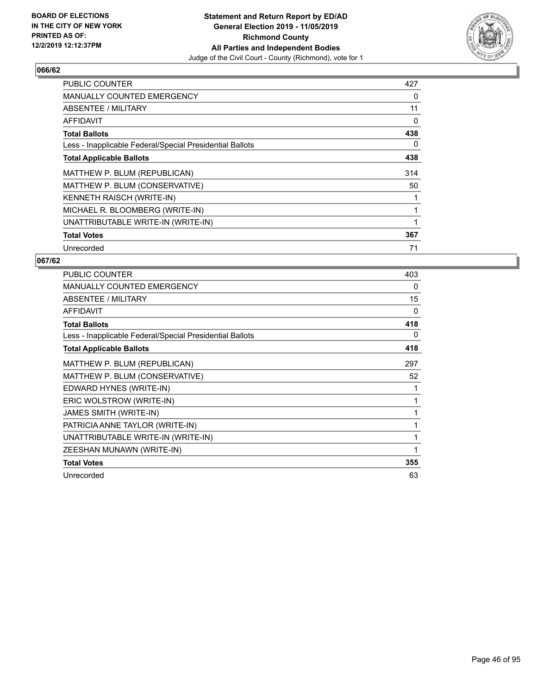

| <b>PUBLIC COUNTER</b>                                    | 427 |
|----------------------------------------------------------|-----|
| <b>MANUALLY COUNTED EMERGENCY</b>                        | 0   |
| <b>ABSENTEE / MILITARY</b>                               | 11  |
| <b>AFFIDAVIT</b>                                         | 0   |
| <b>Total Ballots</b>                                     | 438 |
| Less - Inapplicable Federal/Special Presidential Ballots | 0   |
| <b>Total Applicable Ballots</b>                          | 438 |
| MATTHEW P. BLUM (REPUBLICAN)                             | 314 |
| MATTHEW P. BLUM (CONSERVATIVE)                           | 50  |
| KENNETH RAISCH (WRITE-IN)                                |     |
| MICHAEL R. BLOOMBERG (WRITE-IN)                          |     |
| UNATTRIBUTABLE WRITE-IN (WRITE-IN)                       |     |
| <b>Total Votes</b>                                       | 367 |
| Unrecorded                                               | 71  |

| <b>PUBLIC COUNTER</b>                                    | 403 |
|----------------------------------------------------------|-----|
| <b>MANUALLY COUNTED EMERGENCY</b>                        | 0   |
| ABSENTEE / MILITARY                                      | 15  |
| <b>AFFIDAVIT</b>                                         | 0   |
| <b>Total Ballots</b>                                     | 418 |
| Less - Inapplicable Federal/Special Presidential Ballots | 0   |
| <b>Total Applicable Ballots</b>                          | 418 |
| MATTHEW P. BLUM (REPUBLICAN)                             | 297 |
| MATTHEW P. BLUM (CONSERVATIVE)                           | 52  |
| EDWARD HYNES (WRITE-IN)                                  | 1   |
| ERIC WOLSTROW (WRITE-IN)                                 | 1   |
| <b>JAMES SMITH (WRITE-IN)</b>                            | 1   |
| PATRICIA ANNE TAYLOR (WRITE-IN)                          | 1   |
| UNATTRIBUTABLE WRITE-IN (WRITE-IN)                       |     |
| ZEESHAN MUNAWN (WRITE-IN)                                | 1   |
| <b>Total Votes</b>                                       | 355 |
| Unrecorded                                               | 63  |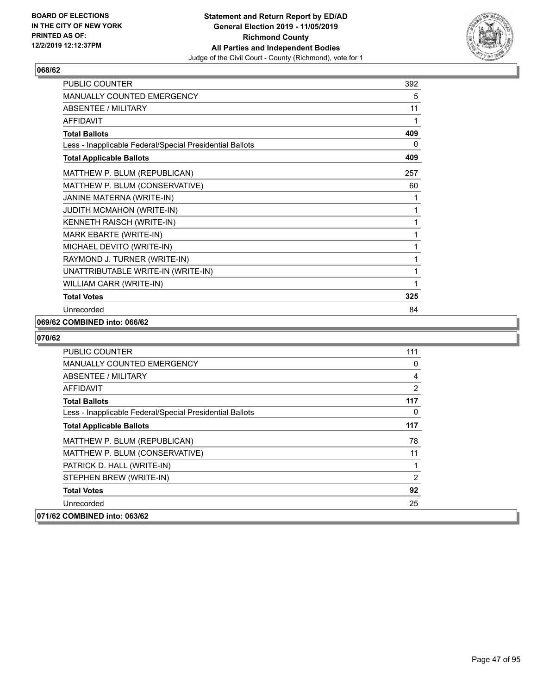

| PUBLIC COUNTER                                           | 392 |
|----------------------------------------------------------|-----|
| <b>MANUALLY COUNTED EMERGENCY</b>                        | 5   |
| <b>ABSENTEE / MILITARY</b>                               | 11  |
| <b>AFFIDAVIT</b>                                         | 1   |
| <b>Total Ballots</b>                                     | 409 |
| Less - Inapplicable Federal/Special Presidential Ballots | 0   |
| <b>Total Applicable Ballots</b>                          | 409 |
| MATTHEW P. BLUM (REPUBLICAN)                             | 257 |
| MATTHEW P. BLUM (CONSERVATIVE)                           | 60  |
| JANINE MATERNA (WRITE-IN)                                | 1   |
| JUDITH MCMAHON (WRITE-IN)                                | 1   |
| KENNETH RAISCH (WRITE-IN)                                | 1   |
| MARK EBARTE (WRITE-IN)                                   | 1   |
| MICHAEL DEVITO (WRITE-IN)                                | 1   |
| RAYMOND J. TURNER (WRITE-IN)                             | 1   |
| UNATTRIBUTABLE WRITE-IN (WRITE-IN)                       | 1   |
| WILLIAM CARR (WRITE-IN)                                  | 1   |
| <b>Total Votes</b>                                       | 325 |
| Unrecorded                                               | 84  |

#### **069/62 COMBINED into: 066/62**

| <b>PUBLIC COUNTER</b>                                    | 111 |
|----------------------------------------------------------|-----|
| <b>MANUALLY COUNTED EMERGENCY</b>                        | 0   |
| ABSENTEE / MILITARY                                      | 4   |
| AFFIDAVIT                                                | 2   |
| <b>Total Ballots</b>                                     | 117 |
| Less - Inapplicable Federal/Special Presidential Ballots | 0   |
| <b>Total Applicable Ballots</b>                          | 117 |
| MATTHEW P. BLUM (REPUBLICAN)                             | 78  |
| MATTHEW P. BLUM (CONSERVATIVE)                           | 11  |
| PATRICK D. HALL (WRITE-IN)                               | 1   |
| STEPHEN BREW (WRITE-IN)                                  | 2   |
| <b>Total Votes</b>                                       | 92  |
| Unrecorded                                               | 25  |
| 071/62 COMBINED into: 063/62                             |     |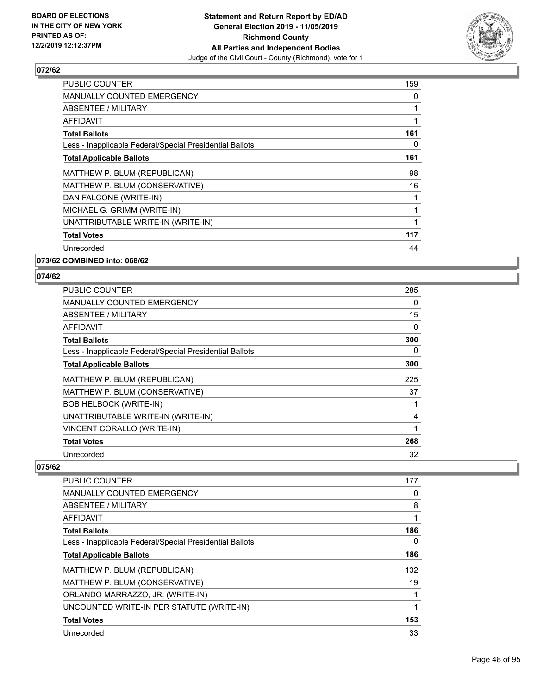

| <b>PUBLIC COUNTER</b>                                    | 159 |
|----------------------------------------------------------|-----|
| <b>MANUALLY COUNTED EMERGENCY</b>                        | 0   |
| <b>ABSENTEE / MILITARY</b>                               |     |
| AFFIDAVIT                                                |     |
| <b>Total Ballots</b>                                     | 161 |
| Less - Inapplicable Federal/Special Presidential Ballots | 0   |
| <b>Total Applicable Ballots</b>                          | 161 |
| MATTHEW P. BLUM (REPUBLICAN)                             | 98  |
| MATTHEW P. BLUM (CONSERVATIVE)                           | 16  |
| DAN FALCONE (WRITE-IN)                                   |     |
| MICHAEL G. GRIMM (WRITE-IN)                              |     |
| UNATTRIBUTABLE WRITE-IN (WRITE-IN)                       |     |
| <b>Total Votes</b>                                       | 117 |
| Unrecorded                                               | 44  |
|                                                          |     |

**073/62 COMBINED into: 068/62**

## **074/62**

| <b>PUBLIC COUNTER</b>                                    | 285 |
|----------------------------------------------------------|-----|
| <b>MANUALLY COUNTED EMERGENCY</b>                        | 0   |
| ABSENTEE / MILITARY                                      | 15  |
| AFFIDAVIT                                                | 0   |
| <b>Total Ballots</b>                                     | 300 |
| Less - Inapplicable Federal/Special Presidential Ballots | 0   |
| <b>Total Applicable Ballots</b>                          | 300 |
| MATTHEW P. BLUM (REPUBLICAN)                             | 225 |
| MATTHEW P. BLUM (CONSERVATIVE)                           | 37  |
| <b>BOB HELBOCK (WRITE-IN)</b>                            |     |
| UNATTRIBUTABLE WRITE-IN (WRITE-IN)                       | 4   |
| VINCENT CORALLO (WRITE-IN)                               | 1   |
| <b>Total Votes</b>                                       | 268 |
| Unrecorded                                               | 32  |

| <b>PUBLIC COUNTER</b>                                    | 177 |
|----------------------------------------------------------|-----|
| MANUALLY COUNTED EMERGENCY                               | 0   |
| ABSENTEE / MILITARY                                      | 8   |
| AFFIDAVIT                                                |     |
| <b>Total Ballots</b>                                     | 186 |
| Less - Inapplicable Federal/Special Presidential Ballots | 0   |
| <b>Total Applicable Ballots</b>                          | 186 |
| MATTHEW P. BLUM (REPUBLICAN)                             | 132 |
| MATTHEW P. BLUM (CONSERVATIVE)                           | 19  |
| ORLANDO MARRAZZO, JR. (WRITE-IN)                         |     |
| UNCOUNTED WRITE-IN PER STATUTE (WRITE-IN)                | 1   |
| <b>Total Votes</b>                                       | 153 |
| Unrecorded                                               | 33  |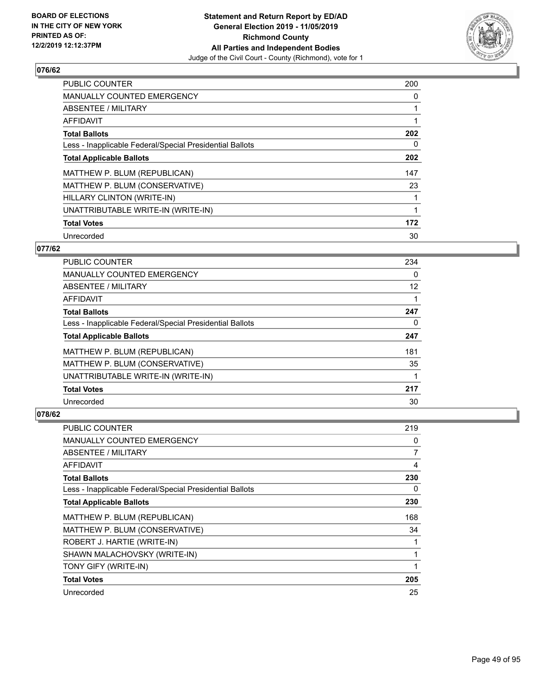

| <b>PUBLIC COUNTER</b>                                    | 200 |
|----------------------------------------------------------|-----|
| <b>MANUALLY COUNTED EMERGENCY</b>                        | 0   |
| <b>ABSENTEE / MILITARY</b>                               |     |
| <b>AFFIDAVIT</b>                                         |     |
| <b>Total Ballots</b>                                     | 202 |
| Less - Inapplicable Federal/Special Presidential Ballots | 0   |
| <b>Total Applicable Ballots</b>                          | 202 |
| MATTHEW P. BLUM (REPUBLICAN)                             | 147 |
| MATTHEW P. BLUM (CONSERVATIVE)                           | 23  |
| HILLARY CLINTON (WRITE-IN)                               |     |
| UNATTRIBUTABLE WRITE-IN (WRITE-IN)                       |     |
| <b>Total Votes</b>                                       | 172 |
| Unrecorded                                               | 30  |

## **077/62**

| <b>PUBLIC COUNTER</b>                                    | 234      |
|----------------------------------------------------------|----------|
| <b>MANUALLY COUNTED EMERGENCY</b>                        | $\Omega$ |
| ABSENTEE / MILITARY                                      | 12       |
| <b>AFFIDAVIT</b>                                         |          |
| <b>Total Ballots</b>                                     | 247      |
| Less - Inapplicable Federal/Special Presidential Ballots | 0        |
| <b>Total Applicable Ballots</b>                          | 247      |
| MATTHEW P. BLUM (REPUBLICAN)                             | 181      |
| MATTHEW P. BLUM (CONSERVATIVE)                           | 35       |
| UNATTRIBUTABLE WRITE-IN (WRITE-IN)                       |          |
| <b>Total Votes</b>                                       | 217      |
| Unrecorded                                               | 30       |

| PUBLIC COUNTER                                           | 219 |
|----------------------------------------------------------|-----|
| MANUALLY COUNTED EMERGENCY                               | 0   |
| ABSENTEE / MILITARY                                      | 7   |
| AFFIDAVIT                                                | 4   |
| <b>Total Ballots</b>                                     | 230 |
| Less - Inapplicable Federal/Special Presidential Ballots | 0   |
| <b>Total Applicable Ballots</b>                          | 230 |
| MATTHEW P. BLUM (REPUBLICAN)                             | 168 |
| MATTHEW P. BLUM (CONSERVATIVE)                           | 34  |
| ROBERT J. HARTIE (WRITE-IN)                              | 1   |
| SHAWN MALACHOVSKY (WRITE-IN)                             | 1   |
| TONY GIFY (WRITE-IN)                                     |     |
| <b>Total Votes</b>                                       | 205 |
| Unrecorded                                               | 25  |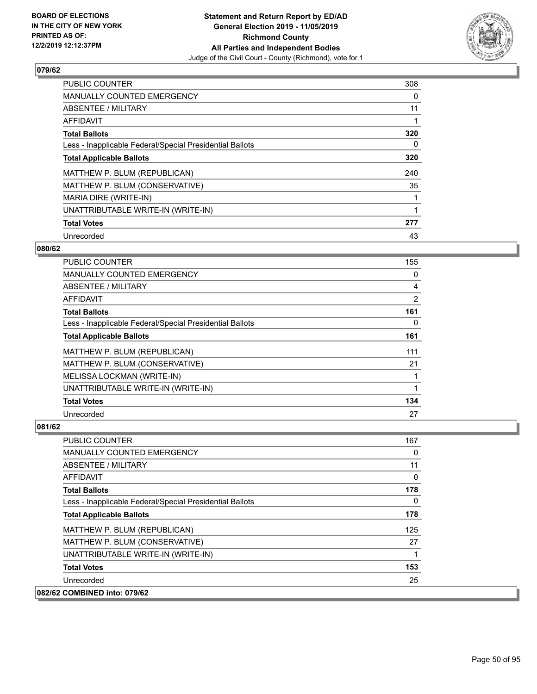

| <b>PUBLIC COUNTER</b>                                    | 308 |
|----------------------------------------------------------|-----|
| <b>MANUALLY COUNTED EMERGENCY</b>                        | 0   |
| ABSENTEE / MILITARY                                      | 11  |
| <b>AFFIDAVIT</b>                                         |     |
| <b>Total Ballots</b>                                     | 320 |
| Less - Inapplicable Federal/Special Presidential Ballots | 0   |
| <b>Total Applicable Ballots</b>                          | 320 |
| MATTHEW P. BLUM (REPUBLICAN)                             | 240 |
| MATTHEW P. BLUM (CONSERVATIVE)                           | 35  |
| MARIA DIRE (WRITE-IN)                                    |     |
| UNATTRIBUTABLE WRITE-IN (WRITE-IN)                       |     |
| <b>Total Votes</b>                                       | 277 |
| Unrecorded                                               | 43  |

## **080/62**

| <b>PUBLIC COUNTER</b>                                    | 155 |
|----------------------------------------------------------|-----|
| MANUALLY COUNTED EMERGENCY                               | 0   |
| ABSENTEE / MILITARY                                      | 4   |
| AFFIDAVIT                                                | 2   |
| <b>Total Ballots</b>                                     | 161 |
| Less - Inapplicable Federal/Special Presidential Ballots | 0   |
| <b>Total Applicable Ballots</b>                          | 161 |
| MATTHEW P. BLUM (REPUBLICAN)                             | 111 |
| MATTHEW P. BLUM (CONSERVATIVE)                           | 21  |
| MELISSA LOCKMAN (WRITE-IN)                               |     |
| UNATTRIBUTABLE WRITE-IN (WRITE-IN)                       |     |
| <b>Total Votes</b>                                       | 134 |
| Unrecorded                                               | 27  |

| <b>PUBLIC COUNTER</b>                                    | 167 |
|----------------------------------------------------------|-----|
| <b>MANUALLY COUNTED EMERGENCY</b>                        | 0   |
| ABSENTEE / MILITARY                                      | 11  |
| AFFIDAVIT                                                | 0   |
| <b>Total Ballots</b>                                     | 178 |
| Less - Inapplicable Federal/Special Presidential Ballots | 0   |
| <b>Total Applicable Ballots</b>                          | 178 |
| MATTHEW P. BLUM (REPUBLICAN)                             | 125 |
| MATTHEW P. BLUM (CONSERVATIVE)                           | 27  |
| UNATTRIBUTABLE WRITE-IN (WRITE-IN)                       |     |
| <b>Total Votes</b>                                       | 153 |
| Unrecorded                                               | 25  |
| 082/62 COMBINED into: 079/62                             |     |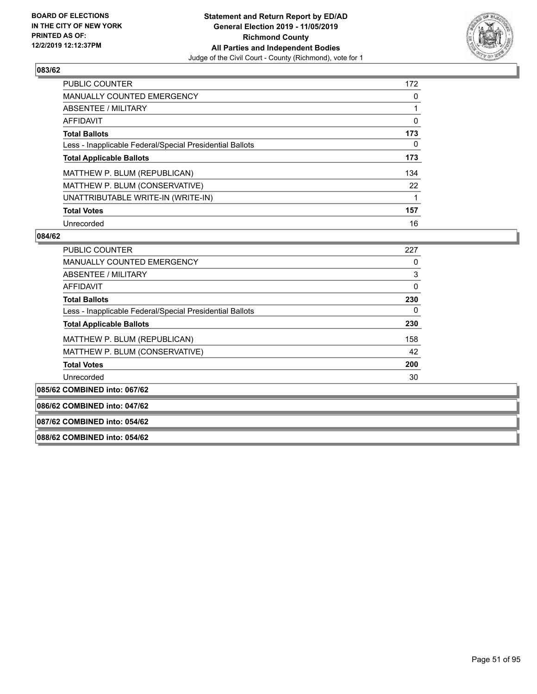

| <b>PUBLIC COUNTER</b>                                    | 172      |
|----------------------------------------------------------|----------|
| <b>MANUALLY COUNTED EMERGENCY</b>                        | $\Omega$ |
| ABSENTEE / MILITARY                                      |          |
| <b>AFFIDAVIT</b>                                         | 0        |
| <b>Total Ballots</b>                                     | 173      |
| Less - Inapplicable Federal/Special Presidential Ballots | 0        |
| <b>Total Applicable Ballots</b>                          | 173      |
| MATTHEW P. BLUM (REPUBLICAN)                             | 134      |
| MATTHEW P. BLUM (CONSERVATIVE)                           | 22       |
| UNATTRIBUTABLE WRITE-IN (WRITE-IN)                       |          |
| <b>Total Votes</b>                                       | 157      |
| Unrecorded                                               | 16       |

#### **084/62**

| <b>PUBLIC COUNTER</b>                                    | 227      |
|----------------------------------------------------------|----------|
| MANUALLY COUNTED EMERGENCY                               | 0        |
| ABSENTEE / MILITARY                                      | 3        |
| AFFIDAVIT                                                | $\Omega$ |
| <b>Total Ballots</b>                                     | 230      |
| Less - Inapplicable Federal/Special Presidential Ballots | 0        |
| <b>Total Applicable Ballots</b>                          | 230      |
| MATTHEW P. BLUM (REPUBLICAN)                             | 158      |
| MATTHEW P. BLUM (CONSERVATIVE)                           | 42       |
| <b>Total Votes</b>                                       | 200      |
| Unrecorded                                               | 30       |
|                                                          |          |

**085/62 COMBINED into: 067/62**

**086/62 COMBINED into: 047/62**

#### **087/62 COMBINED into: 054/62**

**088/62 COMBINED into: 054/62**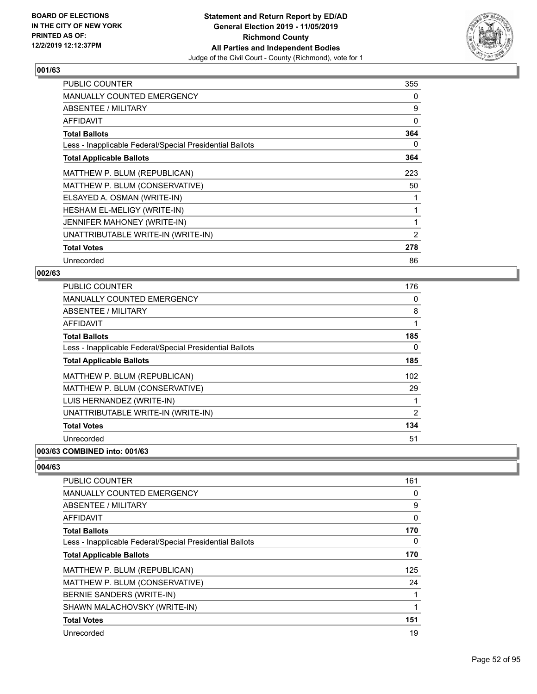

| <b>PUBLIC COUNTER</b>                                    | 355            |
|----------------------------------------------------------|----------------|
| MANUALLY COUNTED EMERGENCY                               | 0              |
| ABSENTEE / MILITARY                                      | 9              |
| <b>AFFIDAVIT</b>                                         | 0              |
| <b>Total Ballots</b>                                     | 364            |
| Less - Inapplicable Federal/Special Presidential Ballots | 0              |
| <b>Total Applicable Ballots</b>                          | 364            |
| MATTHEW P. BLUM (REPUBLICAN)                             | 223            |
| MATTHEW P. BLUM (CONSERVATIVE)                           | 50             |
| ELSAYED A. OSMAN (WRITE-IN)                              |                |
| HESHAM EL-MELIGY (WRITE-IN)                              | 1              |
| JENNIFER MAHONEY (WRITE-IN)                              | 1              |
| UNATTRIBUTABLE WRITE-IN (WRITE-IN)                       | $\overline{2}$ |
| <b>Total Votes</b>                                       | 278            |
| Unrecorded                                               | 86             |

## **002/63**

| PUBLIC COUNTER                                           | 176 |
|----------------------------------------------------------|-----|
| MANUALLY COUNTED EMERGENCY                               | 0   |
| ABSENTEE / MILITARY                                      | 8   |
| AFFIDAVIT                                                | 1   |
| <b>Total Ballots</b>                                     | 185 |
| Less - Inapplicable Federal/Special Presidential Ballots | 0   |
| <b>Total Applicable Ballots</b>                          | 185 |
| MATTHEW P. BLUM (REPUBLICAN)                             | 102 |
| MATTHEW P. BLUM (CONSERVATIVE)                           | 29  |
| LUIS HERNANDEZ (WRITE-IN)                                | 1   |
| UNATTRIBUTABLE WRITE-IN (WRITE-IN)                       | 2   |
| <b>Total Votes</b>                                       | 134 |
| Unrecorded                                               | 51  |
|                                                          |     |

#### **003/63 COMBINED into: 001/63**

| <b>PUBLIC COUNTER</b>                                    | 161 |
|----------------------------------------------------------|-----|
| <b>MANUALLY COUNTED EMERGENCY</b>                        | 0   |
| ABSENTEE / MILITARY                                      | 9   |
| AFFIDAVIT                                                | 0   |
| <b>Total Ballots</b>                                     | 170 |
| Less - Inapplicable Federal/Special Presidential Ballots | 0   |
| <b>Total Applicable Ballots</b>                          | 170 |
| MATTHEW P. BLUM (REPUBLICAN)                             | 125 |
| MATTHEW P. BLUM (CONSERVATIVE)                           | 24  |
| BERNIE SANDERS (WRITE-IN)                                |     |
| SHAWN MALACHOVSKY (WRITE-IN)                             |     |
| <b>Total Votes</b>                                       | 151 |
| Unrecorded                                               | 19  |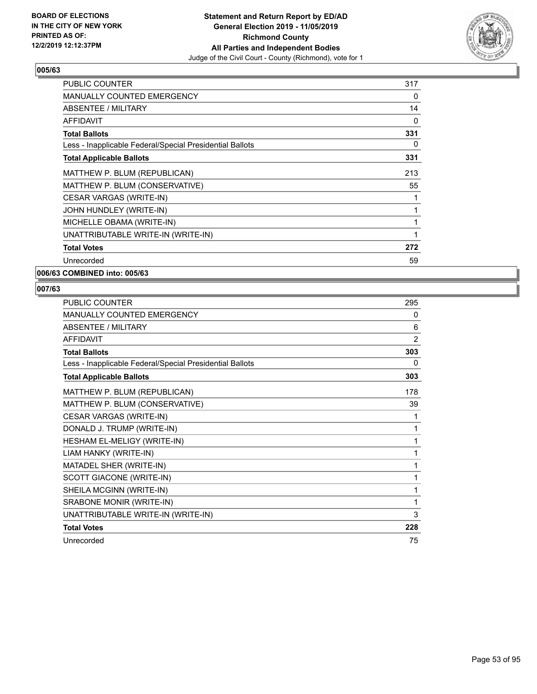

| <b>PUBLIC COUNTER</b>                                    | 317 |
|----------------------------------------------------------|-----|
| <b>MANUALLY COUNTED EMERGENCY</b>                        | 0   |
| ABSENTEE / MILITARY                                      | 14  |
| <b>AFFIDAVIT</b>                                         | 0   |
| <b>Total Ballots</b>                                     | 331 |
| Less - Inapplicable Federal/Special Presidential Ballots | 0   |
| <b>Total Applicable Ballots</b>                          | 331 |
| MATTHEW P. BLUM (REPUBLICAN)                             | 213 |
| MATTHEW P. BLUM (CONSERVATIVE)                           | 55  |
| CESAR VARGAS (WRITE-IN)                                  |     |
| JOHN HUNDLEY (WRITE-IN)                                  |     |
| MICHELLE OBAMA (WRITE-IN)                                |     |
| UNATTRIBUTABLE WRITE-IN (WRITE-IN)                       |     |
| <b>Total Votes</b>                                       | 272 |
| Unrecorded                                               | 59  |

**006/63 COMBINED into: 005/63**

| <b>PUBLIC COUNTER</b>                                    | 295            |
|----------------------------------------------------------|----------------|
| <b>MANUALLY COUNTED EMERGENCY</b>                        | 0              |
| ABSENTEE / MILITARY                                      | 6              |
| AFFIDAVIT                                                | $\overline{2}$ |
| <b>Total Ballots</b>                                     | 303            |
| Less - Inapplicable Federal/Special Presidential Ballots | 0              |
| <b>Total Applicable Ballots</b>                          | 303            |
| MATTHEW P. BLUM (REPUBLICAN)                             | 178            |
| MATTHEW P. BLUM (CONSERVATIVE)                           | 39             |
| CESAR VARGAS (WRITE-IN)                                  | 1              |
| DONALD J. TRUMP (WRITE-IN)                               | 1              |
| HESHAM EL-MELIGY (WRITE-IN)                              | 1              |
| LIAM HANKY (WRITE-IN)                                    | 1              |
| MATADEL SHER (WRITE-IN)                                  | 1              |
| SCOTT GIACONE (WRITE-IN)                                 | 1              |
| SHEILA MCGINN (WRITE-IN)                                 | 1              |
| SRABONE MONIR (WRITE-IN)                                 | 1              |
| UNATTRIBUTABLE WRITE-IN (WRITE-IN)                       | 3              |
| <b>Total Votes</b>                                       | 228            |
| Unrecorded                                               | 75             |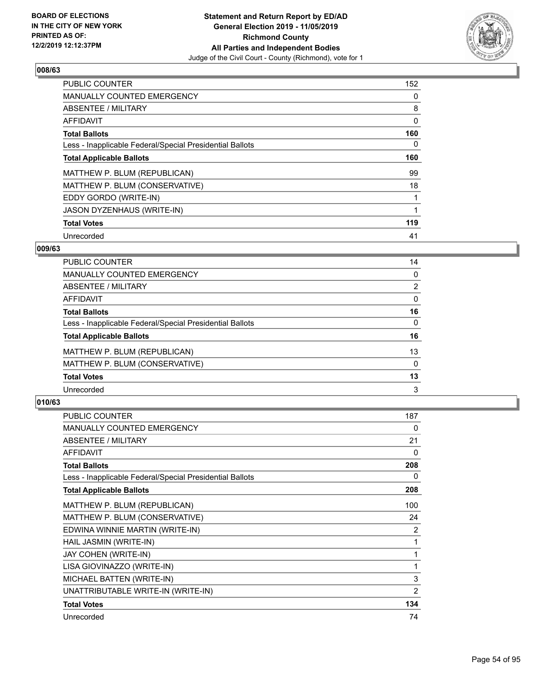

| <b>PUBLIC COUNTER</b>                                    | 152 |
|----------------------------------------------------------|-----|
| <b>MANUALLY COUNTED EMERGENCY</b>                        | 0   |
| ABSENTEE / MILITARY                                      | 8   |
| <b>AFFIDAVIT</b>                                         | 0   |
| <b>Total Ballots</b>                                     | 160 |
| Less - Inapplicable Federal/Special Presidential Ballots | 0   |
| <b>Total Applicable Ballots</b>                          | 160 |
| MATTHEW P. BLUM (REPUBLICAN)                             | 99  |
| MATTHEW P. BLUM (CONSERVATIVE)                           | 18  |
| EDDY GORDO (WRITE-IN)                                    |     |
| JASON DYZENHAUS (WRITE-IN)                               |     |
| <b>Total Votes</b>                                       | 119 |
| Unrecorded                                               | 41  |

## **009/63**

| PUBLIC COUNTER                                           | 14             |
|----------------------------------------------------------|----------------|
| MANUALLY COUNTED EMERGENCY                               | 0              |
| ABSENTEE / MILITARY                                      | $\overline{2}$ |
| AFFIDAVIT                                                | 0              |
| <b>Total Ballots</b>                                     | 16             |
| Less - Inapplicable Federal/Special Presidential Ballots | $\Omega$       |
| <b>Total Applicable Ballots</b>                          | 16             |
| MATTHEW P. BLUM (REPUBLICAN)                             | 13             |
| MATTHEW P. BLUM (CONSERVATIVE)                           | $\Omega$       |
| <b>Total Votes</b>                                       | 13             |
| Unrecorded                                               | 3              |
|                                                          |                |

| <b>PUBLIC COUNTER</b>                                    | 187 |
|----------------------------------------------------------|-----|
| MANUALLY COUNTED EMERGENCY                               | 0   |
| ABSENTEE / MILITARY                                      | 21  |
| <b>AFFIDAVIT</b>                                         | 0   |
| <b>Total Ballots</b>                                     | 208 |
| Less - Inapplicable Federal/Special Presidential Ballots | 0   |
| <b>Total Applicable Ballots</b>                          | 208 |
| MATTHEW P. BLUM (REPUBLICAN)                             | 100 |
| MATTHEW P. BLUM (CONSERVATIVE)                           | 24  |
| EDWINA WINNIE MARTIN (WRITE-IN)                          | 2   |
| HAIL JASMIN (WRITE-IN)                                   | 1   |
| JAY COHEN (WRITE-IN)                                     | 1   |
| LISA GIOVINAZZO (WRITE-IN)                               | 1   |
| MICHAEL BATTEN (WRITE-IN)                                | 3   |
| UNATTRIBUTABLE WRITE-IN (WRITE-IN)                       | 2   |
| <b>Total Votes</b>                                       | 134 |
| Unrecorded                                               | 74  |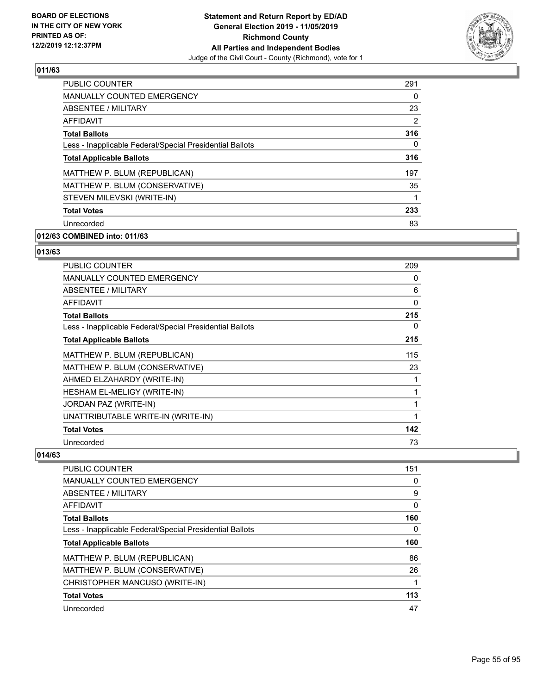

| <b>PUBLIC COUNTER</b>                                    | 291 |
|----------------------------------------------------------|-----|
| <b>MANUALLY COUNTED EMERGENCY</b>                        | 0   |
| ABSENTEE / MILITARY                                      | 23  |
| AFFIDAVIT                                                | 2   |
| <b>Total Ballots</b>                                     | 316 |
| Less - Inapplicable Federal/Special Presidential Ballots | 0   |
| <b>Total Applicable Ballots</b>                          | 316 |
| MATTHEW P. BLUM (REPUBLICAN)                             | 197 |
| MATTHEW P. BLUM (CONSERVATIVE)                           | 35  |
| STEVEN MILEVSKI (WRITE-IN)                               | 1   |
| <b>Total Votes</b>                                       | 233 |
| Unrecorded                                               | 83  |

# **012/63 COMBINED into: 011/63**

# **013/63**

| <b>PUBLIC COUNTER</b>                                    | 209 |
|----------------------------------------------------------|-----|
| <b>MANUALLY COUNTED EMERGENCY</b>                        | 0   |
| ABSENTEE / MILITARY                                      | 6   |
| <b>AFFIDAVIT</b>                                         | 0   |
| <b>Total Ballots</b>                                     | 215 |
| Less - Inapplicable Federal/Special Presidential Ballots | 0   |
| <b>Total Applicable Ballots</b>                          | 215 |
| MATTHEW P. BLUM (REPUBLICAN)                             | 115 |
| MATTHEW P. BLUM (CONSERVATIVE)                           | 23  |
| AHMED ELZAHARDY (WRITE-IN)                               | 1   |
| HESHAM EL-MELIGY (WRITE-IN)                              | 1   |
| JORDAN PAZ (WRITE-IN)                                    | 1   |
| UNATTRIBUTABLE WRITE-IN (WRITE-IN)                       | 1   |
| <b>Total Votes</b>                                       | 142 |
| Unrecorded                                               | 73  |

| <b>PUBLIC COUNTER</b>                                    | 151      |
|----------------------------------------------------------|----------|
| <b>MANUALLY COUNTED EMERGENCY</b>                        | 0        |
| ABSENTEE / MILITARY                                      | 9        |
| <b>AFFIDAVIT</b>                                         | 0        |
| <b>Total Ballots</b>                                     | 160      |
| Less - Inapplicable Federal/Special Presidential Ballots | $\Omega$ |
| <b>Total Applicable Ballots</b>                          | 160      |
| MATTHEW P. BLUM (REPUBLICAN)                             | 86       |
| MATTHEW P. BLUM (CONSERVATIVE)                           | 26       |
| CHRISTOPHER MANCUSO (WRITE-IN)                           |          |
| <b>Total Votes</b>                                       | 113      |
| Unrecorded                                               | 47       |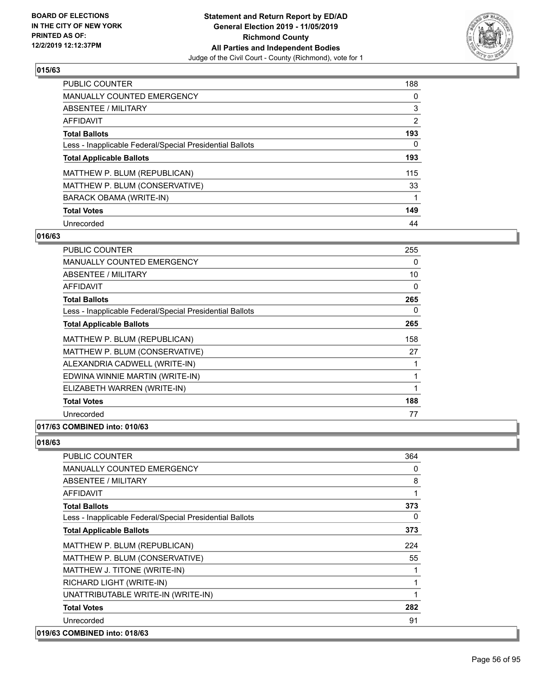

| <b>PUBLIC COUNTER</b>                                    | 188            |
|----------------------------------------------------------|----------------|
| <b>MANUALLY COUNTED EMERGENCY</b>                        | 0              |
| ABSENTEE / MILITARY                                      | 3              |
| AFFIDAVIT                                                | $\overline{2}$ |
| <b>Total Ballots</b>                                     | 193            |
| Less - Inapplicable Federal/Special Presidential Ballots | $\Omega$       |
| <b>Total Applicable Ballots</b>                          | 193            |
| MATTHEW P. BLUM (REPUBLICAN)                             | 115            |
| MATTHEW P. BLUM (CONSERVATIVE)                           | 33             |
| BARACK OBAMA (WRITE-IN)                                  |                |
| <b>Total Votes</b>                                       | 149            |
| Unrecorded                                               | 44             |

#### **016/63**

| <b>PUBLIC COUNTER</b>                                    | 255 |
|----------------------------------------------------------|-----|
| <b>MANUALLY COUNTED EMERGENCY</b>                        | 0   |
| ABSENTEE / MILITARY                                      | 10  |
| AFFIDAVIT                                                | 0   |
| <b>Total Ballots</b>                                     | 265 |
| Less - Inapplicable Federal/Special Presidential Ballots | 0   |
| <b>Total Applicable Ballots</b>                          | 265 |
| MATTHEW P. BLUM (REPUBLICAN)                             | 158 |
| MATTHEW P. BLUM (CONSERVATIVE)                           | 27  |
| ALEXANDRIA CADWELL (WRITE-IN)                            | 1   |
| EDWINA WINNIE MARTIN (WRITE-IN)                          | 1   |
| ELIZABETH WARREN (WRITE-IN)                              | 1   |
| <b>Total Votes</b>                                       | 188 |
| Unrecorded                                               | 77  |

### **017/63 COMBINED into: 010/63**

| <b>PUBLIC COUNTER</b>                                    | 364 |
|----------------------------------------------------------|-----|
| <b>MANUALLY COUNTED EMERGENCY</b>                        | 0   |
| <b>ABSENTEE / MILITARY</b>                               | 8   |
| <b>AFFIDAVIT</b>                                         |     |
| <b>Total Ballots</b>                                     | 373 |
| Less - Inapplicable Federal/Special Presidential Ballots | 0   |
| <b>Total Applicable Ballots</b>                          | 373 |
| MATTHEW P. BLUM (REPUBLICAN)                             | 224 |
| MATTHEW P. BLUM (CONSERVATIVE)                           | 55  |
| MATTHEW J. TITONE (WRITE-IN)                             |     |
| RICHARD LIGHT (WRITE-IN)                                 |     |
| UNATTRIBUTABLE WRITE-IN (WRITE-IN)                       |     |
| <b>Total Votes</b>                                       | 282 |
| Unrecorded                                               | 91  |
| 019/63 COMBINED into: 018/63                             |     |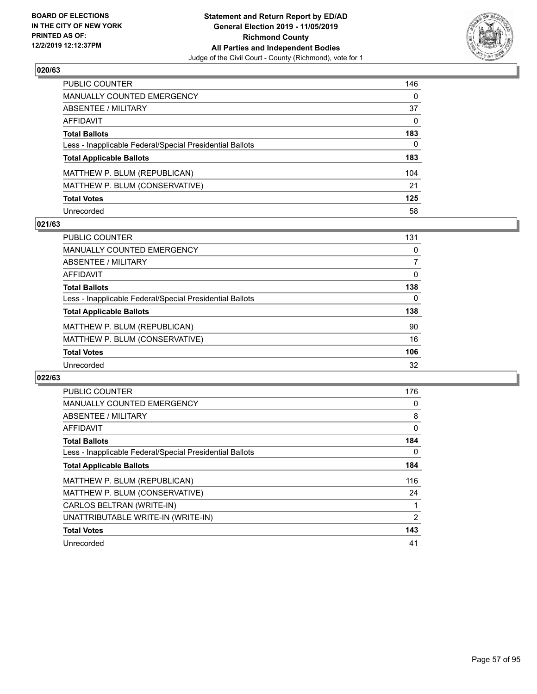

| PUBLIC COUNTER                                           | 146          |
|----------------------------------------------------------|--------------|
| MANUALLY COUNTED EMERGENCY                               | $\Omega$     |
| ABSENTEE / MILITARY                                      | 37           |
| <b>AFFIDAVIT</b>                                         | $\mathbf{0}$ |
| <b>Total Ballots</b>                                     | 183          |
| Less - Inapplicable Federal/Special Presidential Ballots | 0            |
| <b>Total Applicable Ballots</b>                          | 183          |
| MATTHEW P. BLUM (REPUBLICAN)                             | 104          |
| MATTHEW P. BLUM (CONSERVATIVE)                           | 21           |
| <b>Total Votes</b>                                       | 125          |
| Unrecorded                                               | 58           |

### **021/63**

| PUBLIC COUNTER                                           | 131      |
|----------------------------------------------------------|----------|
| MANUALLY COUNTED EMERGENCY                               | 0        |
| ABSENTEE / MILITARY                                      |          |
| AFFIDAVIT                                                | $\Omega$ |
| <b>Total Ballots</b>                                     | 138      |
| Less - Inapplicable Federal/Special Presidential Ballots | $\Omega$ |
| <b>Total Applicable Ballots</b>                          | 138      |
| MATTHEW P. BLUM (REPUBLICAN)                             | 90       |
| MATTHEW P. BLUM (CONSERVATIVE)                           | 16       |
| <b>Total Votes</b>                                       | 106      |
| Unrecorded                                               | 32       |

| <b>PUBLIC COUNTER</b>                                    | 176 |
|----------------------------------------------------------|-----|
| <b>MANUALLY COUNTED EMERGENCY</b>                        | 0   |
| ABSENTEE / MILITARY                                      | 8   |
| AFFIDAVIT                                                | 0   |
| <b>Total Ballots</b>                                     | 184 |
| Less - Inapplicable Federal/Special Presidential Ballots | 0   |
| <b>Total Applicable Ballots</b>                          | 184 |
| MATTHEW P. BLUM (REPUBLICAN)                             | 116 |
| MATTHEW P. BLUM (CONSERVATIVE)                           | 24  |
| CARLOS BELTRAN (WRITE-IN)                                | 1   |
| UNATTRIBUTABLE WRITE-IN (WRITE-IN)                       | 2   |
| <b>Total Votes</b>                                       | 143 |
| Unrecorded                                               | 41  |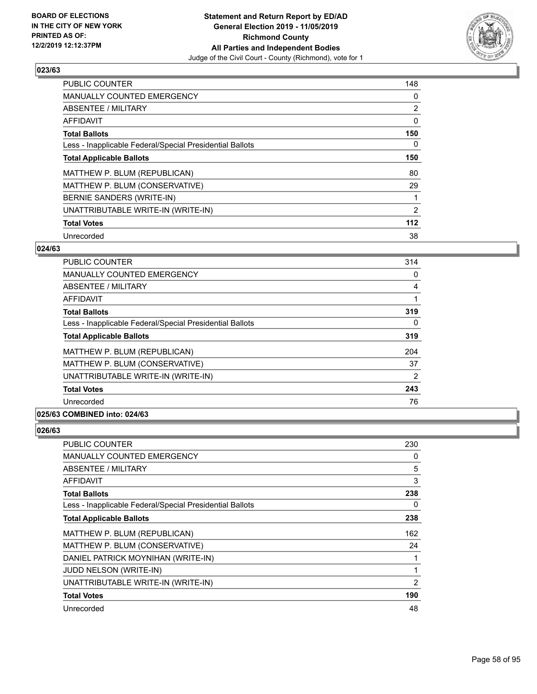

| <b>PUBLIC COUNTER</b>                                    | 148            |
|----------------------------------------------------------|----------------|
| <b>MANUALLY COUNTED EMERGENCY</b>                        | 0              |
| ABSENTEE / MILITARY                                      | $\overline{2}$ |
| AFFIDAVIT                                                | 0              |
| <b>Total Ballots</b>                                     | 150            |
| Less - Inapplicable Federal/Special Presidential Ballots | 0              |
| <b>Total Applicable Ballots</b>                          | 150            |
| MATTHEW P. BLUM (REPUBLICAN)                             | 80             |
| MATTHEW P. BLUM (CONSERVATIVE)                           | 29             |
| BERNIE SANDERS (WRITE-IN)                                |                |
| UNATTRIBUTABLE WRITE-IN (WRITE-IN)                       | $\overline{2}$ |
| <b>Total Votes</b>                                       | 112            |
| Unrecorded                                               | 38             |

## **024/63**

| <b>PUBLIC COUNTER</b>                                    | 314            |
|----------------------------------------------------------|----------------|
| <b>MANUALLY COUNTED EMERGENCY</b>                        | $\Omega$       |
| <b>ABSENTEE / MILITARY</b>                               | 4              |
| <b>AFFIDAVIT</b>                                         |                |
| <b>Total Ballots</b>                                     | 319            |
| Less - Inapplicable Federal/Special Presidential Ballots | 0              |
| <b>Total Applicable Ballots</b>                          | 319            |
| MATTHEW P. BLUM (REPUBLICAN)                             | 204            |
| MATTHEW P. BLUM (CONSERVATIVE)                           | 37             |
| UNATTRIBUTABLE WRITE-IN (WRITE-IN)                       | $\overline{2}$ |
| <b>Total Votes</b>                                       | 243            |
| Unrecorded                                               | 76             |

## **025/63 COMBINED into: 024/63**

| <b>PUBLIC COUNTER</b>                                    | 230 |
|----------------------------------------------------------|-----|
| MANUALLY COUNTED EMERGENCY                               | 0   |
| ABSENTEE / MILITARY                                      | 5   |
| AFFIDAVIT                                                | 3   |
| <b>Total Ballots</b>                                     | 238 |
| Less - Inapplicable Federal/Special Presidential Ballots | 0   |
| <b>Total Applicable Ballots</b>                          | 238 |
| MATTHEW P. BLUM (REPUBLICAN)                             | 162 |
| MATTHEW P. BLUM (CONSERVATIVE)                           | 24  |
| DANIEL PATRICK MOYNIHAN (WRITE-IN)                       |     |
| JUDD NELSON (WRITE-IN)                                   | 1   |
| UNATTRIBUTABLE WRITE-IN (WRITE-IN)                       | 2   |
| <b>Total Votes</b>                                       | 190 |
| Unrecorded                                               | 48  |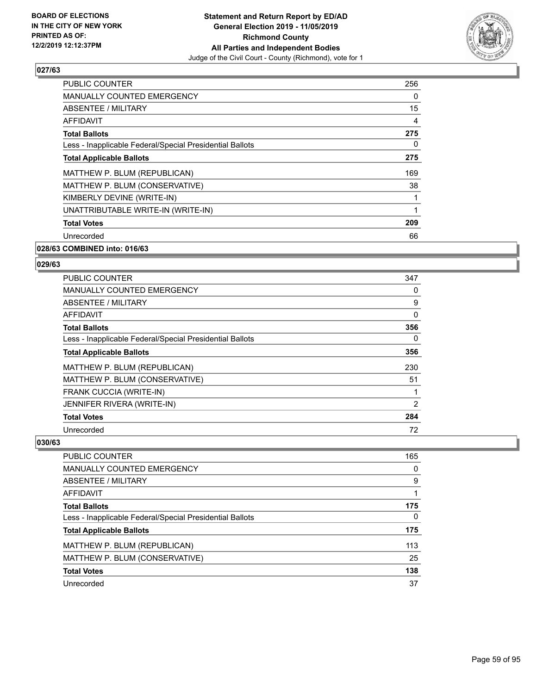

| <b>PUBLIC COUNTER</b>                                    | 256            |
|----------------------------------------------------------|----------------|
| <b>MANUALLY COUNTED EMERGENCY</b>                        | 0              |
| ABSENTEE / MILITARY                                      | 15             |
| <b>AFFIDAVIT</b>                                         | $\overline{4}$ |
| <b>Total Ballots</b>                                     | 275            |
| Less - Inapplicable Federal/Special Presidential Ballots | 0              |
| <b>Total Applicable Ballots</b>                          | 275            |
| MATTHEW P. BLUM (REPUBLICAN)                             | 169            |
| MATTHEW P. BLUM (CONSERVATIVE)                           | 38             |
| KIMBERLY DEVINE (WRITE-IN)                               | 1              |
| UNATTRIBUTABLE WRITE-IN (WRITE-IN)                       | 1              |
| <b>Total Votes</b>                                       | 209            |
| Unrecorded                                               | 66             |
|                                                          |                |

#### **028/63 COMBINED into: 016/63**

#### **029/63**

| <b>PUBLIC COUNTER</b>                                    | 347 |
|----------------------------------------------------------|-----|
| <b>MANUALLY COUNTED EMERGENCY</b>                        | 0   |
| ABSENTEE / MILITARY                                      | 9   |
| AFFIDAVIT                                                | 0   |
| <b>Total Ballots</b>                                     | 356 |
| Less - Inapplicable Federal/Special Presidential Ballots | 0   |
| <b>Total Applicable Ballots</b>                          | 356 |
| MATTHEW P. BLUM (REPUBLICAN)                             | 230 |
| MATTHEW P. BLUM (CONSERVATIVE)                           | 51  |
| <b>FRANK CUCCIA (WRITE-IN)</b>                           |     |
| JENNIFER RIVERA (WRITE-IN)                               | 2   |
| <b>Total Votes</b>                                       | 284 |
| Unrecorded                                               | 72  |

| <b>PUBLIC COUNTER</b>                                    | 165 |
|----------------------------------------------------------|-----|
| <b>MANUALLY COUNTED EMERGENCY</b>                        | 0   |
| ABSENTEE / MILITARY                                      | 9   |
| AFFIDAVIT                                                |     |
| <b>Total Ballots</b>                                     | 175 |
| Less - Inapplicable Federal/Special Presidential Ballots | 0   |
| <b>Total Applicable Ballots</b>                          | 175 |
| MATTHEW P. BLUM (REPUBLICAN)                             | 113 |
| MATTHEW P. BLUM (CONSERVATIVE)                           | 25  |
| <b>Total Votes</b>                                       | 138 |
| Unrecorded                                               | 37  |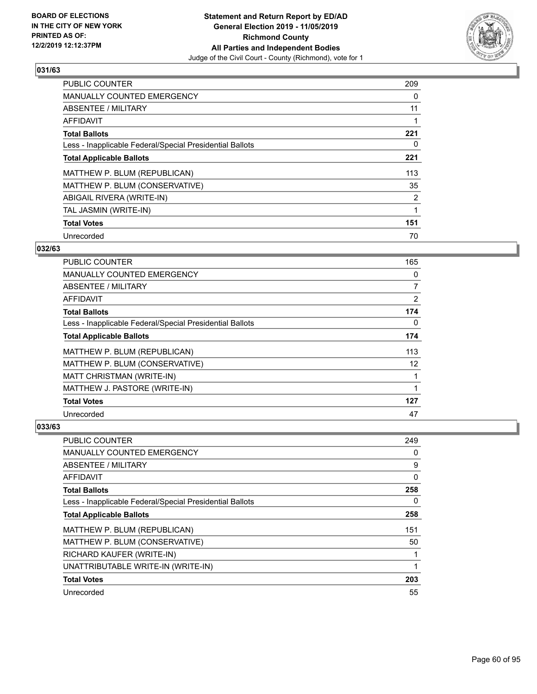

| <b>PUBLIC COUNTER</b>                                    | 209            |
|----------------------------------------------------------|----------------|
| <b>MANUALLY COUNTED EMERGENCY</b>                        | 0              |
| ABSENTEE / MILITARY                                      | 11             |
| AFFIDAVIT                                                |                |
| <b>Total Ballots</b>                                     | 221            |
| Less - Inapplicable Federal/Special Presidential Ballots | 0              |
| <b>Total Applicable Ballots</b>                          | 221            |
| MATTHEW P. BLUM (REPUBLICAN)                             | 113            |
| MATTHEW P. BLUM (CONSERVATIVE)                           | 35             |
| ABIGAIL RIVERA (WRITE-IN)                                | $\overline{2}$ |
| TAL JASMIN (WRITE-IN)                                    | 1              |
| <b>Total Votes</b>                                       | 151            |
| Unrecorded                                               | 70             |

## **032/63**

| <b>PUBLIC COUNTER</b>                                    | 165            |
|----------------------------------------------------------|----------------|
| MANUALLY COUNTED EMERGENCY                               | 0              |
| ABSENTEE / MILITARY                                      | $\overline{7}$ |
| AFFIDAVIT                                                | $\overline{2}$ |
| <b>Total Ballots</b>                                     | 174            |
| Less - Inapplicable Federal/Special Presidential Ballots | 0              |
| <b>Total Applicable Ballots</b>                          | 174            |
| MATTHEW P. BLUM (REPUBLICAN)                             | 113            |
| MATTHEW P. BLUM (CONSERVATIVE)                           | 12             |
| MATT CHRISTMAN (WRITE-IN)                                |                |
| MATTHEW J. PASTORE (WRITE-IN)                            |                |
| <b>Total Votes</b>                                       | 127            |
| Unrecorded                                               | 47             |

| PUBLIC COUNTER                                           | 249 |
|----------------------------------------------------------|-----|
| MANUALLY COUNTED EMERGENCY                               | 0   |
| ABSENTEE / MILITARY                                      | 9   |
| AFFIDAVIT                                                | 0   |
| <b>Total Ballots</b>                                     | 258 |
| Less - Inapplicable Federal/Special Presidential Ballots | 0   |
| <b>Total Applicable Ballots</b>                          | 258 |
| MATTHEW P. BLUM (REPUBLICAN)                             | 151 |
| MATTHEW P. BLUM (CONSERVATIVE)                           | 50  |
| RICHARD KAUFER (WRITE-IN)                                |     |
| UNATTRIBUTABLE WRITE-IN (WRITE-IN)                       | 1   |
| <b>Total Votes</b>                                       | 203 |
| Unrecorded                                               | 55  |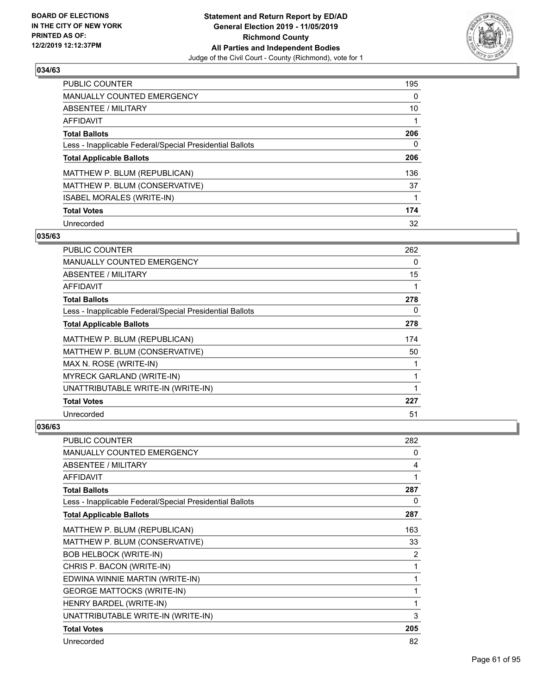

| PUBLIC COUNTER                                           | 195 |
|----------------------------------------------------------|-----|
| <b>MANUALLY COUNTED EMERGENCY</b>                        | 0   |
| ABSENTEE / MILITARY                                      | 10  |
| AFFIDAVIT                                                |     |
| <b>Total Ballots</b>                                     | 206 |
| Less - Inapplicable Federal/Special Presidential Ballots | 0   |
| <b>Total Applicable Ballots</b>                          | 206 |
| MATTHEW P. BLUM (REPUBLICAN)                             | 136 |
| MATTHEW P. BLUM (CONSERVATIVE)                           | 37  |
| <b>ISABEL MORALES (WRITE-IN)</b>                         |     |
| <b>Total Votes</b>                                       | 174 |
| Unrecorded                                               | 32  |

#### **035/63**

| <b>PUBLIC COUNTER</b>                                    | 262 |
|----------------------------------------------------------|-----|
| <b>MANUALLY COUNTED EMERGENCY</b>                        | 0   |
| ABSENTEE / MILITARY                                      | 15  |
| <b>AFFIDAVIT</b>                                         | 1   |
| <b>Total Ballots</b>                                     | 278 |
| Less - Inapplicable Federal/Special Presidential Ballots | 0   |
| <b>Total Applicable Ballots</b>                          | 278 |
| MATTHEW P. BLUM (REPUBLICAN)                             | 174 |
| MATTHEW P. BLUM (CONSERVATIVE)                           | 50  |
| MAX N. ROSE (WRITE-IN)                                   |     |
| MYRECK GARLAND (WRITE-IN)                                | 1   |
| UNATTRIBUTABLE WRITE-IN (WRITE-IN)                       |     |
| <b>Total Votes</b>                                       | 227 |
| Unrecorded                                               | 51  |

| PUBLIC COUNTER                                           | 282 |
|----------------------------------------------------------|-----|
| <b>MANUALLY COUNTED EMERGENCY</b>                        | 0   |
| <b>ABSENTEE / MILITARY</b>                               | 4   |
| <b>AFFIDAVIT</b>                                         |     |
| <b>Total Ballots</b>                                     | 287 |
| Less - Inapplicable Federal/Special Presidential Ballots | 0   |
| <b>Total Applicable Ballots</b>                          | 287 |
| MATTHEW P. BLUM (REPUBLICAN)                             | 163 |
| MATTHEW P. BLUM (CONSERVATIVE)                           | 33  |
| <b>BOB HELBOCK (WRITE-IN)</b>                            | 2   |
| CHRIS P. BACON (WRITE-IN)                                | 1   |
| EDWINA WINNIE MARTIN (WRITE-IN)                          | 1   |
| <b>GEORGE MATTOCKS (WRITE-IN)</b>                        | 1   |
| HENRY BARDEL (WRITE-IN)                                  | 1   |
| UNATTRIBUTABLE WRITE-IN (WRITE-IN)                       | 3   |
| <b>Total Votes</b>                                       | 205 |
| Unrecorded                                               | 82  |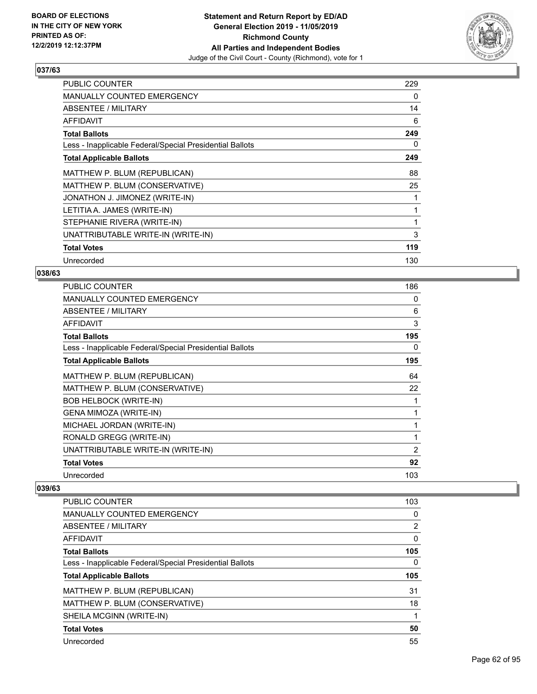

| <b>PUBLIC COUNTER</b>                                    | 229 |
|----------------------------------------------------------|-----|
| <b>MANUALLY COUNTED EMERGENCY</b>                        | 0   |
| ABSENTEE / MILITARY                                      | 14  |
| AFFIDAVIT                                                | 6   |
| <b>Total Ballots</b>                                     | 249 |
| Less - Inapplicable Federal/Special Presidential Ballots | 0   |
| <b>Total Applicable Ballots</b>                          | 249 |
| MATTHEW P. BLUM (REPUBLICAN)                             | 88  |
| MATTHEW P. BLUM (CONSERVATIVE)                           | 25  |
| JONATHON J. JIMONEZ (WRITE-IN)                           |     |
| LETITIA A. JAMES (WRITE-IN)                              |     |
| STEPHANIE RIVERA (WRITE-IN)                              |     |
| UNATTRIBUTABLE WRITE-IN (WRITE-IN)                       | 3   |
| <b>Total Votes</b>                                       | 119 |
| Unrecorded                                               | 130 |

## **038/63**

| PUBLIC COUNTER                                           | 186 |
|----------------------------------------------------------|-----|
| <b>MANUALLY COUNTED EMERGENCY</b>                        | 0   |
| ABSENTEE / MILITARY                                      | 6   |
| AFFIDAVIT                                                | 3   |
| <b>Total Ballots</b>                                     | 195 |
| Less - Inapplicable Federal/Special Presidential Ballots | 0   |
| <b>Total Applicable Ballots</b>                          | 195 |
| MATTHEW P. BLUM (REPUBLICAN)                             | 64  |
| MATTHEW P. BLUM (CONSERVATIVE)                           | 22  |
| <b>BOB HELBOCK (WRITE-IN)</b>                            | 1   |
| GENA MIMOZA (WRITE-IN)                                   | 1   |
| MICHAEL JORDAN (WRITE-IN)                                | 1   |
| RONALD GREGG (WRITE-IN)                                  | 1   |
| UNATTRIBUTABLE WRITE-IN (WRITE-IN)                       | 2   |
| <b>Total Votes</b>                                       | 92  |
| Unrecorded                                               | 103 |
|                                                          |     |

| PUBLIC COUNTER                                           | 103            |
|----------------------------------------------------------|----------------|
| <b>MANUALLY COUNTED EMERGENCY</b>                        | 0              |
| ABSENTEE / MILITARY                                      | $\overline{2}$ |
| AFFIDAVIT                                                | 0              |
| <b>Total Ballots</b>                                     | 105            |
| Less - Inapplicable Federal/Special Presidential Ballots | 0              |
|                                                          |                |
| <b>Total Applicable Ballots</b>                          | 105            |
| MATTHEW P. BLUM (REPUBLICAN)                             | 31             |
| MATTHEW P. BLUM (CONSERVATIVE)                           | 18             |
| SHEILA MCGINN (WRITE-IN)                                 |                |
| <b>Total Votes</b>                                       | 50             |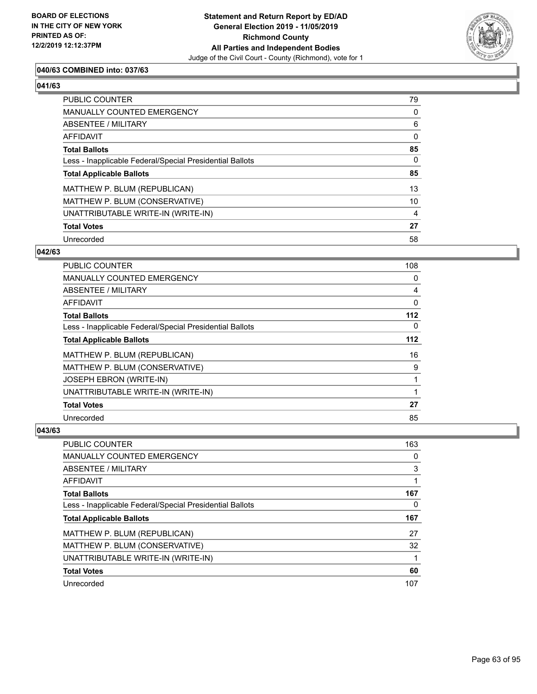

## **040/63 COMBINED into: 037/63**

# **041/63**

| PUBLIC COUNTER                                           | 79             |
|----------------------------------------------------------|----------------|
| MANUALLY COUNTED EMERGENCY                               | $\Omega$       |
| ABSENTEE / MILITARY                                      | 6              |
| AFFIDAVIT                                                | 0              |
| <b>Total Ballots</b>                                     | 85             |
| Less - Inapplicable Federal/Special Presidential Ballots | $\Omega$       |
| <b>Total Applicable Ballots</b>                          | 85             |
| MATTHEW P. BLUM (REPUBLICAN)                             | 13             |
| MATTHEW P. BLUM (CONSERVATIVE)                           | 10             |
| UNATTRIBUTABLE WRITE-IN (WRITE-IN)                       | $\overline{4}$ |
| <b>Total Votes</b>                                       | 27             |
| Unrecorded                                               | 58             |

#### **042/63**

| <b>PUBLIC COUNTER</b>                                    | 108   |
|----------------------------------------------------------|-------|
| <b>MANUALLY COUNTED EMERGENCY</b>                        | 0     |
| <b>ABSENTEE / MILITARY</b>                               | 4     |
| AFFIDAVIT                                                | 0     |
| <b>Total Ballots</b>                                     | $112$ |
| Less - Inapplicable Federal/Special Presidential Ballots | 0     |
| <b>Total Applicable Ballots</b>                          | $112$ |
| MATTHEW P. BLUM (REPUBLICAN)                             | 16    |
| MATTHEW P. BLUM (CONSERVATIVE)                           | 9     |
| JOSEPH EBRON (WRITE-IN)                                  | 1     |
| UNATTRIBUTABLE WRITE-IN (WRITE-IN)                       | 1     |
| <b>Total Votes</b>                                       | 27    |
| Unrecorded                                               | 85    |

| <b>PUBLIC COUNTER</b>                                    | 163 |
|----------------------------------------------------------|-----|
| <b>MANUALLY COUNTED EMERGENCY</b>                        | 0   |
| ABSENTEE / MILITARY                                      | 3   |
| AFFIDAVIT                                                |     |
| <b>Total Ballots</b>                                     | 167 |
| Less - Inapplicable Federal/Special Presidential Ballots | 0   |
|                                                          |     |
| <b>Total Applicable Ballots</b>                          | 167 |
| MATTHEW P. BLUM (REPUBLICAN)                             | 27  |
| MATTHEW P. BLUM (CONSERVATIVE)                           | 32  |
| UNATTRIBUTABLE WRITE-IN (WRITE-IN)                       |     |
| <b>Total Votes</b>                                       | 60  |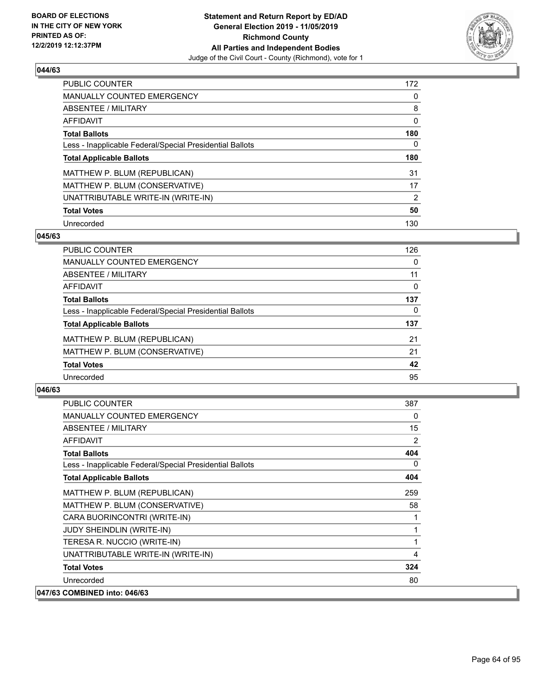

| PUBLIC COUNTER                                           | 172            |
|----------------------------------------------------------|----------------|
| <b>MANUALLY COUNTED EMERGENCY</b>                        | 0              |
| ABSENTEE / MILITARY                                      | 8              |
| AFFIDAVIT                                                | 0              |
| <b>Total Ballots</b>                                     | 180            |
| Less - Inapplicable Federal/Special Presidential Ballots | 0              |
| <b>Total Applicable Ballots</b>                          | 180            |
| MATTHEW P. BLUM (REPUBLICAN)                             | 31             |
| MATTHEW P. BLUM (CONSERVATIVE)                           | 17             |
| UNATTRIBUTABLE WRITE-IN (WRITE-IN)                       | $\overline{2}$ |
| <b>Total Votes</b>                                       | 50             |
| Unrecorded                                               | 130            |

#### **045/63**

| <b>PUBLIC COUNTER</b>                                    | 126      |
|----------------------------------------------------------|----------|
| <b>MANUALLY COUNTED EMERGENCY</b>                        | $\Omega$ |
| ABSENTEE / MILITARY                                      | 11       |
| <b>AFFIDAVIT</b>                                         | 0        |
| <b>Total Ballots</b>                                     | 137      |
| Less - Inapplicable Federal/Special Presidential Ballots | 0        |
| <b>Total Applicable Ballots</b>                          | 137      |
| MATTHEW P. BLUM (REPUBLICAN)                             | 21       |
| MATTHEW P. BLUM (CONSERVATIVE)                           | 21       |
| <b>Total Votes</b>                                       | 42       |
| Unrecorded                                               | 95       |

| <b>PUBLIC COUNTER</b>                                    | 387          |
|----------------------------------------------------------|--------------|
| <b>MANUALLY COUNTED EMERGENCY</b>                        | 0            |
| <b>ABSENTEE / MILITARY</b>                               | 15           |
| <b>AFFIDAVIT</b>                                         | 2            |
| <b>Total Ballots</b>                                     | 404          |
| Less - Inapplicable Federal/Special Presidential Ballots | 0            |
| <b>Total Applicable Ballots</b>                          | 404          |
| MATTHEW P. BLUM (REPUBLICAN)                             | 259          |
| MATTHEW P. BLUM (CONSERVATIVE)                           | 58           |
| CARA BUORINCONTRI (WRITE-IN)                             |              |
| <b>JUDY SHEINDLIN (WRITE-IN)</b>                         | 1            |
| TERESA R. NUCCIO (WRITE-IN)                              | $\mathbf{1}$ |
| UNATTRIBUTABLE WRITE-IN (WRITE-IN)                       | 4            |
| <b>Total Votes</b>                                       | 324          |
| Unrecorded                                               | 80           |
| 047/63 COMBINED into: 046/63                             |              |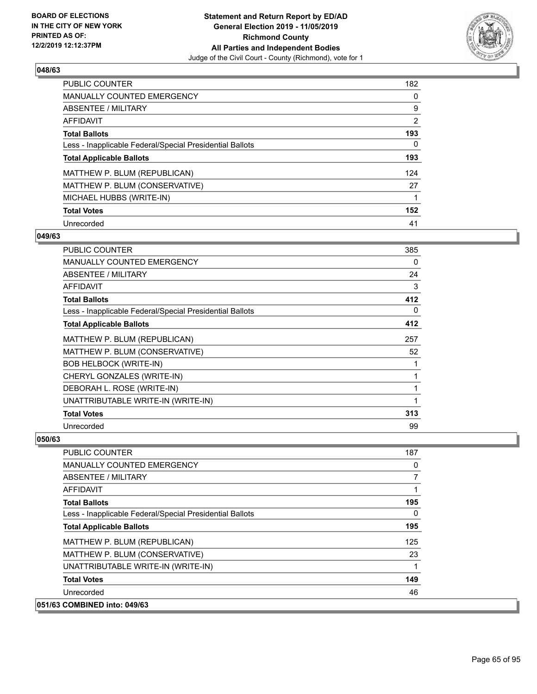

| <b>PUBLIC COUNTER</b>                                    | 182            |
|----------------------------------------------------------|----------------|
| <b>MANUALLY COUNTED EMERGENCY</b>                        | 0              |
| ABSENTEE / MILITARY                                      | 9              |
| AFFIDAVIT                                                | $\overline{2}$ |
| <b>Total Ballots</b>                                     | 193            |
| Less - Inapplicable Federal/Special Presidential Ballots | $\Omega$       |
| <b>Total Applicable Ballots</b>                          | 193            |
| MATTHEW P. BLUM (REPUBLICAN)                             | 124            |
| MATTHEW P. BLUM (CONSERVATIVE)                           | 27             |
| MICHAEL HUBBS (WRITE-IN)                                 |                |
| <b>Total Votes</b>                                       | 152            |
| Unrecorded                                               | 41             |

### **049/63**

| <b>PUBLIC COUNTER</b>                                    | 385 |
|----------------------------------------------------------|-----|
| <b>MANUALLY COUNTED EMERGENCY</b>                        | 0   |
| ABSENTEE / MILITARY                                      | 24  |
| AFFIDAVIT                                                | 3   |
| <b>Total Ballots</b>                                     | 412 |
| Less - Inapplicable Federal/Special Presidential Ballots | 0   |
| <b>Total Applicable Ballots</b>                          | 412 |
| MATTHEW P. BLUM (REPUBLICAN)                             | 257 |
| MATTHEW P. BLUM (CONSERVATIVE)                           | 52  |
| <b>BOB HELBOCK (WRITE-IN)</b>                            | 1   |
| CHERYL GONZALES (WRITE-IN)                               | 1   |
| DEBORAH L. ROSE (WRITE-IN)                               | 1   |
| UNATTRIBUTABLE WRITE-IN (WRITE-IN)                       | 1   |
| <b>Total Votes</b>                                       | 313 |
| Unrecorded                                               | 99  |

| <b>PUBLIC COUNTER</b>                                    | 187            |
|----------------------------------------------------------|----------------|
| <b>MANUALLY COUNTED EMERGENCY</b>                        | 0              |
| ABSENTEE / MILITARY                                      | $\overline{7}$ |
| AFFIDAVIT                                                |                |
| <b>Total Ballots</b>                                     | 195            |
| Less - Inapplicable Federal/Special Presidential Ballots | 0              |
| <b>Total Applicable Ballots</b>                          | 195            |
| MATTHEW P. BLUM (REPUBLICAN)                             | 125            |
| MATTHEW P. BLUM (CONSERVATIVE)                           | 23             |
| UNATTRIBUTABLE WRITE-IN (WRITE-IN)                       |                |
| <b>Total Votes</b>                                       | 149            |
| Unrecorded                                               | 46             |
| 051/63 COMBINED into: 049/63                             |                |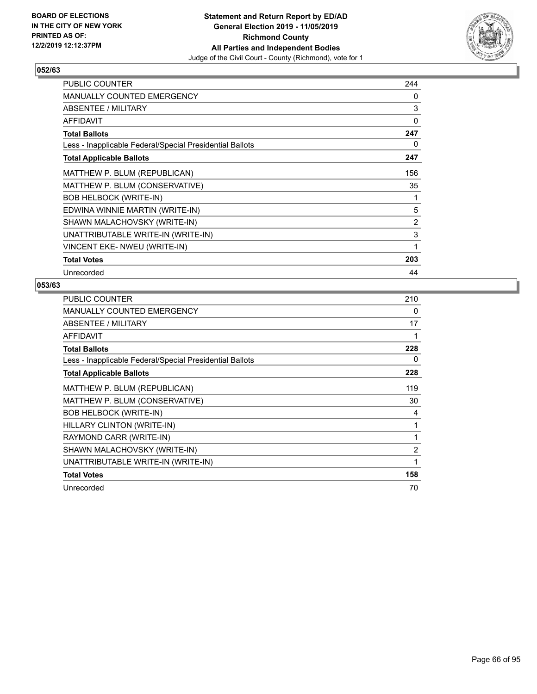

| <b>PUBLIC COUNTER</b>                                    | 244          |
|----------------------------------------------------------|--------------|
| <b>MANUALLY COUNTED EMERGENCY</b>                        | 0            |
| ABSENTEE / MILITARY                                      | 3            |
| <b>AFFIDAVIT</b>                                         | 0            |
| <b>Total Ballots</b>                                     | 247          |
| Less - Inapplicable Federal/Special Presidential Ballots | 0            |
| <b>Total Applicable Ballots</b>                          | 247          |
| MATTHEW P. BLUM (REPUBLICAN)                             | 156          |
| MATTHEW P. BLUM (CONSERVATIVE)                           | 35           |
| <b>BOB HELBOCK (WRITE-IN)</b>                            | 1            |
| EDWINA WINNIE MARTIN (WRITE-IN)                          | 5            |
| SHAWN MALACHOVSKY (WRITE-IN)                             | 2            |
| UNATTRIBUTABLE WRITE-IN (WRITE-IN)                       | 3            |
| VINCENT EKE- NWEU (WRITE-IN)                             | $\mathbf{1}$ |
| <b>Total Votes</b>                                       | 203          |
| Unrecorded                                               | 44           |

| <b>PUBLIC COUNTER</b>                                    | 210            |
|----------------------------------------------------------|----------------|
| <b>MANUALLY COUNTED EMERGENCY</b>                        | 0              |
| ABSENTEE / MILITARY                                      | 17             |
| <b>AFFIDAVIT</b>                                         |                |
| <b>Total Ballots</b>                                     | 228            |
| Less - Inapplicable Federal/Special Presidential Ballots | 0              |
| <b>Total Applicable Ballots</b>                          | 228            |
| MATTHEW P. BLUM (REPUBLICAN)                             | 119            |
| MATTHEW P. BLUM (CONSERVATIVE)                           | 30             |
| <b>BOB HELBOCK (WRITE-IN)</b>                            | 4              |
| HILLARY CLINTON (WRITE-IN)                               | 1              |
| RAYMOND CARR (WRITE-IN)                                  | 1              |
| SHAWN MALACHOVSKY (WRITE-IN)                             | $\overline{2}$ |
| UNATTRIBUTABLE WRITE-IN (WRITE-IN)                       | 1              |
| <b>Total Votes</b>                                       | 158            |
| Unrecorded                                               | 70             |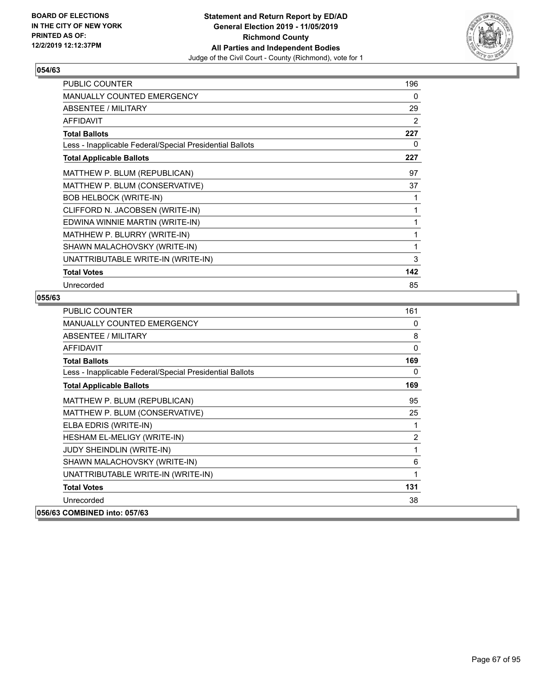

| PUBLIC COUNTER                                           | 196 |
|----------------------------------------------------------|-----|
| MANUALLY COUNTED EMERGENCY                               | 0   |
| <b>ABSENTEE / MILITARY</b>                               | 29  |
| <b>AFFIDAVIT</b>                                         | 2   |
| <b>Total Ballots</b>                                     | 227 |
| Less - Inapplicable Federal/Special Presidential Ballots | 0   |
| <b>Total Applicable Ballots</b>                          | 227 |
| MATTHEW P. BLUM (REPUBLICAN)                             | 97  |
| MATTHEW P. BLUM (CONSERVATIVE)                           | 37  |
| <b>BOB HELBOCK (WRITE-IN)</b>                            | 1   |
| CLIFFORD N. JACOBSEN (WRITE-IN)                          | 1   |
| EDWINA WINNIE MARTIN (WRITE-IN)                          | 1   |
| MATHHEW P. BLURRY (WRITE-IN)                             | 1   |
| SHAWN MALACHOVSKY (WRITE-IN)                             | 1   |
| UNATTRIBUTABLE WRITE-IN (WRITE-IN)                       | 3   |
| <b>Total Votes</b>                                       | 142 |
| Unrecorded                                               | 85  |

| PUBLIC COUNTER                                           | 161            |
|----------------------------------------------------------|----------------|
| <b>MANUALLY COUNTED EMERGENCY</b>                        | 0              |
| ABSENTEE / MILITARY                                      | 8              |
| AFFIDAVIT                                                | 0              |
| <b>Total Ballots</b>                                     | 169            |
| Less - Inapplicable Federal/Special Presidential Ballots | 0              |
| <b>Total Applicable Ballots</b>                          | 169            |
| MATTHEW P. BLUM (REPUBLICAN)                             | 95             |
| MATTHEW P. BLUM (CONSERVATIVE)                           | 25             |
| ELBA EDRIS (WRITE-IN)                                    | 1              |
| HESHAM EL-MELIGY (WRITE-IN)                              | $\overline{2}$ |
| <b>JUDY SHEINDLIN (WRITE-IN)</b>                         | 1              |
| SHAWN MALACHOVSKY (WRITE-IN)                             | 6              |
| UNATTRIBUTABLE WRITE-IN (WRITE-IN)                       | 1              |
| <b>Total Votes</b>                                       | 131            |
| Unrecorded                                               | 38             |
| 056/63 COMBINED into: 057/63                             |                |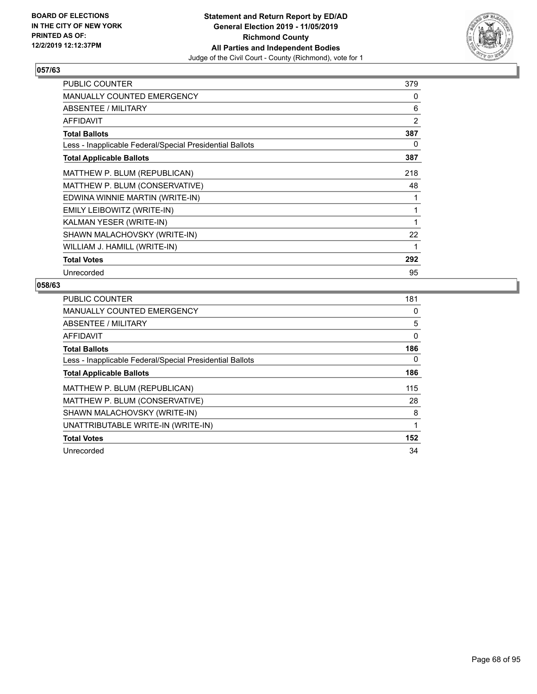

| <b>PUBLIC COUNTER</b>                                    | 379 |
|----------------------------------------------------------|-----|
| MANUALLY COUNTED EMERGENCY                               | 0   |
| ABSENTEE / MILITARY                                      | 6   |
| AFFIDAVIT                                                | 2   |
| <b>Total Ballots</b>                                     | 387 |
| Less - Inapplicable Federal/Special Presidential Ballots | 0   |
| <b>Total Applicable Ballots</b>                          | 387 |
| MATTHEW P. BLUM (REPUBLICAN)                             | 218 |
| MATTHEW P. BLUM (CONSERVATIVE)                           | 48  |
| EDWINA WINNIE MARTIN (WRITE-IN)                          |     |
| EMILY LEIBOWITZ (WRITE-IN)                               |     |
| KALMAN YESER (WRITE-IN)                                  | 1   |
| SHAWN MALACHOVSKY (WRITE-IN)                             | 22  |
| WILLIAM J. HAMILL (WRITE-IN)                             | 1   |
| <b>Total Votes</b>                                       | 292 |
| Unrecorded                                               | 95  |

| <b>PUBLIC COUNTER</b>                                    | 181 |
|----------------------------------------------------------|-----|
| <b>MANUALLY COUNTED EMERGENCY</b>                        | 0   |
| ABSENTEE / MILITARY                                      | 5   |
| AFFIDAVIT                                                | 0   |
| <b>Total Ballots</b>                                     | 186 |
| Less - Inapplicable Federal/Special Presidential Ballots | 0   |
| <b>Total Applicable Ballots</b>                          | 186 |
| MATTHEW P. BLUM (REPUBLICAN)                             | 115 |
| MATTHEW P. BLUM (CONSERVATIVE)                           | 28  |
| SHAWN MALACHOVSKY (WRITE-IN)                             | 8   |
| UNATTRIBUTABLE WRITE-IN (WRITE-IN)                       | 1   |
| <b>Total Votes</b>                                       | 152 |
| Unrecorded                                               | 34  |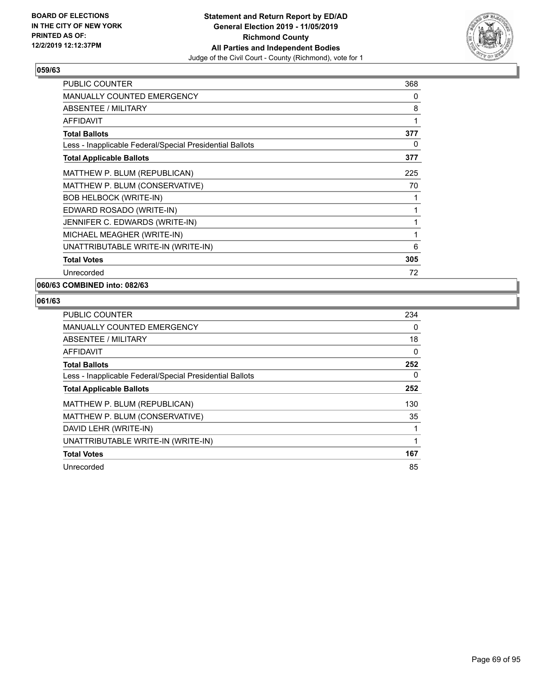

| <b>PUBLIC COUNTER</b>                                    | 368 |
|----------------------------------------------------------|-----|
| <b>MANUALLY COUNTED EMERGENCY</b>                        | 0   |
| <b>ABSENTEE / MILITARY</b>                               | 8   |
| AFFIDAVIT                                                | 1   |
| <b>Total Ballots</b>                                     | 377 |
| Less - Inapplicable Federal/Special Presidential Ballots | 0   |
| <b>Total Applicable Ballots</b>                          | 377 |
| MATTHEW P. BLUM (REPUBLICAN)                             | 225 |
| MATTHEW P. BLUM (CONSERVATIVE)                           | 70  |
| <b>BOB HELBOCK (WRITE-IN)</b>                            | 1   |
| EDWARD ROSADO (WRITE-IN)                                 | 1   |
| JENNIFER C. EDWARDS (WRITE-IN)                           | 1   |
| MICHAEL MEAGHER (WRITE-IN)                               | 1   |
| UNATTRIBUTABLE WRITE-IN (WRITE-IN)                       | 6   |
| <b>Total Votes</b>                                       | 305 |
| Unrecorded                                               | 72  |

# **060/63 COMBINED into: 082/63**

| PUBLIC COUNTER                                           | 234      |
|----------------------------------------------------------|----------|
| <b>MANUALLY COUNTED EMERGENCY</b>                        | 0        |
| ABSENTEE / MILITARY                                      | 18       |
| AFFIDAVIT                                                | 0        |
| <b>Total Ballots</b>                                     | 252      |
| Less - Inapplicable Federal/Special Presidential Ballots | $\Omega$ |
| <b>Total Applicable Ballots</b>                          | 252      |
| MATTHEW P. BLUM (REPUBLICAN)                             | 130      |
| MATTHEW P. BLUM (CONSERVATIVE)                           | 35       |
| DAVID LEHR (WRITE-IN)                                    | 1        |
| UNATTRIBUTABLE WRITE-IN (WRITE-IN)                       |          |
| <b>Total Votes</b>                                       | 167      |
| Unrecorded                                               | 85       |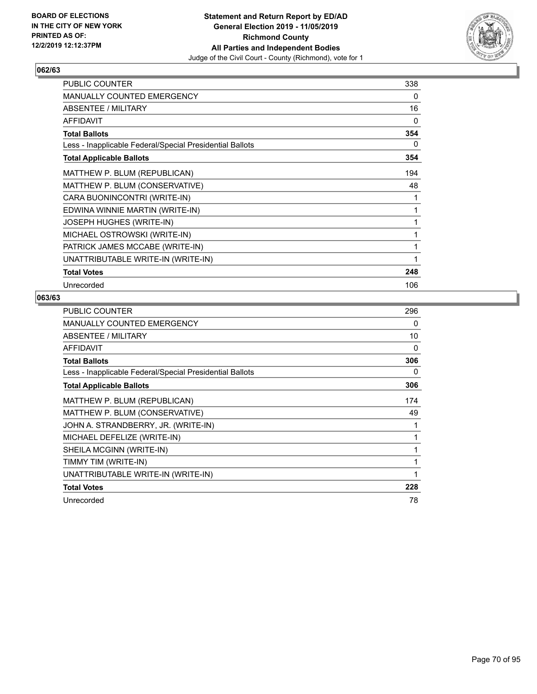

| PUBLIC COUNTER                                           | 338 |
|----------------------------------------------------------|-----|
| <b>MANUALLY COUNTED EMERGENCY</b>                        | 0   |
| ABSENTEE / MILITARY                                      | 16  |
| <b>AFFIDAVIT</b>                                         | 0   |
| <b>Total Ballots</b>                                     | 354 |
| Less - Inapplicable Federal/Special Presidential Ballots | 0   |
| <b>Total Applicable Ballots</b>                          | 354 |
| MATTHEW P. BLUM (REPUBLICAN)                             | 194 |
| MATTHEW P. BLUM (CONSERVATIVE)                           | 48  |
| CARA BUONINCONTRI (WRITE-IN)                             | 1   |
| EDWINA WINNIE MARTIN (WRITE-IN)                          | 1   |
| JOSEPH HUGHES (WRITE-IN)                                 | 1   |
| MICHAEL OSTROWSKI (WRITE-IN)                             | 1   |
| PATRICK JAMES MCCABE (WRITE-IN)                          | 1   |
| UNATTRIBUTABLE WRITE-IN (WRITE-IN)                       | 1   |
| <b>Total Votes</b>                                       | 248 |
| Unrecorded                                               | 106 |

| <b>PUBLIC COUNTER</b>                                    | 296 |
|----------------------------------------------------------|-----|
| <b>MANUALLY COUNTED EMERGENCY</b>                        | 0   |
| ABSENTEE / MILITARY                                      | 10  |
| <b>AFFIDAVIT</b>                                         | 0   |
| <b>Total Ballots</b>                                     | 306 |
| Less - Inapplicable Federal/Special Presidential Ballots | 0   |
| <b>Total Applicable Ballots</b>                          | 306 |
| MATTHEW P. BLUM (REPUBLICAN)                             | 174 |
| MATTHEW P. BLUM (CONSERVATIVE)                           | 49  |
| JOHN A. STRANDBERRY, JR. (WRITE-IN)                      | 1   |
| MICHAEL DEFELIZE (WRITE-IN)                              | 1   |
| SHEILA MCGINN (WRITE-IN)                                 | 1   |
| TIMMY TIM (WRITE-IN)                                     | 1   |
| UNATTRIBUTABLE WRITE-IN (WRITE-IN)                       | 1   |
| <b>Total Votes</b>                                       | 228 |
| Unrecorded                                               | 78  |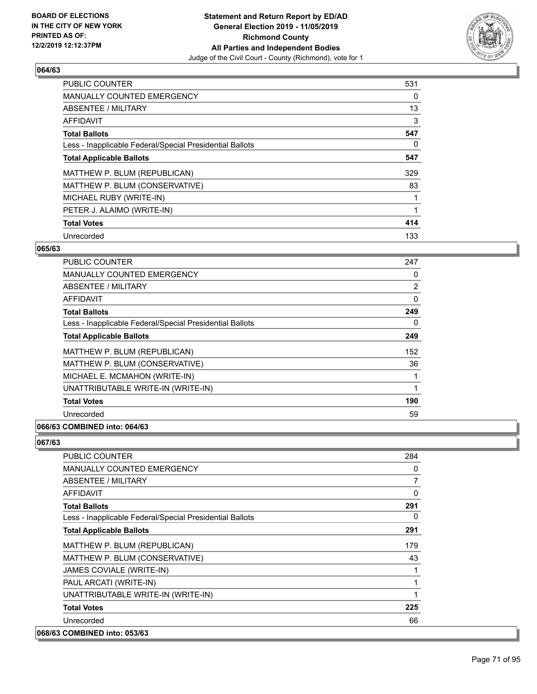

| <b>PUBLIC COUNTER</b>                                    | 531 |
|----------------------------------------------------------|-----|
| <b>MANUALLY COUNTED EMERGENCY</b>                        | 0   |
| ABSENTEE / MILITARY                                      | 13  |
| <b>AFFIDAVIT</b>                                         | 3   |
| <b>Total Ballots</b>                                     | 547 |
| Less - Inapplicable Federal/Special Presidential Ballots | 0   |
| <b>Total Applicable Ballots</b>                          | 547 |
| MATTHEW P. BLUM (REPUBLICAN)                             | 329 |
| MATTHEW P. BLUM (CONSERVATIVE)                           | 83  |
| MICHAEL RUBY (WRITE-IN)                                  |     |
| PETER J. ALAIMO (WRITE-IN)                               |     |
| <b>Total Votes</b>                                       | 414 |
| Unrecorded                                               | 133 |

### **065/63**

| PUBLIC COUNTER                                           | 247 |
|----------------------------------------------------------|-----|
| MANUALLY COUNTED EMERGENCY                               | 0   |
| ABSENTEE / MILITARY                                      | 2   |
| AFFIDAVIT                                                | 0   |
| <b>Total Ballots</b>                                     | 249 |
| Less - Inapplicable Federal/Special Presidential Ballots | 0   |
| <b>Total Applicable Ballots</b>                          | 249 |
| MATTHEW P. BLUM (REPUBLICAN)                             | 152 |
| MATTHEW P. BLUM (CONSERVATIVE)                           | 36  |
| MICHAEL E. MCMAHON (WRITE-IN)                            | 1   |
| UNATTRIBUTABLE WRITE-IN (WRITE-IN)                       | 1   |
| <b>Total Votes</b>                                       | 190 |
| Unrecorded                                               | 59  |
|                                                          |     |

## **066/63 COMBINED into: 064/63**

| <b>PUBLIC COUNTER</b>                                    | 284 |
|----------------------------------------------------------|-----|
| MANUALLY COUNTED EMERGENCY                               | 0   |
| ABSENTEE / MILITARY                                      | 7   |
| AFFIDAVIT                                                | 0   |
| <b>Total Ballots</b>                                     | 291 |
| Less - Inapplicable Federal/Special Presidential Ballots | 0   |
| <b>Total Applicable Ballots</b>                          | 291 |
| MATTHEW P. BLUM (REPUBLICAN)                             | 179 |
| MATTHEW P. BLUM (CONSERVATIVE)                           | 43  |
| JAMES COVIALE (WRITE-IN)                                 | 1   |
| PAUL ARCATI (WRITE-IN)                                   | 1   |
| UNATTRIBUTABLE WRITE-IN (WRITE-IN)                       | 1   |
| <b>Total Votes</b>                                       | 225 |
| Unrecorded                                               | 66  |
| 068/63 COMBINED into: 053/63                             |     |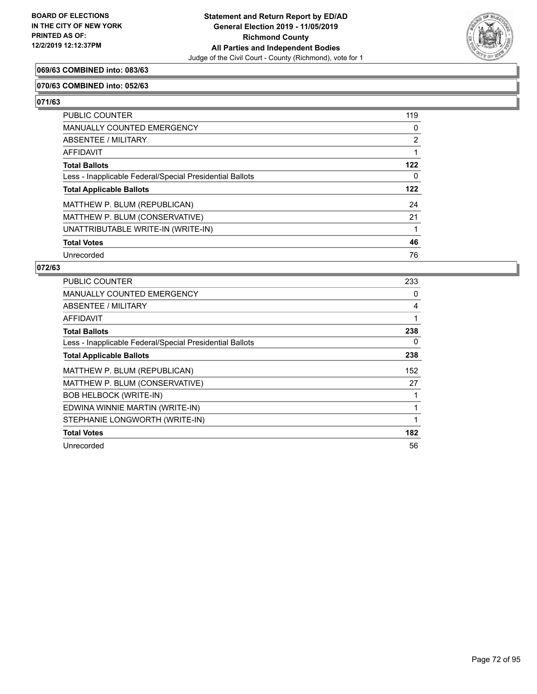

## **069/63 COMBINED into: 083/63**

#### **070/63 COMBINED into: 052/63**

**071/63** 

| PUBLIC COUNTER                                           | 119            |
|----------------------------------------------------------|----------------|
| <b>MANUALLY COUNTED EMERGENCY</b>                        | 0              |
| <b>ABSENTEE / MILITARY</b>                               | $\overline{2}$ |
| AFFIDAVIT                                                |                |
| <b>Total Ballots</b>                                     | 122            |
| Less - Inapplicable Federal/Special Presidential Ballots | 0              |
| <b>Total Applicable Ballots</b>                          | 122            |
|                                                          |                |
| MATTHEW P. BLUM (REPUBLICAN)                             | 24             |
| MATTHEW P. BLUM (CONSERVATIVE)                           | 21             |
| UNATTRIBUTABLE WRITE-IN (WRITE-IN)                       |                |
| <b>Total Votes</b>                                       | 46             |

| PUBLIC COUNTER                                           | 233 |
|----------------------------------------------------------|-----|
| <b>MANUALLY COUNTED EMERGENCY</b>                        | 0   |
| <b>ABSENTEE / MILITARY</b>                               | 4   |
| AFFIDAVIT                                                |     |
| <b>Total Ballots</b>                                     | 238 |
| Less - Inapplicable Federal/Special Presidential Ballots | 0   |
| <b>Total Applicable Ballots</b>                          | 238 |
| MATTHEW P. BLUM (REPUBLICAN)                             | 152 |
| MATTHEW P. BLUM (CONSERVATIVE)                           | 27  |
| <b>BOB HELBOCK (WRITE-IN)</b>                            |     |
| EDWINA WINNIE MARTIN (WRITE-IN)                          |     |
| STEPHANIE LONGWORTH (WRITE-IN)                           |     |
| <b>Total Votes</b>                                       | 182 |
| Unrecorded                                               | 56  |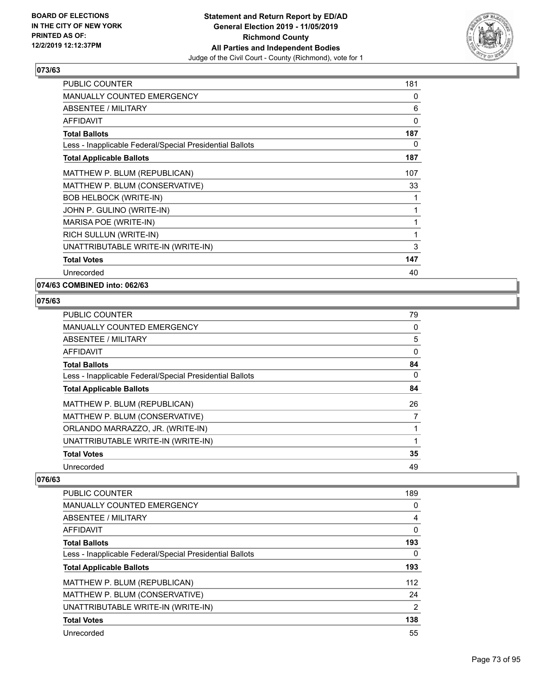

| PUBLIC COUNTER                                           | 181 |
|----------------------------------------------------------|-----|
| <b>MANUALLY COUNTED EMERGENCY</b>                        | 0   |
| <b>ABSENTEE / MILITARY</b>                               | 6   |
| <b>AFFIDAVIT</b>                                         | 0   |
| <b>Total Ballots</b>                                     | 187 |
| Less - Inapplicable Federal/Special Presidential Ballots | 0   |
| <b>Total Applicable Ballots</b>                          | 187 |
| MATTHEW P. BLUM (REPUBLICAN)                             | 107 |
| MATTHEW P. BLUM (CONSERVATIVE)                           | 33  |
| <b>BOB HELBOCK (WRITE-IN)</b>                            | 1   |
| JOHN P. GULINO (WRITE-IN)                                | 1   |
| MARISA POE (WRITE-IN)                                    | 1   |
| RICH SULLUN (WRITE-IN)                                   | 1   |
| UNATTRIBUTABLE WRITE-IN (WRITE-IN)                       | 3   |
| <b>Total Votes</b>                                       | 147 |
| Unrecorded                                               | 40  |

# **074/63 COMBINED into: 062/63**

# **075/63**

| PUBLIC COUNTER                                           | 79 |
|----------------------------------------------------------|----|
| <b>MANUALLY COUNTED EMERGENCY</b>                        | 0  |
| ABSENTEE / MILITARY                                      | 5  |
| AFFIDAVIT                                                | 0  |
| <b>Total Ballots</b>                                     | 84 |
| Less - Inapplicable Federal/Special Presidential Ballots | 0  |
| <b>Total Applicable Ballots</b>                          | 84 |
| MATTHEW P. BLUM (REPUBLICAN)                             | 26 |
| MATTHEW P. BLUM (CONSERVATIVE)                           | 7  |
| ORLANDO MARRAZZO, JR. (WRITE-IN)                         | 1  |
| UNATTRIBUTABLE WRITE-IN (WRITE-IN)                       | 1  |
| <b>Total Votes</b>                                       | 35 |
| Unrecorded                                               | 49 |

| PUBLIC COUNTER                                           | 189 |
|----------------------------------------------------------|-----|
| <b>MANUALLY COUNTED EMERGENCY</b>                        | 0   |
| ABSENTEE / MILITARY                                      | 4   |
| <b>AFFIDAVIT</b>                                         | 0   |
| <b>Total Ballots</b>                                     | 193 |
| Less - Inapplicable Federal/Special Presidential Ballots | 0   |
| <b>Total Applicable Ballots</b>                          | 193 |
| MATTHEW P. BLUM (REPUBLICAN)                             | 112 |
| MATTHEW P. BLUM (CONSERVATIVE)                           | 24  |
| UNATTRIBUTABLE WRITE-IN (WRITE-IN)                       | 2   |
| <b>Total Votes</b>                                       | 138 |
| Unrecorded                                               | 55  |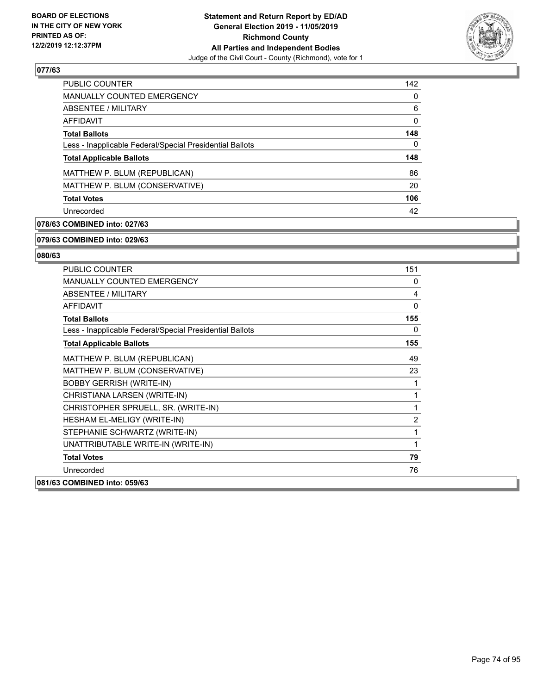

| <b>PUBLIC COUNTER</b>                                    | 142          |
|----------------------------------------------------------|--------------|
| <b>MANUALLY COUNTED EMERGENCY</b>                        | $\Omega$     |
| ABSENTEE / MILITARY                                      | 6            |
| AFFIDAVIT                                                | $\mathbf{0}$ |
| <b>Total Ballots</b>                                     | 148          |
| Less - Inapplicable Federal/Special Presidential Ballots | $\Omega$     |
| <b>Total Applicable Ballots</b>                          | 148          |
| MATTHEW P. BLUM (REPUBLICAN)                             | 86           |
| MATTHEW P. BLUM (CONSERVATIVE)                           | 20           |
| <b>Total Votes</b>                                       | 106          |
| Unrecorded                                               | 42           |

# **078/63 COMBINED into: 027/63**

#### **079/63 COMBINED into: 029/63**

| PUBLIC COUNTER                                           | 151 |
|----------------------------------------------------------|-----|
| <b>MANUALLY COUNTED EMERGENCY</b>                        | 0   |
| ABSENTEE / MILITARY                                      | 4   |
| AFFIDAVIT                                                | 0   |
| <b>Total Ballots</b>                                     | 155 |
| Less - Inapplicable Federal/Special Presidential Ballots | 0   |
| <b>Total Applicable Ballots</b>                          | 155 |
| MATTHEW P. BLUM (REPUBLICAN)                             | 49  |
| MATTHEW P. BLUM (CONSERVATIVE)                           | 23  |
| <b>BOBBY GERRISH (WRITE-IN)</b>                          | 1   |
| CHRISTIANA LARSEN (WRITE-IN)                             | 1   |
| CHRISTOPHER SPRUELL, SR. (WRITE-IN)                      | 1   |
| HESHAM EL-MELIGY (WRITE-IN)                              | 2   |
| STEPHANIE SCHWARTZ (WRITE-IN)                            | 1   |
| UNATTRIBUTABLE WRITE-IN (WRITE-IN)                       | 1   |
| <b>Total Votes</b>                                       | 79  |
| Unrecorded                                               | 76  |
| 081/63 COMBINED into: 059/63                             |     |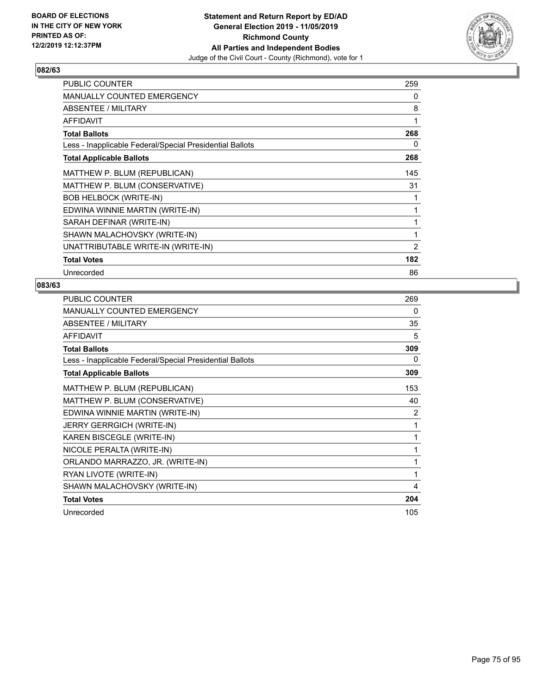

| <b>PUBLIC COUNTER</b>                                    | 259            |
|----------------------------------------------------------|----------------|
| MANUALLY COUNTED EMERGENCY                               | 0              |
| ABSENTEE / MILITARY                                      | 8              |
| AFFIDAVIT                                                | 1              |
| <b>Total Ballots</b>                                     | 268            |
| Less - Inapplicable Federal/Special Presidential Ballots | 0              |
| <b>Total Applicable Ballots</b>                          | 268            |
| MATTHEW P. BLUM (REPUBLICAN)                             | 145            |
| MATTHEW P. BLUM (CONSERVATIVE)                           | 31             |
| <b>BOB HELBOCK (WRITE-IN)</b>                            |                |
| EDWINA WINNIE MARTIN (WRITE-IN)                          | 1              |
| SARAH DEFINAR (WRITE-IN)                                 | 1              |
| SHAWN MALACHOVSKY (WRITE-IN)                             | 1              |
| UNATTRIBUTABLE WRITE-IN (WRITE-IN)                       | $\overline{2}$ |
| <b>Total Votes</b>                                       | 182            |
| Unrecorded                                               | 86             |

| <b>PUBLIC COUNTER</b>                                    | 269 |
|----------------------------------------------------------|-----|
| <b>MANUALLY COUNTED EMERGENCY</b>                        | 0   |
| ABSENTEE / MILITARY                                      | 35  |
| <b>AFFIDAVIT</b>                                         | 5   |
| <b>Total Ballots</b>                                     | 309 |
| Less - Inapplicable Federal/Special Presidential Ballots | 0   |
| <b>Total Applicable Ballots</b>                          | 309 |
| MATTHEW P. BLUM (REPUBLICAN)                             | 153 |
| MATTHEW P. BLUM (CONSERVATIVE)                           | 40  |
| EDWINA WINNIE MARTIN (WRITE-IN)                          | 2   |
| <b>JERRY GERRGICH (WRITE-IN)</b>                         | 1   |
| KAREN BISCEGLE (WRITE-IN)                                | 1   |
| NICOLE PERALTA (WRITE-IN)                                | 1   |
| ORLANDO MARRAZZO, JR. (WRITE-IN)                         | 1   |
| RYAN LIVOTE (WRITE-IN)                                   | 1   |
| SHAWN MALACHOVSKY (WRITE-IN)                             | 4   |
| <b>Total Votes</b>                                       | 204 |
| Unrecorded                                               | 105 |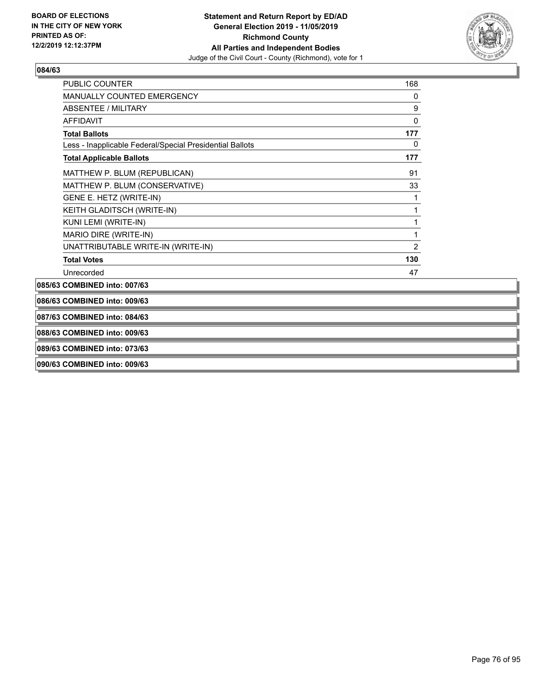

| <b>AFFIDAVIT</b>                                         | $\mathbf 0$    |
|----------------------------------------------------------|----------------|
| <b>Total Ballots</b>                                     | 177            |
| Less - Inapplicable Federal/Special Presidential Ballots | 0              |
| <b>Total Applicable Ballots</b>                          | 177            |
| MATTHEW P. BLUM (REPUBLICAN)                             | 91             |
| MATTHEW P. BLUM (CONSERVATIVE)                           | 33             |
| GENE E. HETZ (WRITE-IN)                                  | 1              |
| KEITH GLADITSCH (WRITE-IN)                               | 1              |
| KUNI LEMI (WRITE-IN)                                     | 1              |
| MARIO DIRE (WRITE-IN)                                    | 1              |
| UNATTRIBUTABLE WRITE-IN (WRITE-IN)                       | $\overline{2}$ |
| <b>Total Votes</b>                                       | 130            |
| Unrecorded                                               | 47             |

**087/63 COMBINED into: 084/63**

**088/63 COMBINED into: 009/63**

**089/63 COMBINED into: 073/63**

**090/63 COMBINED into: 009/63**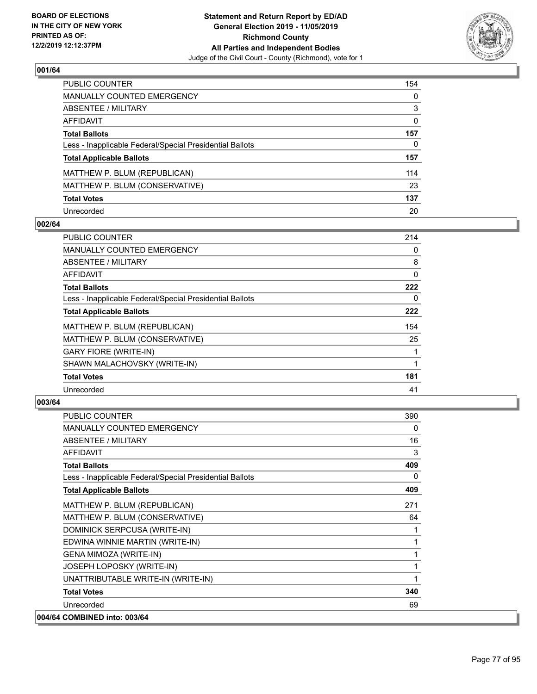

| PUBLIC COUNTER                                           | 154          |
|----------------------------------------------------------|--------------|
| <b>MANUALLY COUNTED EMERGENCY</b>                        | 0            |
| <b>ABSENTEE / MILITARY</b>                               | 3            |
| AFFIDAVIT                                                | $\mathbf{0}$ |
| <b>Total Ballots</b>                                     | 157          |
| Less - Inapplicable Federal/Special Presidential Ballots | $\mathbf{0}$ |
| <b>Total Applicable Ballots</b>                          | 157          |
| MATTHEW P. BLUM (REPUBLICAN)                             | 114          |
| MATTHEW P. BLUM (CONSERVATIVE)                           | 23           |
| <b>Total Votes</b>                                       | 137          |
| Unrecorded                                               | 20           |

### **002/64**

| PUBLIC COUNTER                                           | 214 |
|----------------------------------------------------------|-----|
| <b>MANUALLY COUNTED EMERGENCY</b>                        | 0   |
| ABSENTEE / MILITARY                                      | 8   |
| <b>AFFIDAVIT</b>                                         | 0   |
| <b>Total Ballots</b>                                     | 222 |
| Less - Inapplicable Federal/Special Presidential Ballots | 0   |
| <b>Total Applicable Ballots</b>                          | 222 |
| MATTHEW P. BLUM (REPUBLICAN)                             | 154 |
| MATTHEW P. BLUM (CONSERVATIVE)                           | 25  |
| <b>GARY FIORE (WRITE-IN)</b>                             |     |
| SHAWN MALACHOVSKY (WRITE-IN)                             |     |
| <b>Total Votes</b>                                       | 181 |
| Unrecorded                                               | 41  |

| <b>PUBLIC COUNTER</b>                                    | 390 |
|----------------------------------------------------------|-----|
| <b>MANUALLY COUNTED EMERGENCY</b>                        | 0   |
| <b>ABSENTEE / MILITARY</b>                               | 16  |
| <b>AFFIDAVIT</b>                                         | 3   |
| <b>Total Ballots</b>                                     | 409 |
| Less - Inapplicable Federal/Special Presidential Ballots | 0   |
| <b>Total Applicable Ballots</b>                          | 409 |
| MATTHEW P. BLUM (REPUBLICAN)                             | 271 |
| MATTHEW P. BLUM (CONSERVATIVE)                           | 64  |
| DOMINICK SERPCUSA (WRITE-IN)                             |     |
| EDWINA WINNIE MARTIN (WRITE-IN)                          | 1   |
| GENA MIMOZA (WRITE-IN)                                   |     |
| <b>JOSEPH LOPOSKY (WRITE-IN)</b>                         | 1   |
| UNATTRIBUTABLE WRITE-IN (WRITE-IN)                       | 1   |
| <b>Total Votes</b>                                       | 340 |
| Unrecorded                                               | 69  |
| 004/64 COMBINED into: 003/64                             |     |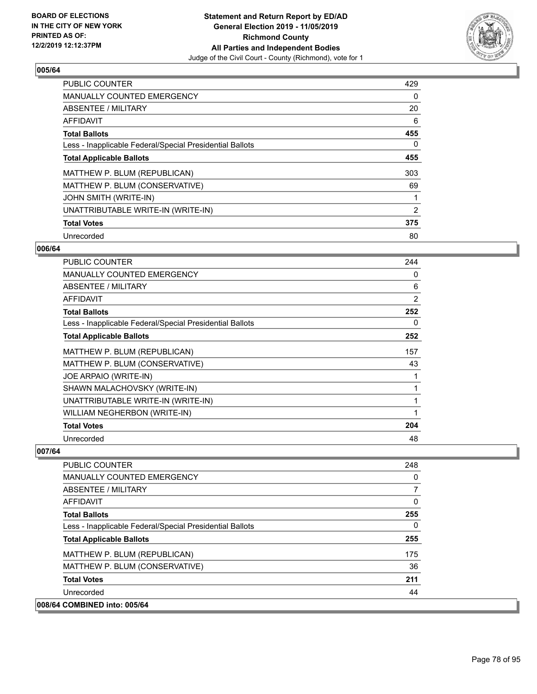

| PUBLIC COUNTER                                           | 429 |
|----------------------------------------------------------|-----|
| <b>MANUALLY COUNTED EMERGENCY</b>                        | 0   |
| ABSENTEE / MILITARY                                      | 20  |
| <b>AFFIDAVIT</b>                                         | 6   |
| <b>Total Ballots</b>                                     | 455 |
| Less - Inapplicable Federal/Special Presidential Ballots | 0   |
| <b>Total Applicable Ballots</b>                          | 455 |
| MATTHEW P. BLUM (REPUBLICAN)                             | 303 |
| MATTHEW P. BLUM (CONSERVATIVE)                           | 69  |
| JOHN SMITH (WRITE-IN)                                    |     |
| UNATTRIBUTABLE WRITE-IN (WRITE-IN)                       | 2   |
| <b>Total Votes</b>                                       | 375 |
| Unrecorded                                               | 80  |

### **006/64**

| PUBLIC COUNTER                                           | 244 |
|----------------------------------------------------------|-----|
| <b>MANUALLY COUNTED EMERGENCY</b>                        | 0   |
| <b>ABSENTEE / MILITARY</b>                               | 6   |
| AFFIDAVIT                                                | 2   |
| <b>Total Ballots</b>                                     | 252 |
| Less - Inapplicable Federal/Special Presidential Ballots | 0   |
| <b>Total Applicable Ballots</b>                          | 252 |
| MATTHEW P. BLUM (REPUBLICAN)                             | 157 |
| MATTHEW P. BLUM (CONSERVATIVE)                           | 43  |
| JOE ARPAIO (WRITE-IN)                                    |     |
| SHAWN MALACHOVSKY (WRITE-IN)                             |     |
| UNATTRIBUTABLE WRITE-IN (WRITE-IN)                       | 1   |
| WILLIAM NEGHERBON (WRITE-IN)                             |     |
| <b>Total Votes</b>                                       | 204 |
| Unrecorded                                               | 48  |

| <b>PUBLIC COUNTER</b>                                    | 248      |
|----------------------------------------------------------|----------|
| <b>MANUALLY COUNTED EMERGENCY</b>                        | $\Omega$ |
| ABSENTEE / MILITARY                                      | 7        |
| AFFIDAVIT                                                | 0        |
| <b>Total Ballots</b>                                     | 255      |
| Less - Inapplicable Federal/Special Presidential Ballots | 0        |
| <b>Total Applicable Ballots</b>                          | 255      |
| MATTHEW P. BLUM (REPUBLICAN)                             | 175      |
| MATTHEW P. BLUM (CONSERVATIVE)                           | 36       |
| <b>Total Votes</b>                                       | 211      |
| Unrecorded                                               | 44       |
| 008/64 COMBINED into: 005/64                             |          |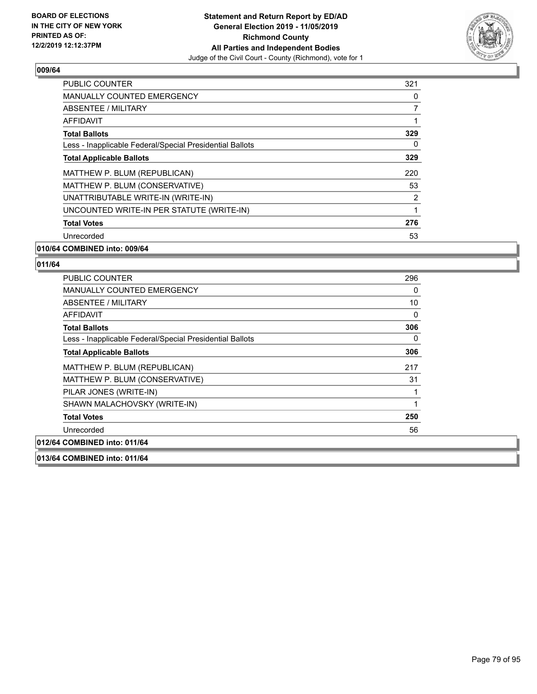

| <b>PUBLIC COUNTER</b>                                    | 321 |
|----------------------------------------------------------|-----|
| <b>MANUALLY COUNTED EMERGENCY</b>                        | 0   |
| ABSENTEE / MILITARY                                      | 7   |
| AFFIDAVIT                                                |     |
| <b>Total Ballots</b>                                     | 329 |
| Less - Inapplicable Federal/Special Presidential Ballots | 0   |
| <b>Total Applicable Ballots</b>                          | 329 |
| MATTHEW P. BLUM (REPUBLICAN)                             | 220 |
| MATTHEW P. BLUM (CONSERVATIVE)                           | 53  |
| UNATTRIBUTABLE WRITE-IN (WRITE-IN)                       | 2   |
| UNCOUNTED WRITE-IN PER STATUTE (WRITE-IN)                | 1   |
| <b>Total Votes</b>                                       | 276 |
| Unrecorded                                               | 53  |

#### **010/64 COMBINED into: 009/64**

#### **011/64**

| <b>PUBLIC COUNTER</b>                                    | 296 |
|----------------------------------------------------------|-----|
| <b>MANUALLY COUNTED EMERGENCY</b>                        | 0   |
| ABSENTEE / MILITARY                                      | 10  |
| AFFIDAVIT                                                | 0   |
| <b>Total Ballots</b>                                     | 306 |
| Less - Inapplicable Federal/Special Presidential Ballots | 0   |
| <b>Total Applicable Ballots</b>                          | 306 |
| MATTHEW P. BLUM (REPUBLICAN)                             | 217 |
| MATTHEW P. BLUM (CONSERVATIVE)                           | 31  |
| PILAR JONES (WRITE-IN)                                   |     |
| SHAWN MALACHOVSKY (WRITE-IN)                             | 1   |
| <b>Total Votes</b>                                       | 250 |
| Unrecorded                                               | 56  |
| 012/64 COMBINED into: 011/64                             |     |

**013/64 COMBINED into: 011/64**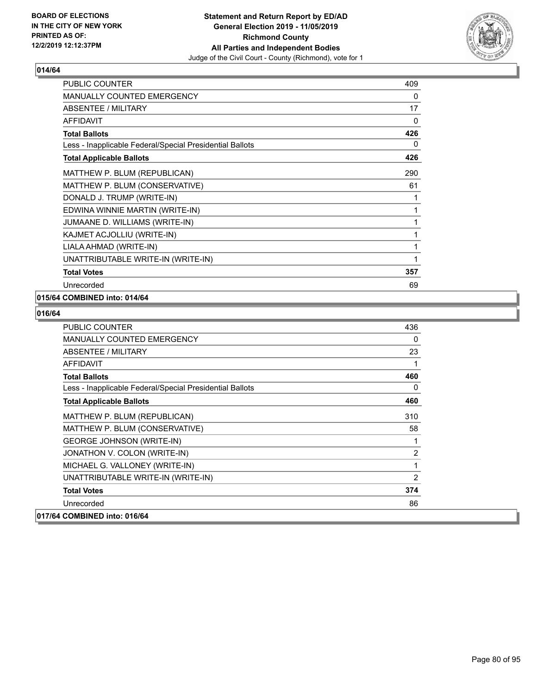

| <b>PUBLIC COUNTER</b>                                    | 409 |
|----------------------------------------------------------|-----|
| MANUALLY COUNTED EMERGENCY                               | 0   |
| <b>ABSENTEE / MILITARY</b>                               | 17  |
| <b>AFFIDAVIT</b>                                         | 0   |
| <b>Total Ballots</b>                                     | 426 |
| Less - Inapplicable Federal/Special Presidential Ballots | 0   |
| <b>Total Applicable Ballots</b>                          | 426 |
| MATTHEW P. BLUM (REPUBLICAN)                             | 290 |
| MATTHEW P. BLUM (CONSERVATIVE)                           | 61  |
| DONALD J. TRUMP (WRITE-IN)                               | 1   |
| EDWINA WINNIE MARTIN (WRITE-IN)                          | 1   |
| JUMAANE D. WILLIAMS (WRITE-IN)                           | 1   |
| KAJMET ACJOLLIU (WRITE-IN)                               | 1   |
| LIALA AHMAD (WRITE-IN)                                   | 1   |
| UNATTRIBUTABLE WRITE-IN (WRITE-IN)                       | 1   |
| <b>Total Votes</b>                                       | 357 |
| Unrecorded                                               | 69  |

# **015/64 COMBINED into: 014/64**

| <b>PUBLIC COUNTER</b>                                    | 436      |
|----------------------------------------------------------|----------|
| <b>MANUALLY COUNTED EMERGENCY</b>                        | $\Omega$ |
| ABSENTEE / MILITARY                                      | 23       |
| AFFIDAVIT                                                | 1        |
| <b>Total Ballots</b>                                     | 460      |
| Less - Inapplicable Federal/Special Presidential Ballots | $\Omega$ |
| <b>Total Applicable Ballots</b>                          | 460      |
| MATTHEW P. BLUM (REPUBLICAN)                             | 310      |
| MATTHEW P. BLUM (CONSERVATIVE)                           | 58       |
| <b>GEORGE JOHNSON (WRITE-IN)</b>                         | 1        |
| JONATHON V. COLON (WRITE-IN)                             | 2        |
| MICHAEL G. VALLONEY (WRITE-IN)                           | 1        |
| UNATTRIBUTABLE WRITE-IN (WRITE-IN)                       | 2        |
| <b>Total Votes</b>                                       | 374      |
| Unrecorded                                               | 86       |
| 017/64 COMBINED into: 016/64                             |          |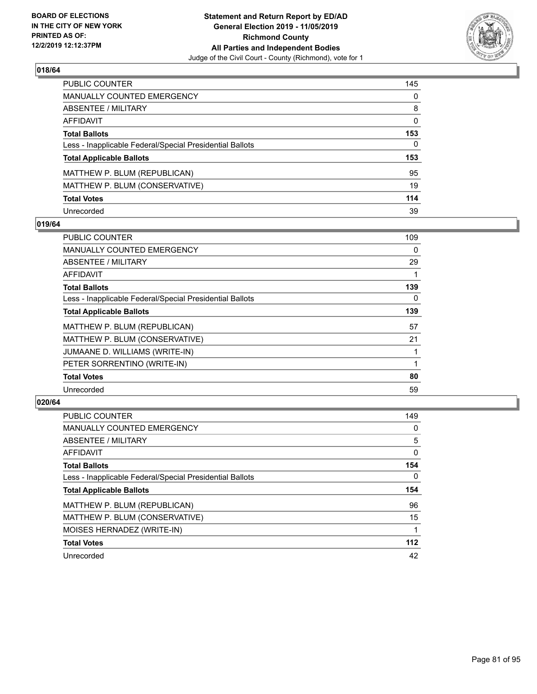

| PUBLIC COUNTER                                           | 145          |
|----------------------------------------------------------|--------------|
| MANUALLY COUNTED EMERGENCY                               | $\mathbf{0}$ |
| ABSENTEE / MILITARY                                      | 8            |
| <b>AFFIDAVIT</b>                                         | $\mathbf{0}$ |
| <b>Total Ballots</b>                                     | 153          |
| Less - Inapplicable Federal/Special Presidential Ballots | 0            |
| <b>Total Applicable Ballots</b>                          | 153          |
| MATTHEW P. BLUM (REPUBLICAN)                             | 95           |
| MATTHEW P. BLUM (CONSERVATIVE)                           | 19           |
| <b>Total Votes</b>                                       | 114          |
| Unrecorded                                               | 39           |

### **019/64**

| <b>PUBLIC COUNTER</b>                                    | 109 |
|----------------------------------------------------------|-----|
| <b>MANUALLY COUNTED EMERGENCY</b>                        | 0   |
| ABSENTEE / MILITARY                                      | 29  |
| AFFIDAVIT                                                |     |
| <b>Total Ballots</b>                                     | 139 |
| Less - Inapplicable Federal/Special Presidential Ballots | 0   |
| <b>Total Applicable Ballots</b>                          | 139 |
| MATTHEW P. BLUM (REPUBLICAN)                             | 57  |
| MATTHEW P. BLUM (CONSERVATIVE)                           | 21  |
| JUMAANE D. WILLIAMS (WRITE-IN)                           |     |
| PETER SORRENTINO (WRITE-IN)                              |     |
| <b>Total Votes</b>                                       | 80  |
| Unrecorded                                               | 59  |

| <b>PUBLIC COUNTER</b>                                    | 149      |
|----------------------------------------------------------|----------|
| <b>MANUALLY COUNTED EMERGENCY</b>                        | 0        |
| ABSENTEE / MILITARY                                      | 5        |
| <b>AFFIDAVIT</b>                                         | 0        |
| <b>Total Ballots</b>                                     | 154      |
| Less - Inapplicable Federal/Special Presidential Ballots | $\Omega$ |
| <b>Total Applicable Ballots</b>                          | 154      |
| MATTHEW P. BLUM (REPUBLICAN)                             | 96       |
| MATTHEW P. BLUM (CONSERVATIVE)                           | 15       |
| MOISES HERNADEZ (WRITE-IN)                               |          |
|                                                          | 112      |
| <b>Total Votes</b>                                       |          |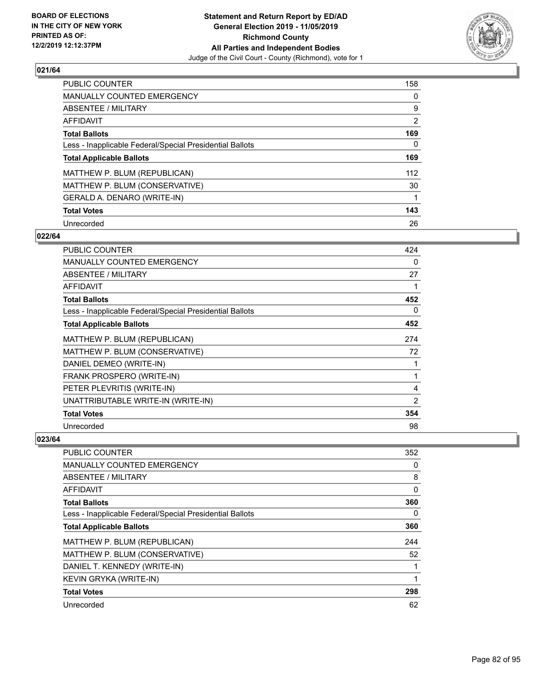

| <b>PUBLIC COUNTER</b>                                    | 158 |
|----------------------------------------------------------|-----|
| MANUALLY COUNTED EMERGENCY                               | 0   |
| ABSENTEE / MILITARY                                      | 9   |
| AFFIDAVIT                                                | 2   |
| <b>Total Ballots</b>                                     | 169 |
| Less - Inapplicable Federal/Special Presidential Ballots | 0   |
| <b>Total Applicable Ballots</b>                          | 169 |
| MATTHEW P. BLUM (REPUBLICAN)                             | 112 |
| MATTHEW P. BLUM (CONSERVATIVE)                           | 30  |
| GERALD A. DENARO (WRITE-IN)                              |     |
| <b>Total Votes</b>                                       | 143 |
| Unrecorded                                               | 26  |

#### **022/64**

| <b>PUBLIC COUNTER</b>                                    | 424 |
|----------------------------------------------------------|-----|
| <b>MANUALLY COUNTED EMERGENCY</b>                        | 0   |
| ABSENTEE / MILITARY                                      | 27  |
| AFFIDAVIT                                                |     |
| <b>Total Ballots</b>                                     | 452 |
| Less - Inapplicable Federal/Special Presidential Ballots | 0   |
| <b>Total Applicable Ballots</b>                          | 452 |
| MATTHEW P. BLUM (REPUBLICAN)                             | 274 |
| MATTHEW P. BLUM (CONSERVATIVE)                           | 72  |
| DANIEL DEMEO (WRITE-IN)                                  |     |
| FRANK PROSPERO (WRITE-IN)                                | 1   |
| PETER PLEVRITIS (WRITE-IN)                               | 4   |
| UNATTRIBUTABLE WRITE-IN (WRITE-IN)                       | 2   |
| <b>Total Votes</b>                                       | 354 |
| Unrecorded                                               | 98  |

| PUBLIC COUNTER                                           | 352      |
|----------------------------------------------------------|----------|
| MANUALLY COUNTED EMERGENCY                               | 0        |
| ABSENTEE / MILITARY                                      | 8        |
| AFFIDAVIT                                                | $\Omega$ |
| <b>Total Ballots</b>                                     | 360      |
| Less - Inapplicable Federal/Special Presidential Ballots | 0        |
| <b>Total Applicable Ballots</b>                          | 360      |
| MATTHEW P. BLUM (REPUBLICAN)                             | 244      |
| MATTHEW P. BLUM (CONSERVATIVE)                           | 52       |
| DANIEL T. KENNEDY (WRITE-IN)                             |          |
| KEVIN GRYKA (WRITE-IN)                                   |          |
| <b>Total Votes</b>                                       | 298      |
| Unrecorded                                               | 62       |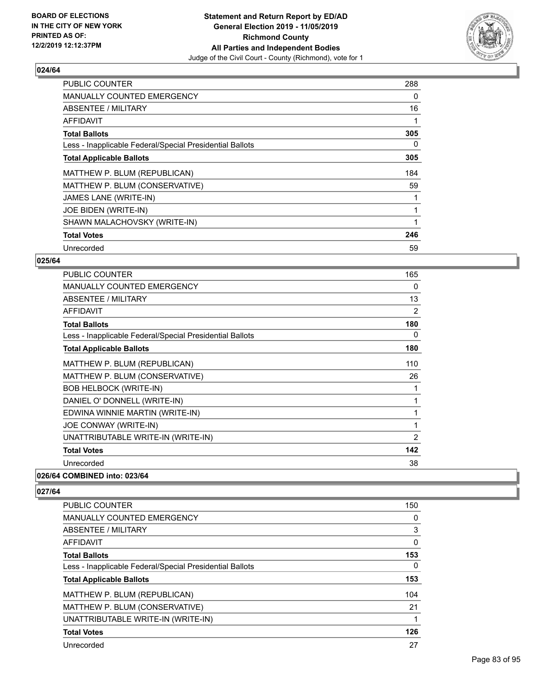

| <b>PUBLIC COUNTER</b>                                    | 288 |
|----------------------------------------------------------|-----|
| MANUALLY COUNTED EMERGENCY                               | 0   |
| ABSENTEE / MILITARY                                      | 16  |
| <b>AFFIDAVIT</b>                                         |     |
| <b>Total Ballots</b>                                     | 305 |
| Less - Inapplicable Federal/Special Presidential Ballots | 0   |
| <b>Total Applicable Ballots</b>                          | 305 |
| MATTHEW P. BLUM (REPUBLICAN)                             | 184 |
| MATTHEW P. BLUM (CONSERVATIVE)                           | 59  |
| JAMES LANE (WRITE-IN)                                    |     |
| JOE BIDEN (WRITE-IN)                                     |     |
| SHAWN MALACHOVSKY (WRITE-IN)                             |     |
| <b>Total Votes</b>                                       | 246 |
| Unrecorded                                               | 59  |

# **025/64**

| PUBLIC COUNTER                                           | 165 |
|----------------------------------------------------------|-----|
| <b>MANUALLY COUNTED EMERGENCY</b>                        | 0   |
| ABSENTEE / MILITARY                                      | 13  |
| <b>AFFIDAVIT</b>                                         | 2   |
| <b>Total Ballots</b>                                     | 180 |
| Less - Inapplicable Federal/Special Presidential Ballots | 0   |
| <b>Total Applicable Ballots</b>                          | 180 |
| MATTHEW P. BLUM (REPUBLICAN)                             | 110 |
| MATTHEW P. BLUM (CONSERVATIVE)                           | 26  |
| <b>BOB HELBOCK (WRITE-IN)</b>                            | 1   |
| DANIEL O' DONNELL (WRITE-IN)                             | 1   |
| EDWINA WINNIE MARTIN (WRITE-IN)                          | 1   |
| JOE CONWAY (WRITE-IN)                                    | 1   |
| UNATTRIBUTABLE WRITE-IN (WRITE-IN)                       | 2   |
| <b>Total Votes</b>                                       | 142 |
| Unrecorded                                               | 38  |
| COMPINIED : 444, 000 ICA                                 |     |

# **026/64 COMBINED into: 023/64**

| <b>PUBLIC COUNTER</b>                                    | 150 |
|----------------------------------------------------------|-----|
| <b>MANUALLY COUNTED EMERGENCY</b>                        | 0   |
| ABSENTEE / MILITARY                                      | 3   |
| <b>AFFIDAVIT</b>                                         | 0   |
| <b>Total Ballots</b>                                     | 153 |
| Less - Inapplicable Federal/Special Presidential Ballots | 0   |
| <b>Total Applicable Ballots</b>                          | 153 |
| MATTHEW P. BLUM (REPUBLICAN)                             | 104 |
| MATTHEW P. BLUM (CONSERVATIVE)                           | 21  |
| UNATTRIBUTABLE WRITE-IN (WRITE-IN)                       |     |
| <b>Total Votes</b>                                       | 126 |
| Unrecorded                                               | 27  |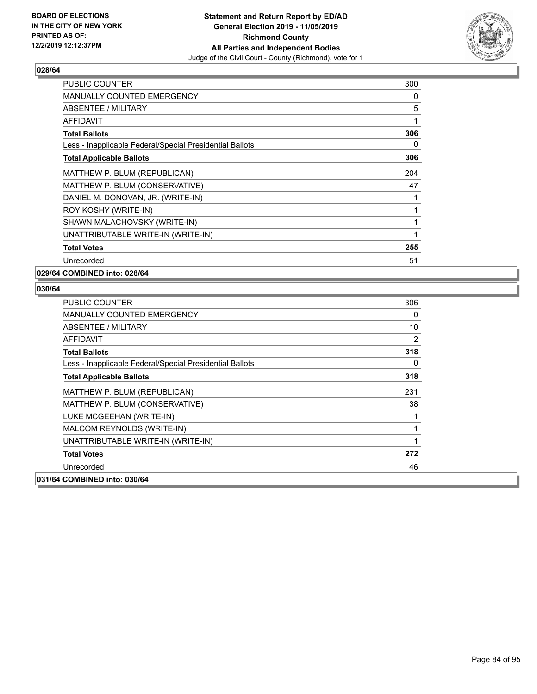

| PUBLIC COUNTER                                           | 300 |
|----------------------------------------------------------|-----|
| <b>MANUALLY COUNTED EMERGENCY</b>                        | 0   |
| ABSENTEE / MILITARY                                      | 5   |
| <b>AFFIDAVIT</b>                                         | 1   |
| <b>Total Ballots</b>                                     | 306 |
| Less - Inapplicable Federal/Special Presidential Ballots | 0   |
| <b>Total Applicable Ballots</b>                          | 306 |
| MATTHEW P. BLUM (REPUBLICAN)                             | 204 |
| MATTHEW P. BLUM (CONSERVATIVE)                           | 47  |
| DANIEL M. DONOVAN, JR. (WRITE-IN)                        | 1   |
| ROY KOSHY (WRITE-IN)                                     | 1   |
| SHAWN MALACHOVSKY (WRITE-IN)                             | 1   |
| UNATTRIBUTABLE WRITE-IN (WRITE-IN)                       | 1   |
| <b>Total Votes</b>                                       | 255 |
| Unrecorded                                               | 51  |

**029/64 COMBINED into: 028/64**

| <b>PUBLIC COUNTER</b>                                    | 306 |
|----------------------------------------------------------|-----|
| <b>MANUALLY COUNTED EMERGENCY</b>                        | 0   |
| ABSENTEE / MILITARY                                      | 10  |
| AFFIDAVIT                                                | 2   |
| <b>Total Ballots</b>                                     | 318 |
| Less - Inapplicable Federal/Special Presidential Ballots | 0   |
| <b>Total Applicable Ballots</b>                          | 318 |
| MATTHEW P. BLUM (REPUBLICAN)                             | 231 |
| MATTHEW P. BLUM (CONSERVATIVE)                           | 38  |
| LUKE MCGEEHAN (WRITE-IN)                                 |     |
| MALCOM REYNOLDS (WRITE-IN)                               | 1   |
| UNATTRIBUTABLE WRITE-IN (WRITE-IN)                       | 1   |
| <b>Total Votes</b>                                       | 272 |
| Unrecorded                                               | 46  |
| 031/64 COMBINED into: 030/64                             |     |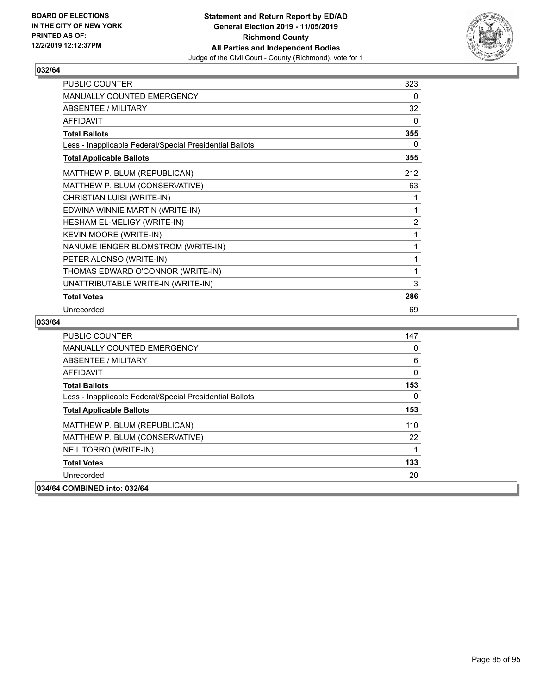

| PUBLIC COUNTER                                           | 323 |
|----------------------------------------------------------|-----|
| MANUALLY COUNTED EMERGENCY                               | 0   |
| ABSENTEE / MILITARY                                      | 32  |
| <b>AFFIDAVIT</b>                                         | 0   |
| <b>Total Ballots</b>                                     | 355 |
| Less - Inapplicable Federal/Special Presidential Ballots | 0   |
| <b>Total Applicable Ballots</b>                          | 355 |
| MATTHEW P. BLUM (REPUBLICAN)                             | 212 |
| MATTHEW P. BLUM (CONSERVATIVE)                           | 63  |
| CHRISTIAN LUISI (WRITE-IN)                               | 1   |
| EDWINA WINNIE MARTIN (WRITE-IN)                          | 1   |
| HESHAM EL-MELIGY (WRITE-IN)                              | 2   |
| KEVIN MOORE (WRITE-IN)                                   | 1   |
| NANUME IENGER BLOMSTROM (WRITE-IN)                       | 1   |
| PETER ALONSO (WRITE-IN)                                  | 1   |
| THOMAS EDWARD O'CONNOR (WRITE-IN)                        | 1   |
| UNATTRIBUTABLE WRITE-IN (WRITE-IN)                       | 3   |
| <b>Total Votes</b>                                       | 286 |
| Unrecorded                                               | 69  |

| <b>PUBLIC COUNTER</b>                                    | 147      |
|----------------------------------------------------------|----------|
| <b>MANUALLY COUNTED EMERGENCY</b>                        | 0        |
| ABSENTEE / MILITARY                                      | 6        |
| <b>AFFIDAVIT</b>                                         | 0        |
| <b>Total Ballots</b>                                     | 153      |
| Less - Inapplicable Federal/Special Presidential Ballots | $\Omega$ |
| <b>Total Applicable Ballots</b>                          | 153      |
| MATTHEW P. BLUM (REPUBLICAN)                             | 110      |
| MATTHEW P. BLUM (CONSERVATIVE)                           | 22       |
| NEIL TORRO (WRITE-IN)                                    |          |
| <b>Total Votes</b>                                       | 133      |
| Unrecorded                                               | 20       |
| 034/64 COMBINED into: 032/64                             |          |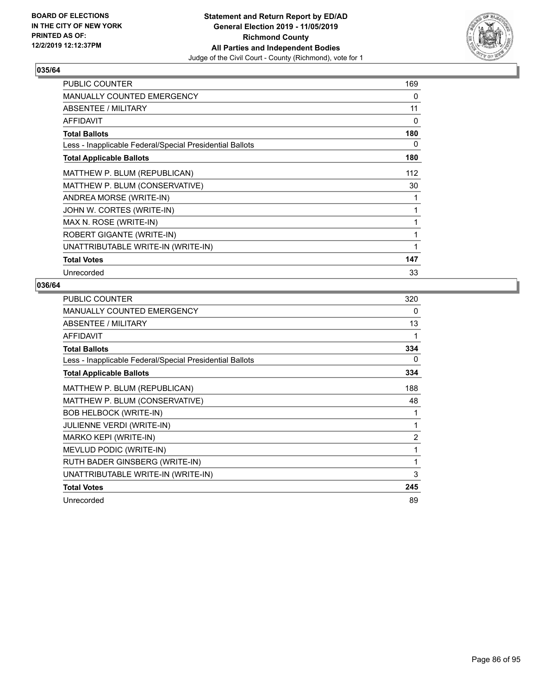

| PUBLIC COUNTER                                           | 169 |
|----------------------------------------------------------|-----|
| <b>MANUALLY COUNTED EMERGENCY</b>                        | 0   |
| ABSENTEE / MILITARY                                      | 11  |
| <b>AFFIDAVIT</b>                                         | 0   |
| <b>Total Ballots</b>                                     | 180 |
| Less - Inapplicable Federal/Special Presidential Ballots | 0   |
| <b>Total Applicable Ballots</b>                          | 180 |
| MATTHEW P. BLUM (REPUBLICAN)                             | 112 |
| MATTHEW P. BLUM (CONSERVATIVE)                           | 30  |
| ANDREA MORSE (WRITE-IN)                                  | 1   |
| JOHN W. CORTES (WRITE-IN)                                | 1   |
| MAX N. ROSE (WRITE-IN)                                   | 1   |
| ROBERT GIGANTE (WRITE-IN)                                | 1   |
| UNATTRIBUTABLE WRITE-IN (WRITE-IN)                       |     |
| <b>Total Votes</b>                                       | 147 |
| Unrecorded                                               | 33  |

| <b>PUBLIC COUNTER</b>                                    | 320            |
|----------------------------------------------------------|----------------|
| <b>MANUALLY COUNTED EMERGENCY</b>                        | 0              |
| ABSENTEE / MILITARY                                      | 13             |
| <b>AFFIDAVIT</b>                                         | 1              |
| <b>Total Ballots</b>                                     | 334            |
| Less - Inapplicable Federal/Special Presidential Ballots | 0              |
| <b>Total Applicable Ballots</b>                          | 334            |
| MATTHEW P. BLUM (REPUBLICAN)                             | 188            |
| MATTHEW P. BLUM (CONSERVATIVE)                           | 48             |
| <b>BOB HELBOCK (WRITE-IN)</b>                            | 1              |
| <b>JULIENNE VERDI (WRITE-IN)</b>                         | 1              |
| MARKO KEPI (WRITE-IN)                                    | $\overline{2}$ |
| MEVLUD PODIC (WRITE-IN)                                  | 1              |
| RUTH BADER GINSBERG (WRITE-IN)                           | 1              |
| UNATTRIBUTABLE WRITE-IN (WRITE-IN)                       | 3              |
| <b>Total Votes</b>                                       | 245            |
| Unrecorded                                               | 89             |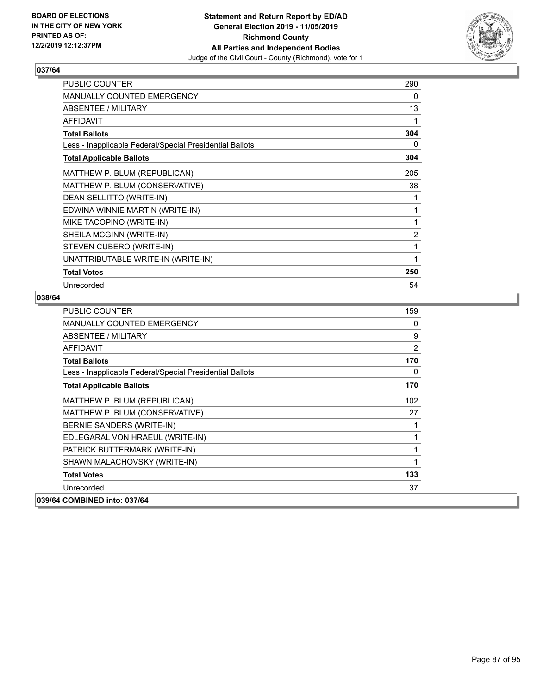

| <b>PUBLIC COUNTER</b>                                    | 290            |
|----------------------------------------------------------|----------------|
| MANUALLY COUNTED EMERGENCY                               | 0              |
| ABSENTEE / MILITARY                                      | 13             |
| <b>AFFIDAVIT</b>                                         | 1              |
| <b>Total Ballots</b>                                     | 304            |
| Less - Inapplicable Federal/Special Presidential Ballots | 0              |
| <b>Total Applicable Ballots</b>                          | 304            |
| MATTHEW P. BLUM (REPUBLICAN)                             | 205            |
| MATTHEW P. BLUM (CONSERVATIVE)                           | 38             |
| DEAN SELLITTO (WRITE-IN)                                 | 1              |
| EDWINA WINNIE MARTIN (WRITE-IN)                          | 1              |
| MIKE TACOPINO (WRITE-IN)                                 | 1              |
| SHEILA MCGINN (WRITE-IN)                                 | $\overline{2}$ |
| STEVEN CUBERO (WRITE-IN)                                 | 1              |
| UNATTRIBUTABLE WRITE-IN (WRITE-IN)                       | 1              |
| <b>Total Votes</b>                                       | 250            |
| Unrecorded                                               | 54             |

| <b>PUBLIC COUNTER</b>                                    | 159            |
|----------------------------------------------------------|----------------|
| <b>MANUALLY COUNTED EMERGENCY</b>                        | 0              |
| ABSENTEE / MILITARY                                      | 9              |
| <b>AFFIDAVIT</b>                                         | $\overline{2}$ |
| <b>Total Ballots</b>                                     | 170            |
| Less - Inapplicable Federal/Special Presidential Ballots | 0              |
| <b>Total Applicable Ballots</b>                          | 170            |
| MATTHEW P. BLUM (REPUBLICAN)                             | 102            |
| MATTHEW P. BLUM (CONSERVATIVE)                           | 27             |
| BERNIE SANDERS (WRITE-IN)                                | 1              |
| EDLEGARAL VON HRAEUL (WRITE-IN)                          | 1              |
| PATRICK BUTTERMARK (WRITE-IN)                            | 1              |
| SHAWN MALACHOVSKY (WRITE-IN)                             | 1              |
| <b>Total Votes</b>                                       | 133            |
| Unrecorded                                               | 37             |
| 039/64 COMBINED into: 037/64                             |                |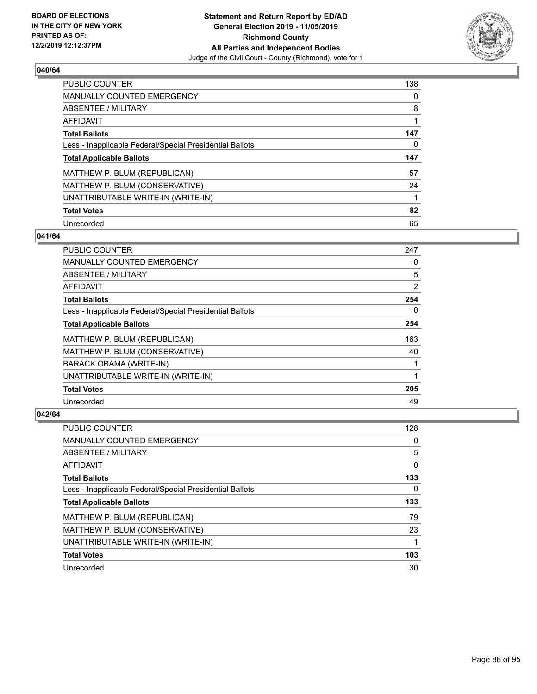

| PUBLIC COUNTER                                           | 138      |
|----------------------------------------------------------|----------|
| <b>MANUALLY COUNTED EMERGENCY</b>                        | $\Omega$ |
| ABSENTEE / MILITARY                                      | 8        |
| AFFIDAVIT                                                |          |
| <b>Total Ballots</b>                                     | 147      |
| Less - Inapplicable Federal/Special Presidential Ballots | 0        |
| <b>Total Applicable Ballots</b>                          | 147      |
| MATTHEW P. BLUM (REPUBLICAN)                             | 57       |
| MATTHEW P. BLUM (CONSERVATIVE)                           | 24       |
| UNATTRIBUTABLE WRITE-IN (WRITE-IN)                       |          |
| <b>Total Votes</b>                                       | 82       |
| Unrecorded                                               | 65       |

#### **041/64**

| <b>PUBLIC COUNTER</b>                                    | 247      |
|----------------------------------------------------------|----------|
| <b>MANUALLY COUNTED EMERGENCY</b>                        | 0        |
| ABSENTEE / MILITARY                                      | 5        |
| AFFIDAVIT                                                | 2        |
| <b>Total Ballots</b>                                     | 254      |
| Less - Inapplicable Federal/Special Presidential Ballots | $\Omega$ |
| <b>Total Applicable Ballots</b>                          | 254      |
| MATTHEW P. BLUM (REPUBLICAN)                             | 163      |
| MATTHEW P. BLUM (CONSERVATIVE)                           | 40       |
| BARACK OBAMA (WRITE-IN)                                  |          |
| UNATTRIBUTABLE WRITE-IN (WRITE-IN)                       |          |
| <b>Total Votes</b>                                       | 205      |
| Unrecorded                                               | 49       |

| PUBLIC COUNTER                                           | 128 |
|----------------------------------------------------------|-----|
| <b>MANUALLY COUNTED EMERGENCY</b>                        | 0   |
| ABSENTEE / MILITARY                                      | 5   |
| AFFIDAVIT                                                | 0   |
| <b>Total Ballots</b>                                     | 133 |
| Less - Inapplicable Federal/Special Presidential Ballots | 0   |
|                                                          |     |
| <b>Total Applicable Ballots</b>                          | 133 |
| MATTHEW P. BLUM (REPUBLICAN)                             | 79  |
| MATTHEW P. BLUM (CONSERVATIVE)                           | 23  |
| UNATTRIBUTABLE WRITE-IN (WRITE-IN)                       |     |
| <b>Total Votes</b>                                       | 103 |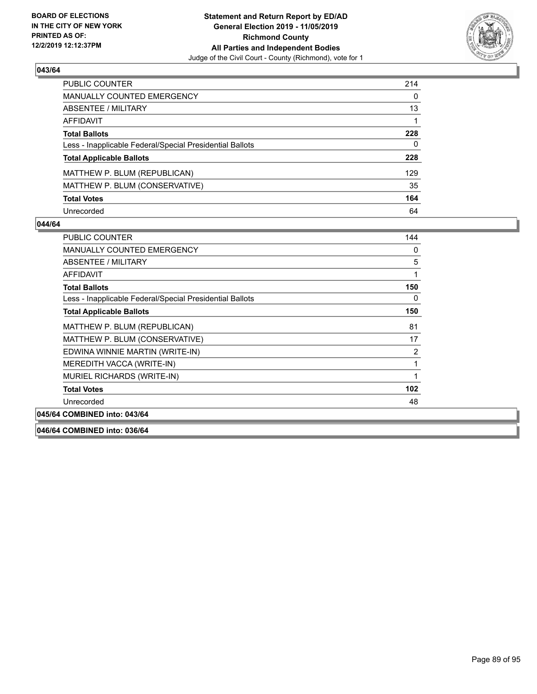

| <b>PUBLIC COUNTER</b>                                    | 214          |
|----------------------------------------------------------|--------------|
| <b>MANUALLY COUNTED EMERGENCY</b>                        | $\mathbf{0}$ |
| ABSENTEE / MILITARY                                      | 13           |
| AFFIDAVIT                                                |              |
| <b>Total Ballots</b>                                     | 228          |
| Less - Inapplicable Federal/Special Presidential Ballots | 0            |
| <b>Total Applicable Ballots</b>                          | 228          |
| MATTHEW P. BLUM (REPUBLICAN)                             | 129          |
| MATTHEW P. BLUM (CONSERVATIVE)                           | 35           |
| <b>Total Votes</b>                                       | 164          |
| Unrecorded                                               | 64           |

#### **044/64**

| PUBLIC COUNTER                                           | 144            |
|----------------------------------------------------------|----------------|
| <b>MANUALLY COUNTED EMERGENCY</b>                        | 0              |
| <b>ABSENTEE / MILITARY</b>                               | 5              |
| AFFIDAVIT                                                | 1              |
| <b>Total Ballots</b>                                     | 150            |
| Less - Inapplicable Federal/Special Presidential Ballots | 0              |
| <b>Total Applicable Ballots</b>                          | 150            |
| MATTHEW P. BLUM (REPUBLICAN)                             | 81             |
| MATTHEW P. BLUM (CONSERVATIVE)                           | 17             |
| EDWINA WINNIE MARTIN (WRITE-IN)                          | $\overline{2}$ |
| MEREDITH VACCA (WRITE-IN)                                | 1              |
| MURIEL RICHARDS (WRITE-IN)                               | 1              |
| <b>Total Votes</b>                                       | 102            |
| Unrecorded                                               | 48             |
| COMD                                                     |                |

# **045/64 COMBINED into: 043/64**

**046/64 COMBINED into: 036/64**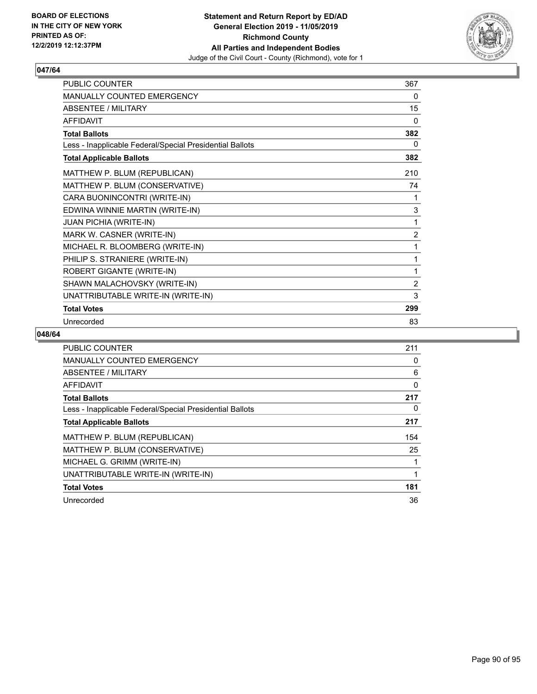

| PUBLIC COUNTER                                           | 367            |
|----------------------------------------------------------|----------------|
| MANUALLY COUNTED EMERGENCY                               | 0              |
| <b>ABSENTEE / MILITARY</b>                               | 15             |
| <b>AFFIDAVIT</b>                                         | 0              |
| <b>Total Ballots</b>                                     | 382            |
| Less - Inapplicable Federal/Special Presidential Ballots | 0              |
| <b>Total Applicable Ballots</b>                          | 382            |
| MATTHEW P. BLUM (REPUBLICAN)                             | 210            |
| MATTHEW P. BLUM (CONSERVATIVE)                           | 74             |
| CARA BUONINCONTRI (WRITE-IN)                             | 1              |
| EDWINA WINNIE MARTIN (WRITE-IN)                          | 3              |
| <b>JUAN PICHIA (WRITE-IN)</b>                            | 1              |
| MARK W. CASNER (WRITE-IN)                                | $\overline{2}$ |
| MICHAEL R. BLOOMBERG (WRITE-IN)                          | 1              |
| PHILIP S. STRANIERE (WRITE-IN)                           | 1              |
| ROBERT GIGANTE (WRITE-IN)                                | 1              |
| SHAWN MALACHOVSKY (WRITE-IN)                             | $\overline{2}$ |
| UNATTRIBUTABLE WRITE-IN (WRITE-IN)                       | 3              |
| <b>Total Votes</b>                                       | 299            |
| Unrecorded                                               | 83             |

| PUBLIC COUNTER                                           | 211 |
|----------------------------------------------------------|-----|
| <b>MANUALLY COUNTED EMERGENCY</b>                        | 0   |
| ABSENTEE / MILITARY                                      | 6   |
| <b>AFFIDAVIT</b>                                         | 0   |
| <b>Total Ballots</b>                                     | 217 |
| Less - Inapplicable Federal/Special Presidential Ballots | 0   |
| <b>Total Applicable Ballots</b>                          | 217 |
| MATTHEW P. BLUM (REPUBLICAN)                             | 154 |
| MATTHEW P. BLUM (CONSERVATIVE)                           | 25  |
| MICHAEL G. GRIMM (WRITE-IN)                              |     |
| UNATTRIBUTABLE WRITE-IN (WRITE-IN)                       |     |
| <b>Total Votes</b>                                       | 181 |
| Unrecorded                                               | 36  |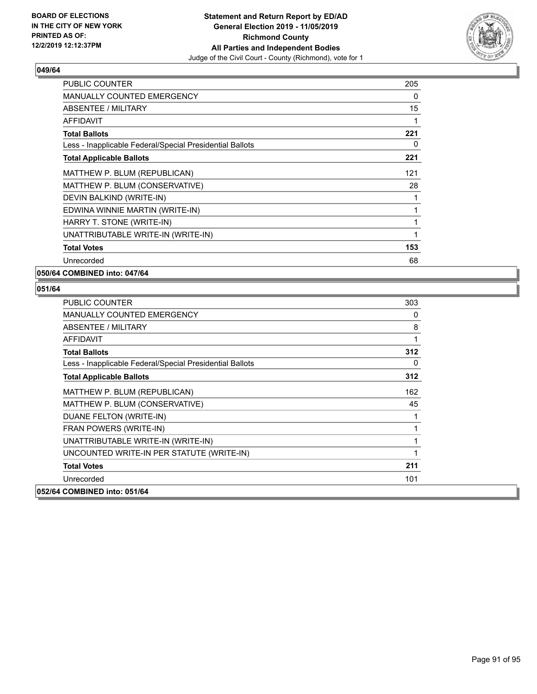

| <b>PUBLIC COUNTER</b>                                    | 205 |
|----------------------------------------------------------|-----|
| MANUALLY COUNTED EMERGENCY                               | 0   |
| ABSENTEE / MILITARY                                      | 15  |
| <b>AFFIDAVIT</b>                                         |     |
| <b>Total Ballots</b>                                     | 221 |
| Less - Inapplicable Federal/Special Presidential Ballots | 0   |
| <b>Total Applicable Ballots</b>                          | 221 |
| MATTHEW P. BLUM (REPUBLICAN)                             | 121 |
| MATTHEW P. BLUM (CONSERVATIVE)                           | 28  |
| DEVIN BALKIND (WRITE-IN)                                 |     |
| EDWINA WINNIE MARTIN (WRITE-IN)                          |     |
| HARRY T. STONE (WRITE-IN)                                | 1   |
| UNATTRIBUTABLE WRITE-IN (WRITE-IN)                       |     |
| <b>Total Votes</b>                                       | 153 |
| Unrecorded                                               | 68  |

**050/64 COMBINED into: 047/64**

| PUBLIC COUNTER                                           | 303 |
|----------------------------------------------------------|-----|
| <b>MANUALLY COUNTED EMERGENCY</b>                        | 0   |
| ABSENTEE / MILITARY                                      | 8   |
| <b>AFFIDAVIT</b>                                         | 1   |
| <b>Total Ballots</b>                                     | 312 |
| Less - Inapplicable Federal/Special Presidential Ballots | 0   |
| <b>Total Applicable Ballots</b>                          | 312 |
| MATTHEW P. BLUM (REPUBLICAN)                             | 162 |
| MATTHEW P. BLUM (CONSERVATIVE)                           | 45  |
| DUANE FELTON (WRITE-IN)                                  | 1   |
| FRAN POWERS (WRITE-IN)                                   |     |
| UNATTRIBUTABLE WRITE-IN (WRITE-IN)                       |     |
| UNCOUNTED WRITE-IN PER STATUTE (WRITE-IN)                | 1   |
| <b>Total Votes</b>                                       | 211 |
| Unrecorded                                               | 101 |
| 052/64 COMBINED into: 051/64                             |     |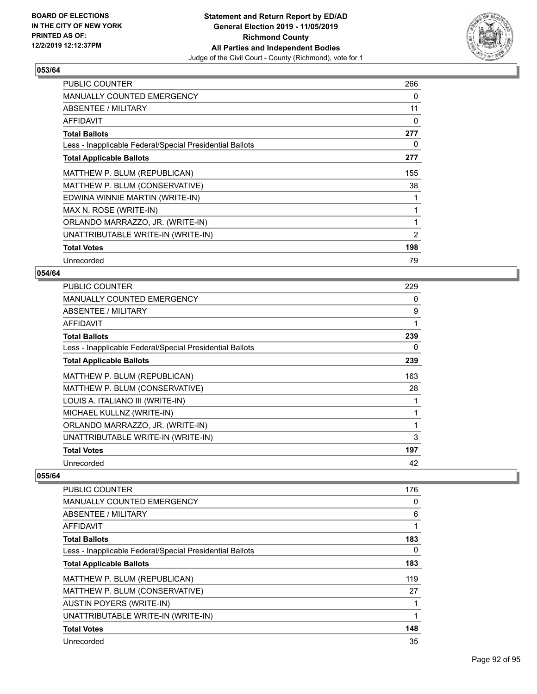

| <b>PUBLIC COUNTER</b>                                    | 266            |
|----------------------------------------------------------|----------------|
| <b>MANUALLY COUNTED EMERGENCY</b>                        | 0              |
| ABSENTEE / MILITARY                                      | 11             |
| AFFIDAVIT                                                | 0              |
| <b>Total Ballots</b>                                     | 277            |
| Less - Inapplicable Federal/Special Presidential Ballots | 0              |
| <b>Total Applicable Ballots</b>                          | 277            |
| MATTHEW P. BLUM (REPUBLICAN)                             | 155            |
| MATTHEW P. BLUM (CONSERVATIVE)                           | 38             |
| EDWINA WINNIE MARTIN (WRITE-IN)                          |                |
| MAX N. ROSE (WRITE-IN)                                   |                |
| ORLANDO MARRAZZO, JR. (WRITE-IN)                         |                |
| UNATTRIBUTABLE WRITE-IN (WRITE-IN)                       | $\overline{2}$ |
| <b>Total Votes</b>                                       | 198            |
| Unrecorded                                               | 79             |

# **054/64**

| 229 |
|-----|
| 0   |
| 9   |
| 1   |
| 239 |
| 0   |
| 239 |
| 163 |
| 28  |
| 1   |
| 1   |
| 1   |
| 3   |
| 197 |
| 42  |
|     |

| <b>PUBLIC COUNTER</b>                                    | 176      |
|----------------------------------------------------------|----------|
| <b>MANUALLY COUNTED EMERGENCY</b>                        | 0        |
| <b>ABSENTEE / MILITARY</b>                               | 6        |
| AFFIDAVIT                                                | 1        |
| <b>Total Ballots</b>                                     | 183      |
| Less - Inapplicable Federal/Special Presidential Ballots | $\Omega$ |
| <b>Total Applicable Ballots</b>                          | 183      |
| MATTHEW P. BLUM (REPUBLICAN)                             | 119      |
| MATTHEW P. BLUM (CONSERVATIVE)                           | 27       |
| <b>AUSTIN POYERS (WRITE-IN)</b>                          |          |
| UNATTRIBUTABLE WRITE-IN (WRITE-IN)                       |          |
| <b>Total Votes</b>                                       | 148      |
| Unrecorded                                               | 35       |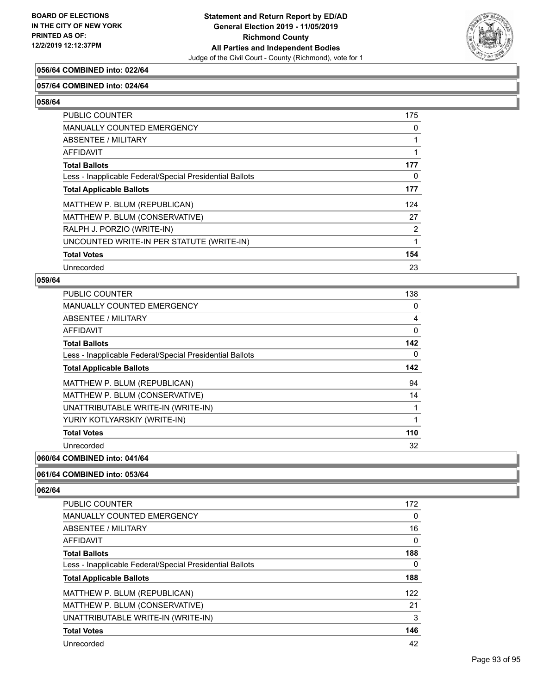

# **056/64 COMBINED into: 022/64**

#### **057/64 COMBINED into: 024/64**

**058/64** 

| <b>PUBLIC COUNTER</b>                                    | 175            |
|----------------------------------------------------------|----------------|
| <b>MANUALLY COUNTED EMERGENCY</b>                        | 0              |
| ABSENTEE / MILITARY                                      |                |
| AFFIDAVIT                                                |                |
| <b>Total Ballots</b>                                     | 177            |
| Less - Inapplicable Federal/Special Presidential Ballots | 0              |
| <b>Total Applicable Ballots</b>                          | 177            |
| MATTHEW P. BLUM (REPUBLICAN)                             | 124            |
| MATTHEW P. BLUM (CONSERVATIVE)                           | 27             |
| RALPH J. PORZIO (WRITE-IN)                               | $\overline{2}$ |
| UNCOUNTED WRITE-IN PER STATUTE (WRITE-IN)                |                |
| <b>Total Votes</b>                                       | 154            |
| Unrecorded                                               | 23             |

#### **059/64**

| <b>PUBLIC COUNTER</b>                                    | 138 |
|----------------------------------------------------------|-----|
| MANUALLY COUNTED EMERGENCY                               | 0   |
| ABSENTEE / MILITARY                                      | 4   |
| AFFIDAVIT                                                | 0   |
| <b>Total Ballots</b>                                     | 142 |
| Less - Inapplicable Federal/Special Presidential Ballots | 0   |
| <b>Total Applicable Ballots</b>                          | 142 |
| MATTHEW P. BLUM (REPUBLICAN)                             | 94  |
| MATTHEW P. BLUM (CONSERVATIVE)                           | 14  |
| UNATTRIBUTABLE WRITE-IN (WRITE-IN)                       | 1   |
| YURIY KOTLYARSKIY (WRITE-IN)                             | 1   |
| <b>Total Votes</b>                                       | 110 |
| Unrecorded                                               | 32  |

# **060/64 COMBINED into: 041/64**

#### **061/64 COMBINED into: 053/64**

| <b>PUBLIC COUNTER</b>                                    | 172 |
|----------------------------------------------------------|-----|
| <b>MANUALLY COUNTED EMERGENCY</b>                        | 0   |
| ABSENTEE / MILITARY                                      | 16  |
| AFFIDAVIT                                                | 0   |
| <b>Total Ballots</b>                                     | 188 |
| Less - Inapplicable Federal/Special Presidential Ballots | 0   |
| <b>Total Applicable Ballots</b>                          | 188 |
| MATTHEW P. BLUM (REPUBLICAN)                             | 122 |
| MATTHEW P. BLUM (CONSERVATIVE)                           | 21  |
| UNATTRIBUTABLE WRITE-IN (WRITE-IN)                       | 3   |
| <b>Total Votes</b>                                       | 146 |
| Unrecorded                                               | 42  |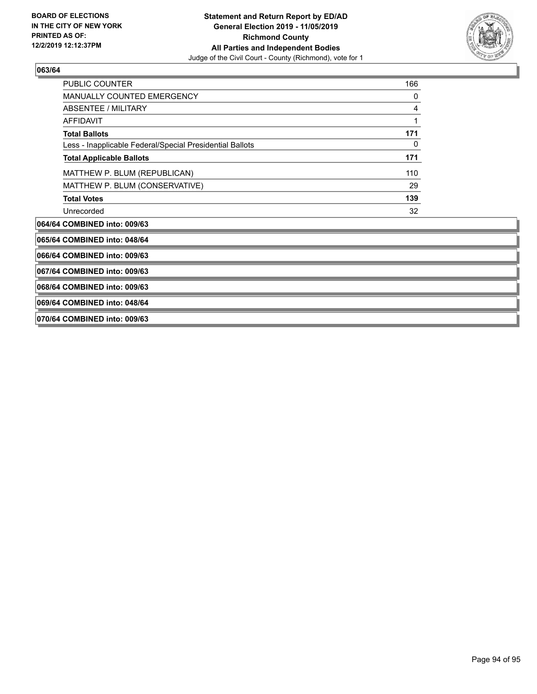

| <b>PUBLIC COUNTER</b>                                    | 166 |
|----------------------------------------------------------|-----|
| <b>MANUALLY COUNTED EMERGENCY</b>                        | 0   |
| ABSENTEE / MILITARY                                      | 4   |
| AFFIDAVIT                                                | 1   |
| <b>Total Ballots</b>                                     | 171 |
| Less - Inapplicable Federal/Special Presidential Ballots | 0   |
| <b>Total Applicable Ballots</b>                          | 171 |
| MATTHEW P. BLUM (REPUBLICAN)                             | 110 |
| MATTHEW P. BLUM (CONSERVATIVE)                           | 29  |
| <b>Total Votes</b>                                       | 139 |
| Unrecorded                                               | 32  |
| 064/64 COMBINED into: 009/63                             |     |
| 065/64 COMBINED into: 048/64                             |     |
| 066/64 COMBINED into: 009/63                             |     |
| 067/64 COMBINED into: 009/63                             |     |
| 068/64 COMBINED into: 009/63                             |     |

**069/64 COMBINED into: 048/64**

**070/64 COMBINED into: 009/63**